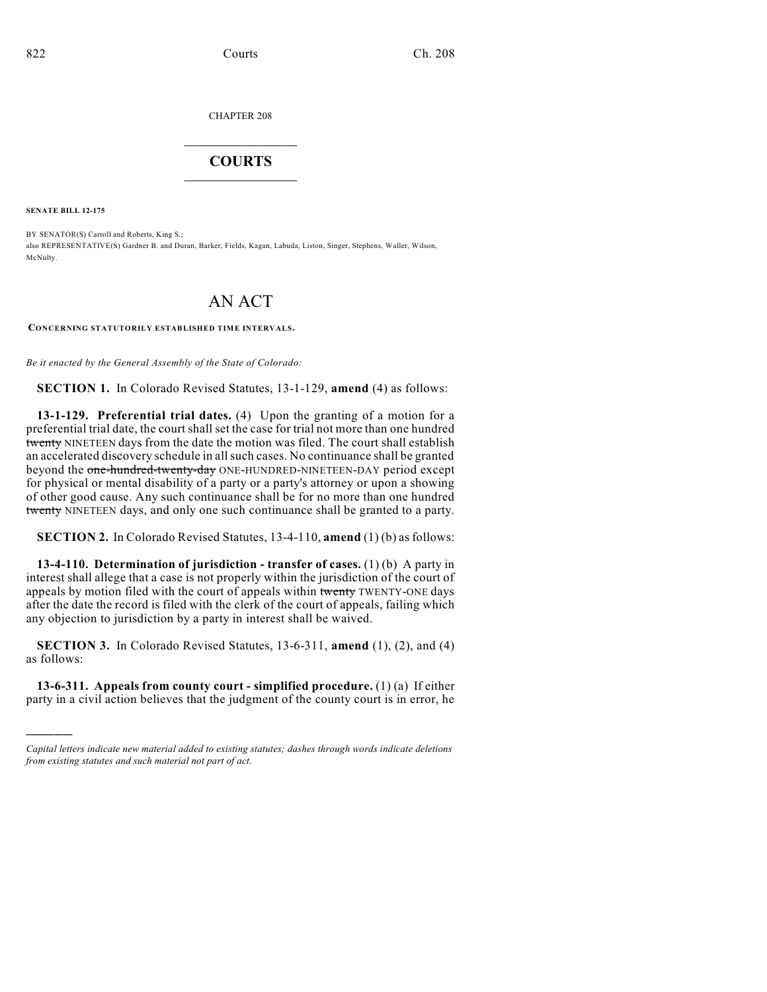CHAPTER 208

# $\mathcal{L}_\text{max}$  . The set of the set of the set of the set of the set of the set of the set of the set of the set of the set of the set of the set of the set of the set of the set of the set of the set of the set of the set **COURTS**  $\_$

**SENATE BILL 12-175**

)))))

BY SENATOR(S) Carroll and Roberts, King S.; also REPRESENTATIVE(S) Gardner B. and Duran, Barker, Fields, Kagan, Labuda, Liston, Singer, Stephens, Waller, Wilson, McNulty.

# AN ACT

**CONCERNING STATUTORILY ESTABLISHED TIME INTERVALS.**

*Be it enacted by the General Assembly of the State of Colorado:*

**SECTION 1.** In Colorado Revised Statutes, 13-1-129, **amend** (4) as follows:

**13-1-129. Preferential trial dates.** (4) Upon the granting of a motion for a preferential trial date, the court shall set the case for trial not more than one hundred twenty NINETEEN days from the date the motion was filed. The court shall establish an accelerated discovery schedule in allsuch cases. No continuance shall be granted beyond the one-hundred-twenty-day ONE-HUNDRED-NINETEEN-DAY period except for physical or mental disability of a party or a party's attorney or upon a showing of other good cause. Any such continuance shall be for no more than one hundred twenty NINETEEN days, and only one such continuance shall be granted to a party.

**SECTION 2.** In Colorado Revised Statutes, 13-4-110, **amend** (1) (b) as follows:

**13-4-110. Determination of jurisdiction - transfer of cases.** (1) (b) A party in interest shall allege that a case is not properly within the jurisdiction of the court of appeals by motion filed with the court of appeals within twenty TWENTY-ONE days after the date the record is filed with the clerk of the court of appeals, failing which any objection to jurisdiction by a party in interest shall be waived.

**SECTION 3.** In Colorado Revised Statutes, 13-6-311, **amend** (1), (2), and (4) as follows:

**13-6-311. Appeals from county court - simplified procedure.** (1) (a) If either party in a civil action believes that the judgment of the county court is in error, he

*Capital letters indicate new material added to existing statutes; dashes through words indicate deletions from existing statutes and such material not part of act.*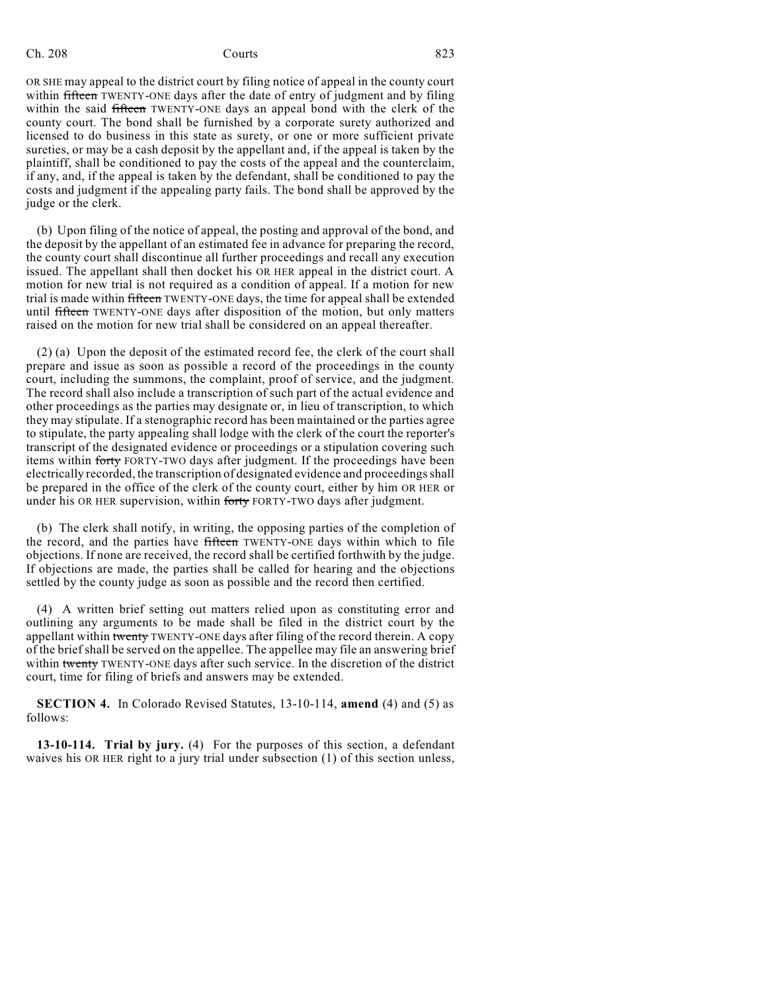Ch. 208 Courts 823

OR SHE may appeal to the district court by filing notice of appeal in the county court within fifteen TWENTY-ONE days after the date of entry of judgment and by filing within the said fifteen TWENTY-ONE days an appeal bond with the clerk of the county court. The bond shall be furnished by a corporate surety authorized and licensed to do business in this state as surety, or one or more sufficient private sureties, or may be a cash deposit by the appellant and, if the appeal is taken by the plaintiff, shall be conditioned to pay the costs of the appeal and the counterclaim, if any, and, if the appeal is taken by the defendant, shall be conditioned to pay the costs and judgment if the appealing party fails. The bond shall be approved by the judge or the clerk.

(b) Upon filing of the notice of appeal, the posting and approval of the bond, and the deposit by the appellant of an estimated fee in advance for preparing the record, the county court shall discontinue all further proceedings and recall any execution issued. The appellant shall then docket his OR HER appeal in the district court. A motion for new trial is not required as a condition of appeal. If a motion for new trial is made within fifteen TWENTY-ONE days, the time for appeal shall be extended until fifteen TWENTY-ONE days after disposition of the motion, but only matters raised on the motion for new trial shall be considered on an appeal thereafter.

(2) (a) Upon the deposit of the estimated record fee, the clerk of the court shall prepare and issue as soon as possible a record of the proceedings in the county court, including the summons, the complaint, proof of service, and the judgment. The record shall also include a transcription of such part of the actual evidence and other proceedings as the parties may designate or, in lieu of transcription, to which they may stipulate. If a stenographic record has been maintained or the parties agree to stipulate, the party appealing shall lodge with the clerk of the court the reporter's transcript of the designated evidence or proceedings or a stipulation covering such items within forty FORTY-TWO days after judgment. If the proceedings have been electrically recorded, the transcription of designated evidence and proceedings shall be prepared in the office of the clerk of the county court, either by him OR HER or under his OR HER supervision, within forty FORTY-TWO days after judgment.

(b) The clerk shall notify, in writing, the opposing parties of the completion of the record, and the parties have fifteen TWENTY-ONE days within which to file objections. If none are received, the record shall be certified forthwith by the judge. If objections are made, the parties shall be called for hearing and the objections settled by the county judge as soon as possible and the record then certified.

(4) A written brief setting out matters relied upon as constituting error and outlining any arguments to be made shall be filed in the district court by the appellant within twenty TWENTY-ONE days after filing of the record therein. A copy of the brief shall be served on the appellee. The appellee may file an answering brief within twenty TWENTY-ONE days after such service. In the discretion of the district court, time for filing of briefs and answers may be extended.

**SECTION 4.** In Colorado Revised Statutes, 13-10-114, **amend** (4) and (5) as follows:

**13-10-114. Trial by jury.** (4) For the purposes of this section, a defendant waives his OR HER right to a jury trial under subsection (1) of this section unless,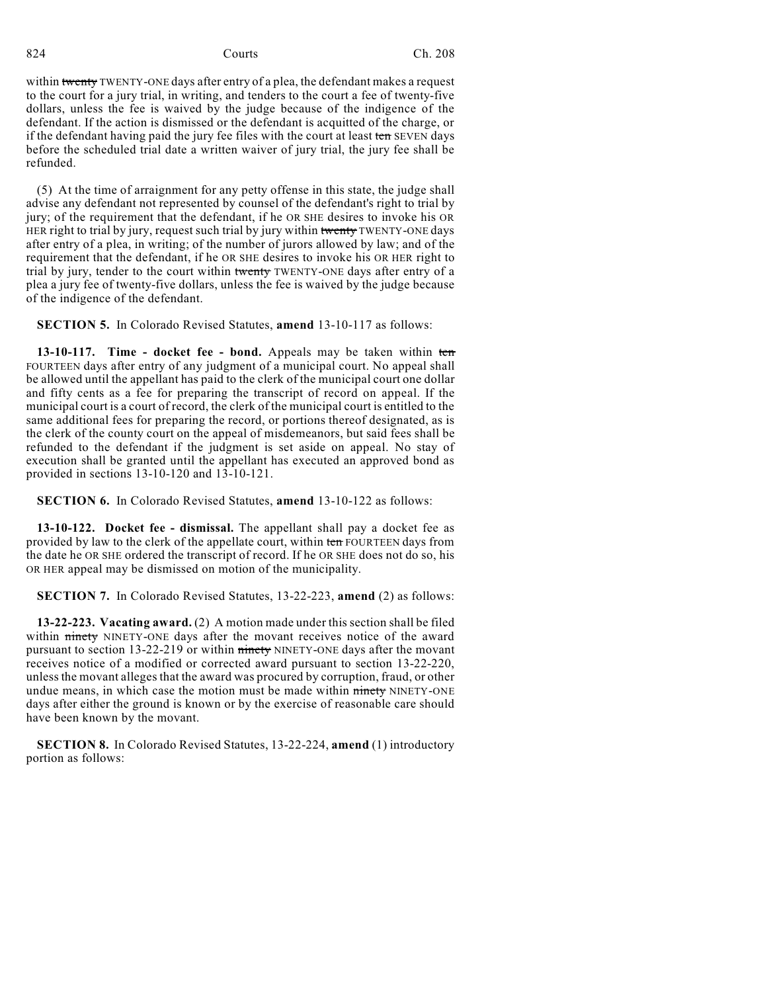within twenty TWENTY-ONE days after entry of a plea, the defendant makes a request to the court for a jury trial, in writing, and tenders to the court a fee of twenty-five dollars, unless the fee is waived by the judge because of the indigence of the defendant. If the action is dismissed or the defendant is acquitted of the charge, or if the defendant having paid the jury fee files with the court at least ten SEVEN days before the scheduled trial date a written waiver of jury trial, the jury fee shall be refunded.

(5) At the time of arraignment for any petty offense in this state, the judge shall advise any defendant not represented by counsel of the defendant's right to trial by jury; of the requirement that the defendant, if he OR SHE desires to invoke his OR HER right to trial by jury, request such trial by jury within twenty TWENTY-ONE days after entry of a plea, in writing; of the number of jurors allowed by law; and of the requirement that the defendant, if he OR SHE desires to invoke his OR HER right to trial by jury, tender to the court within twenty TWENTY-ONE days after entry of a plea a jury fee of twenty-five dollars, unless the fee is waived by the judge because of the indigence of the defendant.

**SECTION 5.** In Colorado Revised Statutes, **amend** 13-10-117 as follows:

**13-10-117. Time - docket fee - bond.** Appeals may be taken within ten FOURTEEN days after entry of any judgment of a municipal court. No appeal shall be allowed until the appellant has paid to the clerk of the municipal court one dollar and fifty cents as a fee for preparing the transcript of record on appeal. If the municipal court is a court of record, the clerk of the municipal court is entitled to the same additional fees for preparing the record, or portions thereof designated, as is the clerk of the county court on the appeal of misdemeanors, but said fees shall be refunded to the defendant if the judgment is set aside on appeal. No stay of execution shall be granted until the appellant has executed an approved bond as provided in sections 13-10-120 and 13-10-121.

**SECTION 6.** In Colorado Revised Statutes, **amend** 13-10-122 as follows:

**13-10-122. Docket fee - dismissal.** The appellant shall pay a docket fee as provided by law to the clerk of the appellate court, within ten FOURTEEN days from the date he OR SHE ordered the transcript of record. If he OR SHE does not do so, his OR HER appeal may be dismissed on motion of the municipality.

**SECTION 7.** In Colorado Revised Statutes, 13-22-223, **amend** (2) as follows:

**13-22-223. Vacating award.** (2) A motion made under this section shall be filed within ninety NINETY-ONE days after the movant receives notice of the award pursuant to section 13-22-219 or within ninety NINETY-ONE days after the movant receives notice of a modified or corrected award pursuant to section 13-22-220, unlessthe movant alleges that the award was procured by corruption, fraud, or other undue means, in which case the motion must be made within ninety NINETY-ONE days after either the ground is known or by the exercise of reasonable care should have been known by the movant.

**SECTION 8.** In Colorado Revised Statutes, 13-22-224, **amend** (1) introductory portion as follows: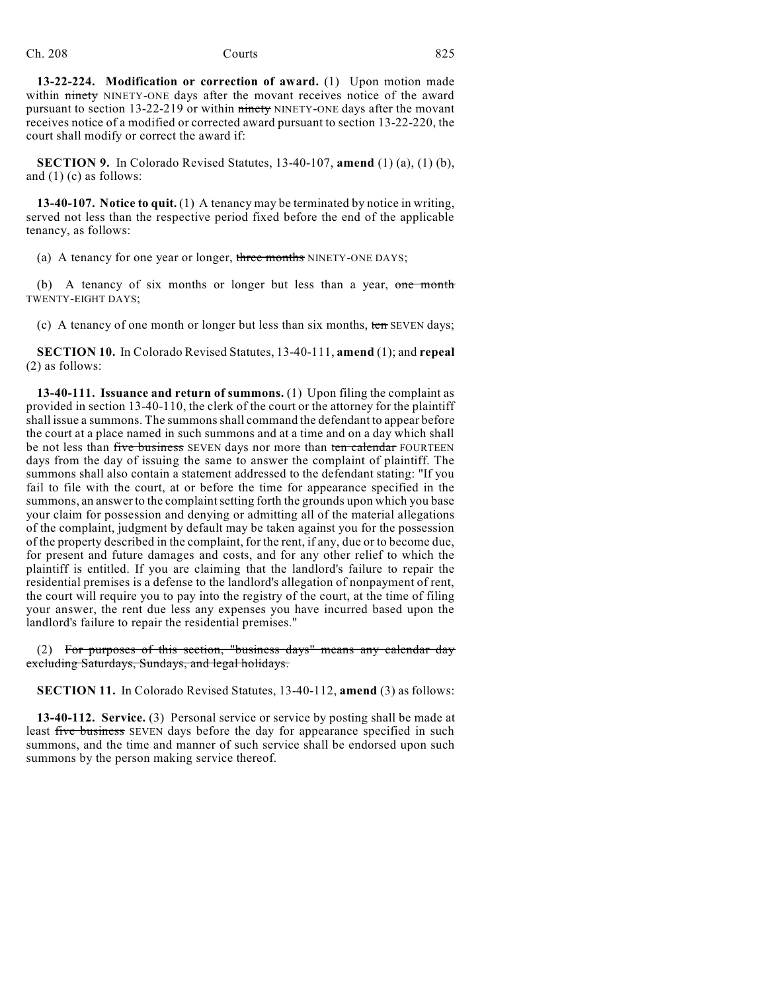**13-22-224. Modification or correction of award.** (1) Upon motion made within ninety NINETY-ONE days after the movant receives notice of the award pursuant to section 13-22-219 or within ninety NINETY-ONE days after the movant receives notice of a modified or corrected award pursuant to section 13-22-220, the court shall modify or correct the award if:

**SECTION 9.** In Colorado Revised Statutes, 13-40-107, **amend** (1) (a), (1) (b), and (1) (c) as follows:

**13-40-107. Notice to quit.** (1) A tenancy may be terminated by notice in writing, served not less than the respective period fixed before the end of the applicable tenancy, as follows:

(a) A tenancy for one year or longer, three months NINETY-ONE DAYS;

(b) A tenancy of six months or longer but less than a year, one month TWENTY-EIGHT DAYS;

(c) A tenancy of one month or longer but less than six months, ten SEVEN days;

**SECTION 10.** In Colorado Revised Statutes, 13-40-111, **amend** (1); and **repeal** (2) as follows:

**13-40-111. Issuance and return of summons.** (1) Upon filing the complaint as provided in section 13-40-110, the clerk of the court or the attorney for the plaintiff shall issue a summons. The summonsshall command the defendant to appear before the court at a place named in such summons and at a time and on a day which shall be not less than five business SEVEN days nor more than ten calendar FOURTEEN days from the day of issuing the same to answer the complaint of plaintiff. The summons shall also contain a statement addressed to the defendant stating: "If you fail to file with the court, at or before the time for appearance specified in the summons, an answer to the complaint setting forth the grounds upon which you base your claim for possession and denying or admitting all of the material allegations of the complaint, judgment by default may be taken against you for the possession of the property described in the complaint, for the rent, if any, due or to become due, for present and future damages and costs, and for any other relief to which the plaintiff is entitled. If you are claiming that the landlord's failure to repair the residential premises is a defense to the landlord's allegation of nonpayment of rent, the court will require you to pay into the registry of the court, at the time of filing your answer, the rent due less any expenses you have incurred based upon the landlord's failure to repair the residential premises."

(2) For purposes of this section, "business days" means any calendar day excluding Saturdays, Sundays, and legal holidays.

**SECTION 11.** In Colorado Revised Statutes, 13-40-112, **amend** (3) as follows:

**13-40-112. Service.** (3) Personal service or service by posting shall be made at least five business SEVEN days before the day for appearance specified in such summons, and the time and manner of such service shall be endorsed upon such summons by the person making service thereof.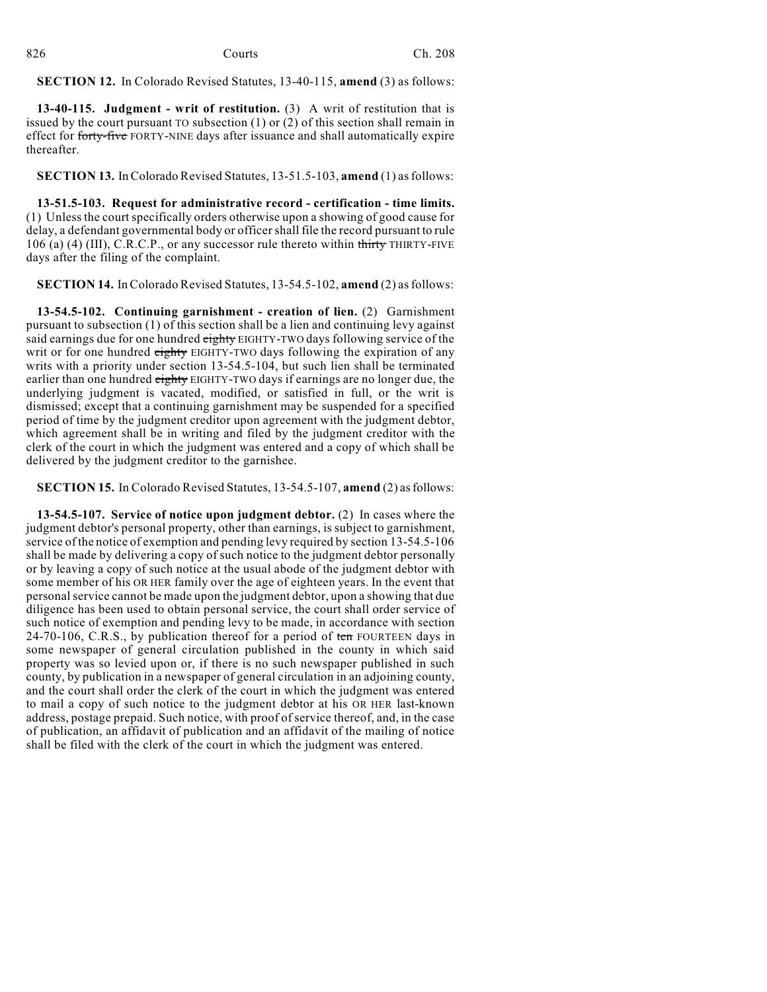**SECTION 12.** In Colorado Revised Statutes, 13-40-115, **amend** (3) as follows:

**13-40-115. Judgment - writ of restitution.** (3) A writ of restitution that is issued by the court pursuant TO subsection (1) or (2) of this section shall remain in effect for forty-five FORTY-NINE days after issuance and shall automatically expire thereafter.

**SECTION 13.** InColorado Revised Statutes, 13-51.5-103, **amend** (1) asfollows:

**13-51.5-103. Request for administrative record - certification - time limits.** (1) Unless the courtspecifically orders otherwise upon a showing of good cause for delay, a defendant governmental body or officershall file the record pursuant to rule 106 (a) (4) (III), C.R.C.P., or any successor rule thereto within thirty THIRTY-FIVE days after the filing of the complaint.

**SECTION 14.** InColorado Revised Statutes, 13-54.5-102, **amend** (2) asfollows:

**13-54.5-102. Continuing garnishment - creation of lien.** (2) Garnishment pursuant to subsection (1) of this section shall be a lien and continuing levy against said earnings due for one hundred eighty EIGHTY-TWO days following service of the writ or for one hundred eighty EIGHTY-TWO days following the expiration of any writs with a priority under section 13-54.5-104, but such lien shall be terminated earlier than one hundred eighty EIGHTY-TWO days if earnings are no longer due, the underlying judgment is vacated, modified, or satisfied in full, or the writ is dismissed; except that a continuing garnishment may be suspended for a specified period of time by the judgment creditor upon agreement with the judgment debtor, which agreement shall be in writing and filed by the judgment creditor with the clerk of the court in which the judgment was entered and a copy of which shall be delivered by the judgment creditor to the garnishee.

**SECTION 15.** In Colorado Revised Statutes, 13-54.5-107, **amend** (2) as follows:

**13-54.5-107. Service of notice upon judgment debtor.** (2) In cases where the judgment debtor's personal property, other than earnings, is subject to garnishment, service of the notice of exemption and pending levy required by section 13-54.5-106 shall be made by delivering a copy of such notice to the judgment debtor personally or by leaving a copy of such notice at the usual abode of the judgment debtor with some member of his OR HER family over the age of eighteen years. In the event that personalservice cannot be made upon the judgment debtor, upon a showing that due diligence has been used to obtain personal service, the court shall order service of such notice of exemption and pending levy to be made, in accordance with section 24-70-106, C.R.S., by publication thereof for a period of ten FOURTEEN days in some newspaper of general circulation published in the county in which said property was so levied upon or, if there is no such newspaper published in such county, by publication in a newspaper of general circulation in an adjoining county, and the court shall order the clerk of the court in which the judgment was entered to mail a copy of such notice to the judgment debtor at his OR HER last-known address, postage prepaid. Such notice, with proof of service thereof, and, in the case of publication, an affidavit of publication and an affidavit of the mailing of notice shall be filed with the clerk of the court in which the judgment was entered.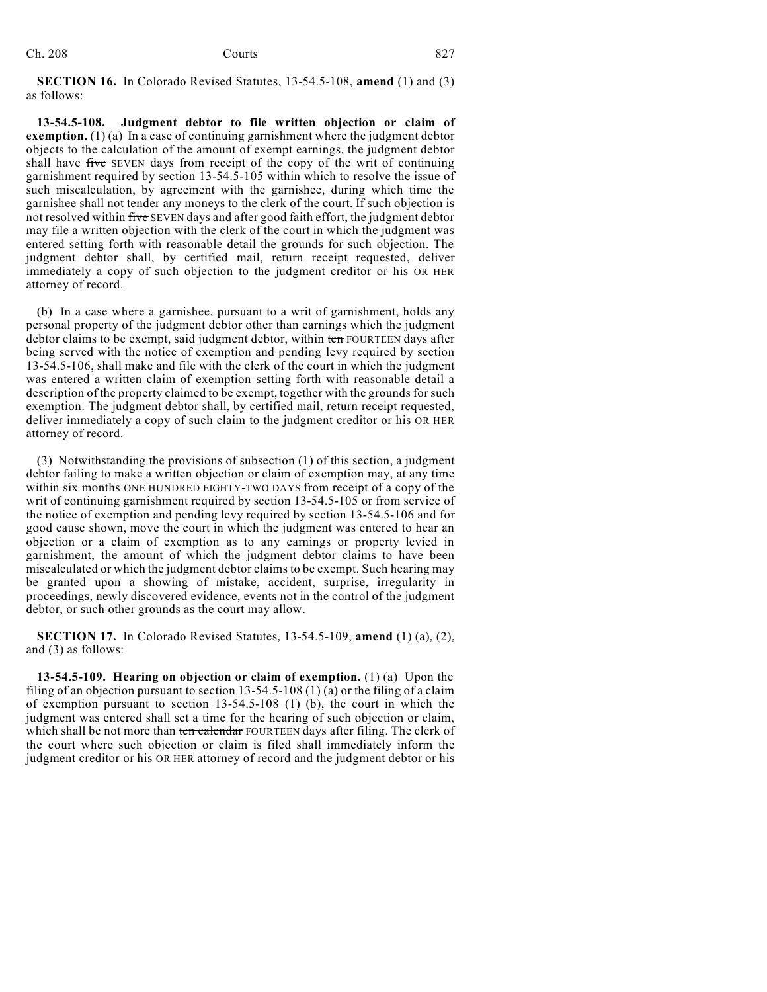**SECTION 16.** In Colorado Revised Statutes, 13-54.5-108, **amend** (1) and (3) as follows:

**13-54.5-108. Judgment debtor to file written objection or claim of exemption.** (1) (a) In a case of continuing garnishment where the judgment debtor objects to the calculation of the amount of exempt earnings, the judgment debtor shall have five SEVEN days from receipt of the copy of the writ of continuing garnishment required by section 13-54.5-105 within which to resolve the issue of such miscalculation, by agreement with the garnishee, during which time the garnishee shall not tender any moneys to the clerk of the court. If such objection is not resolved within five SEVEN days and after good faith effort, the judgment debtor may file a written objection with the clerk of the court in which the judgment was entered setting forth with reasonable detail the grounds for such objection. The judgment debtor shall, by certified mail, return receipt requested, deliver immediately a copy of such objection to the judgment creditor or his OR HER attorney of record.

(b) In a case where a garnishee, pursuant to a writ of garnishment, holds any personal property of the judgment debtor other than earnings which the judgment debtor claims to be exempt, said judgment debtor, within ten FOURTEEN days after being served with the notice of exemption and pending levy required by section 13-54.5-106, shall make and file with the clerk of the court in which the judgment was entered a written claim of exemption setting forth with reasonable detail a description of the property claimed to be exempt, together with the grounds for such exemption. The judgment debtor shall, by certified mail, return receipt requested, deliver immediately a copy of such claim to the judgment creditor or his OR HER attorney of record.

(3) Notwithstanding the provisions of subsection (1) of this section, a judgment debtor failing to make a written objection or claim of exemption may, at any time within six months ONE HUNDRED EIGHTY-TWO DAYS from receipt of a copy of the writ of continuing garnishment required by section 13-54.5-105 or from service of the notice of exemption and pending levy required by section 13-54.5-106 and for good cause shown, move the court in which the judgment was entered to hear an objection or a claim of exemption as to any earnings or property levied in garnishment, the amount of which the judgment debtor claims to have been miscalculated or which the judgment debtor claims to be exempt. Such hearing may be granted upon a showing of mistake, accident, surprise, irregularity in proceedings, newly discovered evidence, events not in the control of the judgment debtor, or such other grounds as the court may allow.

**SECTION 17.** In Colorado Revised Statutes, 13-54.5-109, **amend** (1) (a), (2), and (3) as follows:

**13-54.5-109. Hearing on objection or claim of exemption.** (1) (a) Upon the filing of an objection pursuant to section 13-54.5-108 (1) (a) or the filing of a claim of exemption pursuant to section 13-54.5-108 (1) (b), the court in which the judgment was entered shall set a time for the hearing of such objection or claim, which shall be not more than ten calendar FOURTEEN days after filing. The clerk of the court where such objection or claim is filed shall immediately inform the judgment creditor or his OR HER attorney of record and the judgment debtor or his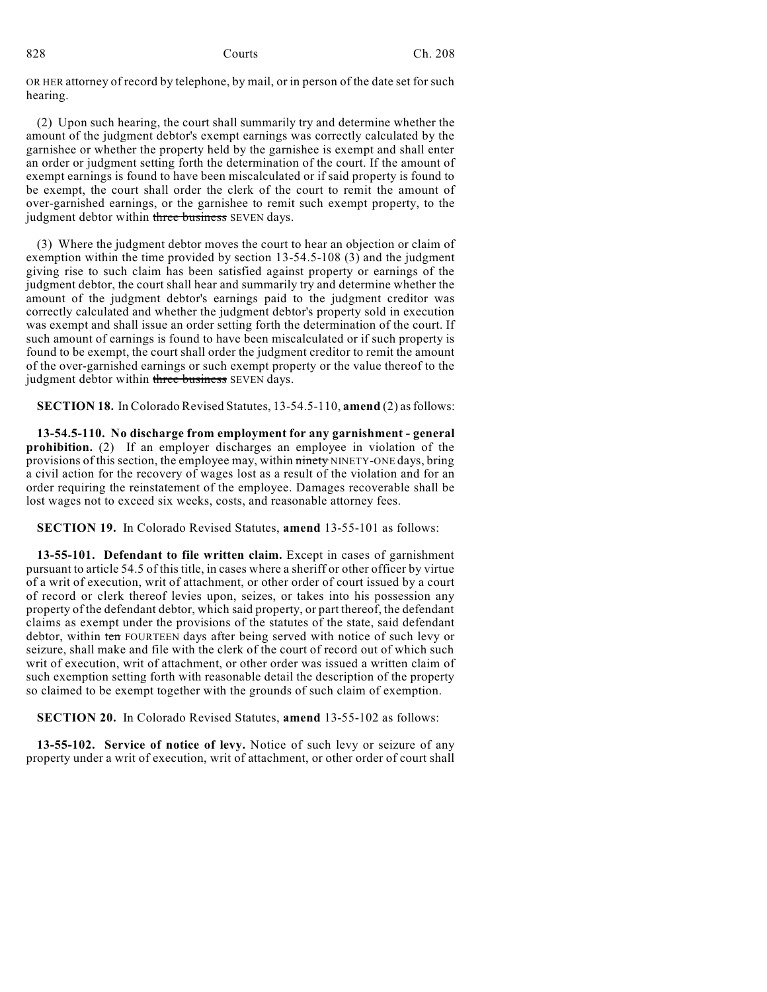OR HER attorney of record by telephone, by mail, or in person of the date set for such hearing.

(2) Upon such hearing, the court shall summarily try and determine whether the amount of the judgment debtor's exempt earnings was correctly calculated by the garnishee or whether the property held by the garnishee is exempt and shall enter an order or judgment setting forth the determination of the court. If the amount of exempt earnings is found to have been miscalculated or if said property is found to be exempt, the court shall order the clerk of the court to remit the amount of over-garnished earnings, or the garnishee to remit such exempt property, to the judgment debtor within three business SEVEN days.

(3) Where the judgment debtor moves the court to hear an objection or claim of exemption within the time provided by section 13-54.5-108 (3) and the judgment giving rise to such claim has been satisfied against property or earnings of the judgment debtor, the court shall hear and summarily try and determine whether the amount of the judgment debtor's earnings paid to the judgment creditor was correctly calculated and whether the judgment debtor's property sold in execution was exempt and shall issue an order setting forth the determination of the court. If such amount of earnings is found to have been miscalculated or if such property is found to be exempt, the court shall order the judgment creditor to remit the amount of the over-garnished earnings or such exempt property or the value thereof to the judgment debtor within three business SEVEN days.

**SECTION 18.** In Colorado Revised Statutes, 13-54.5-110, **amend** (2) asfollows:

**13-54.5-110. No discharge from employment for any garnishment - general prohibition.** (2) If an employer discharges an employee in violation of the provisions of this section, the employee may, within ninety NINETY-ONE days, bring a civil action for the recovery of wages lost as a result of the violation and for an order requiring the reinstatement of the employee. Damages recoverable shall be lost wages not to exceed six weeks, costs, and reasonable attorney fees.

**SECTION 19.** In Colorado Revised Statutes, **amend** 13-55-101 as follows:

**13-55-101. Defendant to file written claim.** Except in cases of garnishment pursuant to article 54.5 of this title, in cases where a sheriff or other officer by virtue of a writ of execution, writ of attachment, or other order of court issued by a court of record or clerk thereof levies upon, seizes, or takes into his possession any property of the defendant debtor, which said property, or part thereof, the defendant claims as exempt under the provisions of the statutes of the state, said defendant debtor, within ten FOURTEEN days after being served with notice of such levy or seizure, shall make and file with the clerk of the court of record out of which such writ of execution, writ of attachment, or other order was issued a written claim of such exemption setting forth with reasonable detail the description of the property so claimed to be exempt together with the grounds of such claim of exemption.

**SECTION 20.** In Colorado Revised Statutes, **amend** 13-55-102 as follows:

**13-55-102. Service of notice of levy.** Notice of such levy or seizure of any property under a writ of execution, writ of attachment, or other order of court shall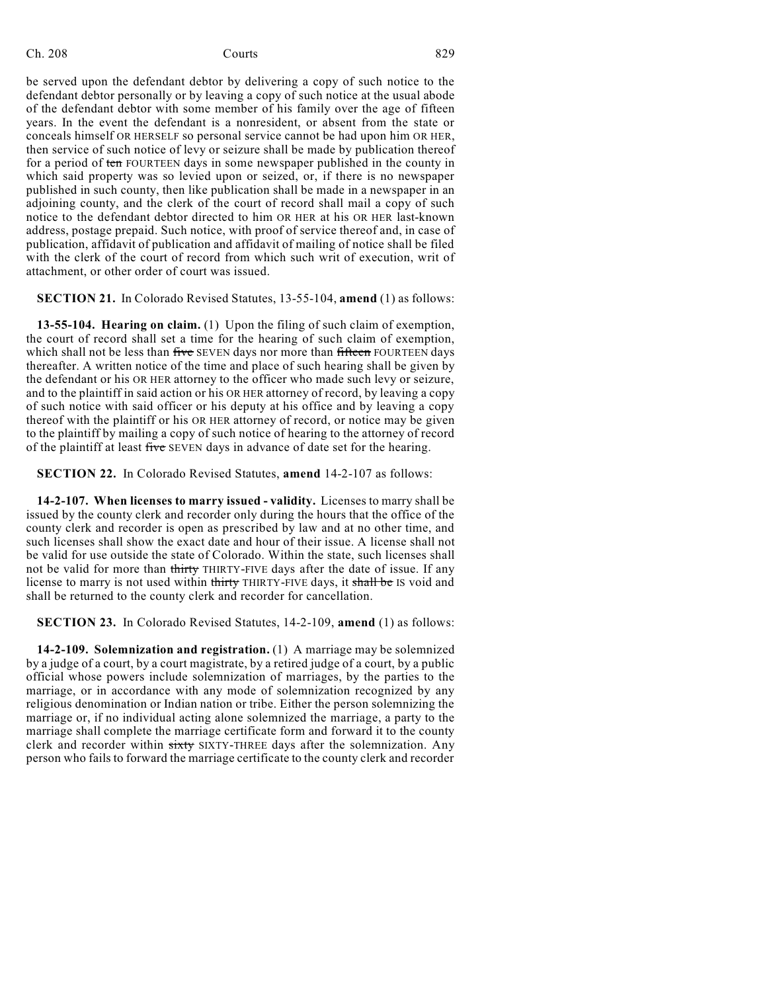be served upon the defendant debtor by delivering a copy of such notice to the defendant debtor personally or by leaving a copy of such notice at the usual abode of the defendant debtor with some member of his family over the age of fifteen years. In the event the defendant is a nonresident, or absent from the state or conceals himself OR HERSELF so personal service cannot be had upon him OR HER, then service of such notice of levy or seizure shall be made by publication thereof for a period of ten FOURTEEN days in some newspaper published in the county in which said property was so levied upon or seized, or, if there is no newspaper published in such county, then like publication shall be made in a newspaper in an adjoining county, and the clerk of the court of record shall mail a copy of such notice to the defendant debtor directed to him OR HER at his OR HER last-known address, postage prepaid. Such notice, with proof of service thereof and, in case of publication, affidavit of publication and affidavit of mailing of notice shall be filed with the clerk of the court of record from which such writ of execution, writ of attachment, or other order of court was issued.

**SECTION 21.** In Colorado Revised Statutes, 13-55-104, **amend** (1) as follows:

**13-55-104. Hearing on claim.** (1) Upon the filing of such claim of exemption, the court of record shall set a time for the hearing of such claim of exemption, which shall not be less than five SEVEN days nor more than fifteen FOURTEEN days thereafter. A written notice of the time and place of such hearing shall be given by the defendant or his OR HER attorney to the officer who made such levy or seizure, and to the plaintiff in said action or his OR HER attorney of record, by leaving a copy of such notice with said officer or his deputy at his office and by leaving a copy thereof with the plaintiff or his OR HER attorney of record, or notice may be given to the plaintiff by mailing a copy of such notice of hearing to the attorney of record of the plaintiff at least five SEVEN days in advance of date set for the hearing.

**SECTION 22.** In Colorado Revised Statutes, **amend** 14-2-107 as follows:

**14-2-107. When licenses to marry issued - validity.** Licenses to marry shall be issued by the county clerk and recorder only during the hours that the office of the county clerk and recorder is open as prescribed by law and at no other time, and such licenses shall show the exact date and hour of their issue. A license shall not be valid for use outside the state of Colorado. Within the state, such licenses shall not be valid for more than thirty THIRTY-FIVE days after the date of issue. If any license to marry is not used within thirty THIRTY-FIVE days, it shall be IS void and shall be returned to the county clerk and recorder for cancellation.

**SECTION 23.** In Colorado Revised Statutes, 14-2-109, **amend** (1) as follows:

**14-2-109. Solemnization and registration.** (1) A marriage may be solemnized by a judge of a court, by a court magistrate, by a retired judge of a court, by a public official whose powers include solemnization of marriages, by the parties to the marriage, or in accordance with any mode of solemnization recognized by any religious denomination or Indian nation or tribe. Either the person solemnizing the marriage or, if no individual acting alone solemnized the marriage, a party to the marriage shall complete the marriage certificate form and forward it to the county clerk and recorder within sixty SIXTY-THREE days after the solemnization. Any person who fails to forward the marriage certificate to the county clerk and recorder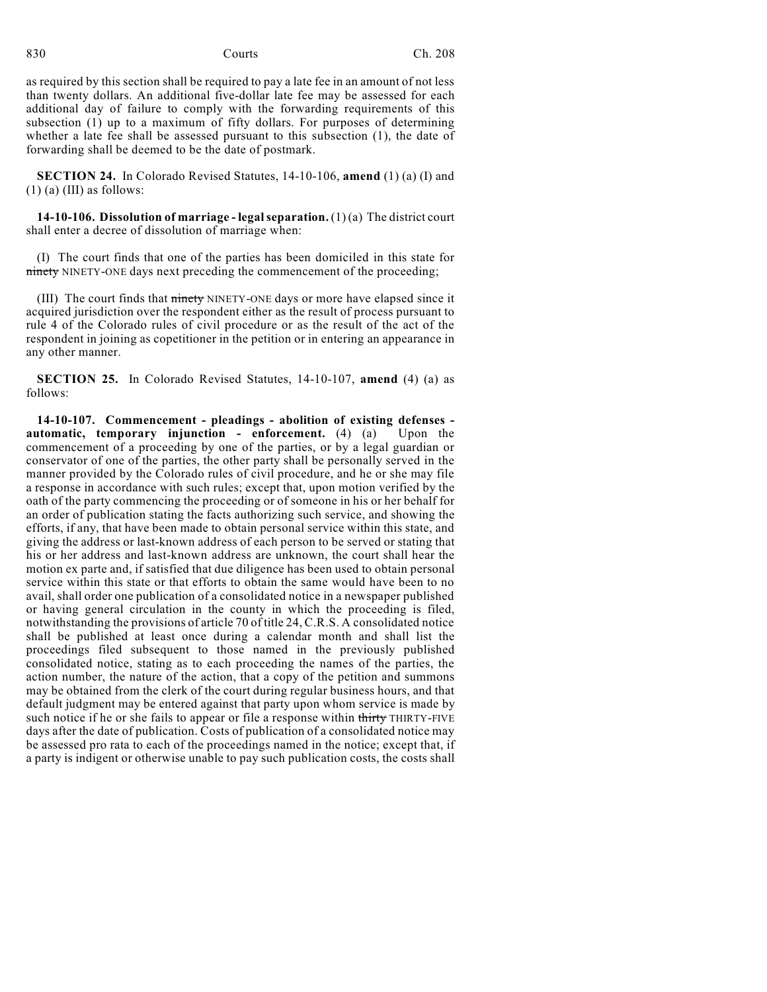as required by this section shall be required to pay a late fee in an amount of not less than twenty dollars. An additional five-dollar late fee may be assessed for each additional day of failure to comply with the forwarding requirements of this subsection (1) up to a maximum of fifty dollars. For purposes of determining whether a late fee shall be assessed pursuant to this subsection (1), the date of forwarding shall be deemed to be the date of postmark.

**SECTION 24.** In Colorado Revised Statutes, 14-10-106, **amend** (1) (a) (I) and  $(1)$  (a) (III) as follows:

**14-10-106. Dissolution of marriage - legalseparation.** (1) (a) The district court shall enter a decree of dissolution of marriage when:

(I) The court finds that one of the parties has been domiciled in this state for ninety NINETY-ONE days next preceding the commencement of the proceeding;

(III) The court finds that ninety NINETY-ONE days or more have elapsed since it acquired jurisdiction over the respondent either as the result of process pursuant to rule 4 of the Colorado rules of civil procedure or as the result of the act of the respondent in joining as copetitioner in the petition or in entering an appearance in any other manner.

**SECTION 25.** In Colorado Revised Statutes, 14-10-107, **amend** (4) (a) as follows:

**14-10-107. Commencement - pleadings - abolition of existing defenses automatic, temporary injunction - enforcement.** (4) (a) Upon the commencement of a proceeding by one of the parties, or by a legal guardian or conservator of one of the parties, the other party shall be personally served in the manner provided by the Colorado rules of civil procedure, and he or she may file a response in accordance with such rules; except that, upon motion verified by the oath of the party commencing the proceeding or of someone in his or her behalf for an order of publication stating the facts authorizing such service, and showing the efforts, if any, that have been made to obtain personal service within this state, and giving the address or last-known address of each person to be served or stating that his or her address and last-known address are unknown, the court shall hear the motion ex parte and, if satisfied that due diligence has been used to obtain personal service within this state or that efforts to obtain the same would have been to no avail, shall order one publication of a consolidated notice in a newspaper published or having general circulation in the county in which the proceeding is filed, notwithstanding the provisions of article 70 of title 24, C.R.S. A consolidated notice shall be published at least once during a calendar month and shall list the proceedings filed subsequent to those named in the previously published consolidated notice, stating as to each proceeding the names of the parties, the action number, the nature of the action, that a copy of the petition and summons may be obtained from the clerk of the court during regular business hours, and that default judgment may be entered against that party upon whom service is made by such notice if he or she fails to appear or file a response within thirty THIRTY-FIVE days after the date of publication. Costs of publication of a consolidated notice may be assessed pro rata to each of the proceedings named in the notice; except that, if a party is indigent or otherwise unable to pay such publication costs, the costs shall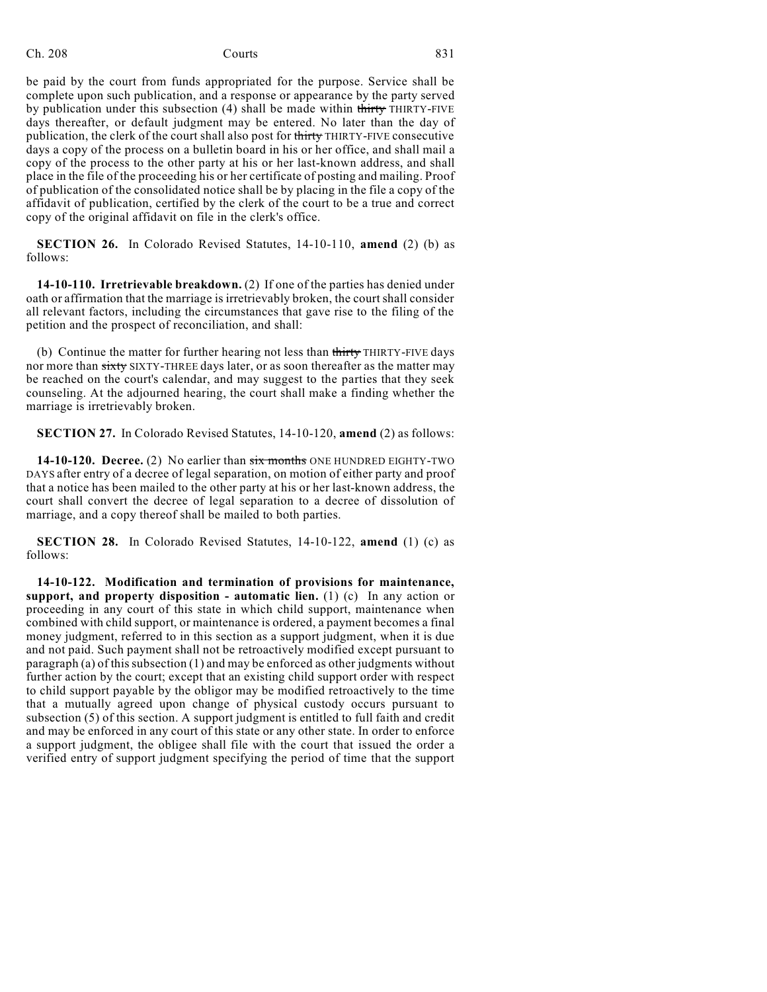be paid by the court from funds appropriated for the purpose. Service shall be complete upon such publication, and a response or appearance by the party served by publication under this subsection (4) shall be made within thirty THIRTY-FIVE days thereafter, or default judgment may be entered. No later than the day of publication, the clerk of the court shall also post for thirty THIRTY-FIVE consecutive days a copy of the process on a bulletin board in his or her office, and shall mail a copy of the process to the other party at his or her last-known address, and shall place in the file of the proceeding his or her certificate of posting and mailing. Proof of publication of the consolidated notice shall be by placing in the file a copy of the affidavit of publication, certified by the clerk of the court to be a true and correct copy of the original affidavit on file in the clerk's office.

**SECTION 26.** In Colorado Revised Statutes, 14-10-110, **amend** (2) (b) as follows:

**14-10-110. Irretrievable breakdown.** (2) If one of the parties has denied under oath or affirmation that the marriage is irretrievably broken, the court shall consider all relevant factors, including the circumstances that gave rise to the filing of the petition and the prospect of reconciliation, and shall:

(b) Continue the matter for further hearing not less than thirty THIRTY-FIVE days nor more than sixty SIXTY-THREE days later, or as soon thereafter as the matter may be reached on the court's calendar, and may suggest to the parties that they seek counseling. At the adjourned hearing, the court shall make a finding whether the marriage is irretrievably broken.

**SECTION 27.** In Colorado Revised Statutes, 14-10-120, **amend** (2) as follows:

**14-10-120. Decree.** (2) No earlier than six months ONE HUNDRED EIGHTY-TWO DAYS after entry of a decree of legal separation, on motion of either party and proof that a notice has been mailed to the other party at his or her last-known address, the court shall convert the decree of legal separation to a decree of dissolution of marriage, and a copy thereof shall be mailed to both parties.

**SECTION 28.** In Colorado Revised Statutes, 14-10-122, **amend** (1) (c) as follows:

**14-10-122. Modification and termination of provisions for maintenance, support, and property disposition - automatic lien.** (1) (c) In any action or proceeding in any court of this state in which child support, maintenance when combined with child support, or maintenance is ordered, a payment becomes a final money judgment, referred to in this section as a support judgment, when it is due and not paid. Such payment shall not be retroactively modified except pursuant to paragraph (a) of this subsection  $(1)$  and may be enforced as other judgments without further action by the court; except that an existing child support order with respect to child support payable by the obligor may be modified retroactively to the time that a mutually agreed upon change of physical custody occurs pursuant to subsection (5) of this section. A support judgment is entitled to full faith and credit and may be enforced in any court of this state or any other state. In order to enforce a support judgment, the obligee shall file with the court that issued the order a verified entry of support judgment specifying the period of time that the support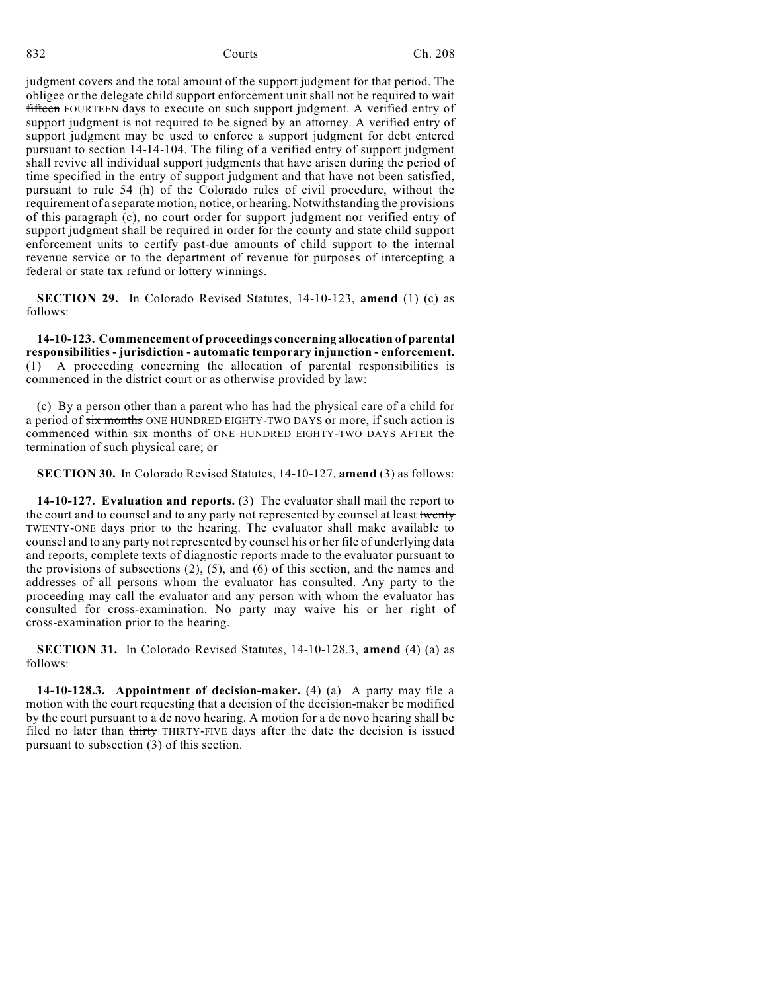judgment covers and the total amount of the support judgment for that period. The obligee or the delegate child support enforcement unit shall not be required to wait **fifteen** FOURTEEN days to execute on such support judgment. A verified entry of support judgment is not required to be signed by an attorney. A verified entry of support judgment may be used to enforce a support judgment for debt entered pursuant to section 14-14-104. The filing of a verified entry of support judgment shall revive all individual support judgments that have arisen during the period of time specified in the entry of support judgment and that have not been satisfied, pursuant to rule 54 (h) of the Colorado rules of civil procedure, without the requirement of a separate motion, notice, or hearing. Notwithstanding the provisions of this paragraph (c), no court order for support judgment nor verified entry of support judgment shall be required in order for the county and state child support enforcement units to certify past-due amounts of child support to the internal revenue service or to the department of revenue for purposes of intercepting a federal or state tax refund or lottery winnings.

**SECTION 29.** In Colorado Revised Statutes, 14-10-123, **amend** (1) (c) as follows:

**14-10-123. Commencement of proceedings concerning allocation of parental responsibilities - jurisdiction - automatic temporary injunction - enforcement.** (1) A proceeding concerning the allocation of parental responsibilities is commenced in the district court or as otherwise provided by law:

(c) By a person other than a parent who has had the physical care of a child for a period of six months ONE HUNDRED EIGHTY-TWO DAYS or more, if such action is commenced within six months of ONE HUNDRED EIGHTY-TWO DAYS AFTER the termination of such physical care; or

**SECTION 30.** In Colorado Revised Statutes, 14-10-127, **amend** (3) as follows:

**14-10-127. Evaluation and reports.** (3) The evaluator shall mail the report to the court and to counsel and to any party not represented by counsel at least twenty TWENTY-ONE days prior to the hearing. The evaluator shall make available to counsel and to any party not represented by counsel his or her file of underlying data and reports, complete texts of diagnostic reports made to the evaluator pursuant to the provisions of subsections  $(2)$ ,  $(5)$ , and  $(6)$  of this section, and the names and addresses of all persons whom the evaluator has consulted. Any party to the proceeding may call the evaluator and any person with whom the evaluator has consulted for cross-examination. No party may waive his or her right of cross-examination prior to the hearing.

**SECTION 31.** In Colorado Revised Statutes, 14-10-128.3, **amend** (4) (a) as follows:

**14-10-128.3. Appointment of decision-maker.** (4) (a) A party may file a motion with the court requesting that a decision of the decision-maker be modified by the court pursuant to a de novo hearing. A motion for a de novo hearing shall be filed no later than thirty THIRTY-FIVE days after the date the decision is issued pursuant to subsection (3) of this section.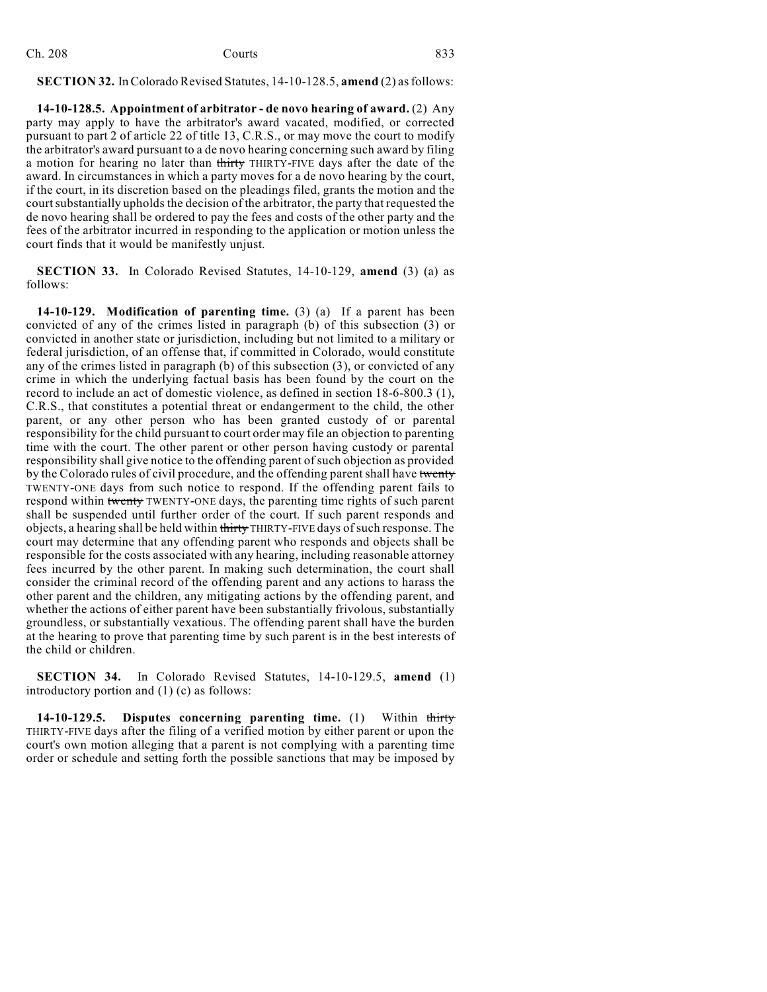| Ch. 208 | Courts | 833 |
|---------|--------|-----|
|         |        |     |

# **SECTION 32.** InColorado Revised Statutes, 14-10-128.5, **amend** (2) asfollows:

**14-10-128.5. Appointment of arbitrator - de novo hearing of award.** (2) Any party may apply to have the arbitrator's award vacated, modified, or corrected pursuant to part 2 of article 22 of title 13, C.R.S., or may move the court to modify the arbitrator's award pursuant to a de novo hearing concerning such award by filing a motion for hearing no later than thirty THIRTY-FIVE days after the date of the award. In circumstances in which a party moves for a de novo hearing by the court, if the court, in its discretion based on the pleadings filed, grants the motion and the court substantially upholds the decision of the arbitrator, the party that requested the de novo hearing shall be ordered to pay the fees and costs of the other party and the fees of the arbitrator incurred in responding to the application or motion unless the court finds that it would be manifestly unjust.

**SECTION 33.** In Colorado Revised Statutes, 14-10-129, **amend** (3) (a) as follows:

**14-10-129. Modification of parenting time.** (3) (a) If a parent has been convicted of any of the crimes listed in paragraph (b) of this subsection (3) or convicted in another state or jurisdiction, including but not limited to a military or federal jurisdiction, of an offense that, if committed in Colorado, would constitute any of the crimes listed in paragraph (b) of this subsection (3), or convicted of any crime in which the underlying factual basis has been found by the court on the record to include an act of domestic violence, as defined in section 18-6-800.3 (1), C.R.S., that constitutes a potential threat or endangerment to the child, the other parent, or any other person who has been granted custody of or parental responsibility for the child pursuant to court order may file an objection to parenting time with the court. The other parent or other person having custody or parental responsibility shall give notice to the offending parent of such objection as provided by the Colorado rules of civil procedure, and the offending parent shall have twenty TWENTY-ONE days from such notice to respond. If the offending parent fails to respond within twenty TWENTY-ONE days, the parenting time rights of such parent shall be suspended until further order of the court. If such parent responds and objects, a hearing shall be held within thirty THIRTY-FIVE days of such response. The court may determine that any offending parent who responds and objects shall be responsible for the costs associated with any hearing, including reasonable attorney fees incurred by the other parent. In making such determination, the court shall consider the criminal record of the offending parent and any actions to harass the other parent and the children, any mitigating actions by the offending parent, and whether the actions of either parent have been substantially frivolous, substantially groundless, or substantially vexatious. The offending parent shall have the burden at the hearing to prove that parenting time by such parent is in the best interests of the child or children.

**SECTION 34.** In Colorado Revised Statutes, 14-10-129.5, **amend** (1) introductory portion and (1) (c) as follows:

**14-10-129.5. Disputes concerning parenting time.** (1) Within thirty THIRTY-FIVE days after the filing of a verified motion by either parent or upon the court's own motion alleging that a parent is not complying with a parenting time order or schedule and setting forth the possible sanctions that may be imposed by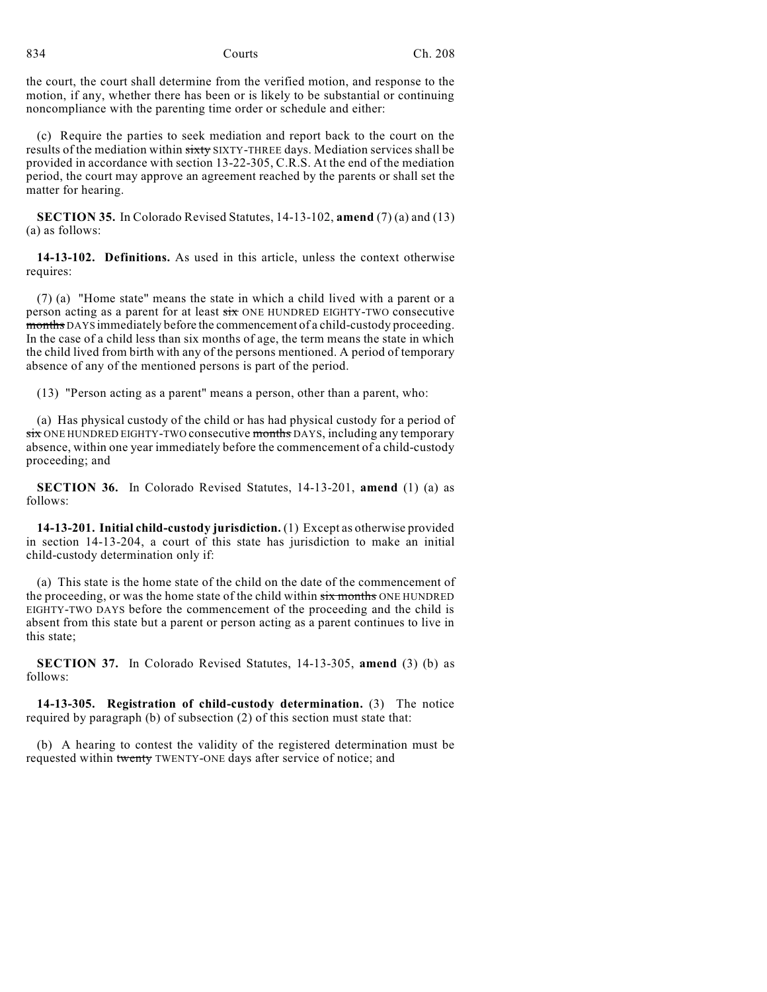the court, the court shall determine from the verified motion, and response to the motion, if any, whether there has been or is likely to be substantial or continuing noncompliance with the parenting time order or schedule and either:

(c) Require the parties to seek mediation and report back to the court on the results of the mediation within sixty SIXTY-THREE days. Mediation services shall be provided in accordance with section 13-22-305, C.R.S. At the end of the mediation period, the court may approve an agreement reached by the parents or shall set the matter for hearing.

**SECTION 35.** In Colorado Revised Statutes, 14-13-102, **amend** (7) (a) and (13) (a) as follows:

**14-13-102. Definitions.** As used in this article, unless the context otherwise requires:

(7) (a) "Home state" means the state in which a child lived with a parent or a person acting as a parent for at least six ONE HUNDRED EIGHTY-TWO consecutive months DAYS immediately before the commencement of a child-custody proceeding. In the case of a child less than six months of age, the term means the state in which the child lived from birth with any of the persons mentioned. A period of temporary absence of any of the mentioned persons is part of the period.

(13) "Person acting as a parent" means a person, other than a parent, who:

(a) Has physical custody of the child or has had physical custody for a period of six ONE HUNDRED EIGHTY-TWO consecutive months DAYS, including any temporary absence, within one year immediately before the commencement of a child-custody proceeding; and

**SECTION 36.** In Colorado Revised Statutes, 14-13-201, **amend** (1) (a) as follows:

**14-13-201. Initial child-custody jurisdiction.** (1) Except as otherwise provided in section 14-13-204, a court of this state has jurisdiction to make an initial child-custody determination only if:

(a) This state is the home state of the child on the date of the commencement of the proceeding, or was the home state of the child within  $six$  months ONE HUNDRED EIGHTY-TWO DAYS before the commencement of the proceeding and the child is absent from this state but a parent or person acting as a parent continues to live in this state;

**SECTION 37.** In Colorado Revised Statutes, 14-13-305, **amend** (3) (b) as follows:

**14-13-305. Registration of child-custody determination.** (3) The notice required by paragraph (b) of subsection (2) of this section must state that:

(b) A hearing to contest the validity of the registered determination must be requested within twenty TWENTY-ONE days after service of notice; and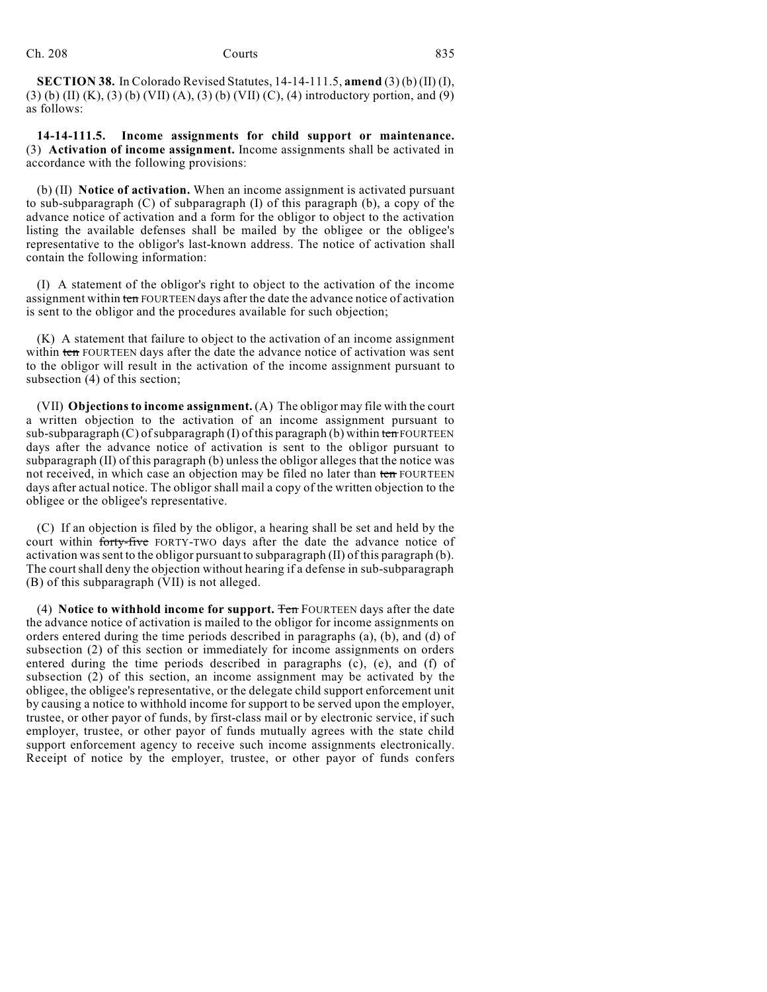**SECTION 38.** In Colorado Revised Statutes, 14-14-111.5, **amend** (3) (b) (II) (I), (3) (b) (II) (K), (3) (b) (VII) (A), (3) (b) (VII) (C), (4) introductory portion, and (9) as follows:

**14-14-111.5. Income assignments for child support or maintenance.** (3) **Activation of income assignment.** Income assignments shall be activated in accordance with the following provisions:

(b) (II) **Notice of activation.** When an income assignment is activated pursuant to sub-subparagraph (C) of subparagraph (I) of this paragraph (b), a copy of the advance notice of activation and a form for the obligor to object to the activation listing the available defenses shall be mailed by the obligee or the obligee's representative to the obligor's last-known address. The notice of activation shall contain the following information:

(I) A statement of the obligor's right to object to the activation of the income assignment within ten FOURTEEN days after the date the advance notice of activation is sent to the obligor and the procedures available for such objection;

(K) A statement that failure to object to the activation of an income assignment within ten FOURTEEN days after the date the advance notice of activation was sent to the obligor will result in the activation of the income assignment pursuant to subsection (4) of this section;

(VII) **Objections to income assignment.** (A) The obligor may file with the court a written objection to the activation of an income assignment pursuant to sub-subparagraph  $(C)$  of subparagraph  $(I)$  of this paragraph  $(b)$  within ten FOURTEEN days after the advance notice of activation is sent to the obligor pursuant to subparagraph (II) of this paragraph (b) unless the obligor alleges that the notice was not received, in which case an objection may be filed no later than ten FOURTEEN days after actual notice. The obligor shall mail a copy of the written objection to the obligee or the obligee's representative.

(C) If an objection is filed by the obligor, a hearing shall be set and held by the court within forty-five FORTY-TWO days after the date the advance notice of activation wassent to the obligor pursuant to subparagraph (II) of this paragraph (b). The court shall deny the objection without hearing if a defense in sub-subparagraph (B) of this subparagraph (VII) is not alleged.

(4) **Notice to withhold income for support.** Ten FOURTEEN days after the date the advance notice of activation is mailed to the obligor for income assignments on orders entered during the time periods described in paragraphs (a), (b), and (d) of subsection (2) of this section or immediately for income assignments on orders entered during the time periods described in paragraphs (c), (e), and (f) of subsection (2) of this section, an income assignment may be activated by the obligee, the obligee's representative, or the delegate child support enforcement unit by causing a notice to withhold income for support to be served upon the employer, trustee, or other payor of funds, by first-class mail or by electronic service, if such employer, trustee, or other payor of funds mutually agrees with the state child support enforcement agency to receive such income assignments electronically. Receipt of notice by the employer, trustee, or other payor of funds confers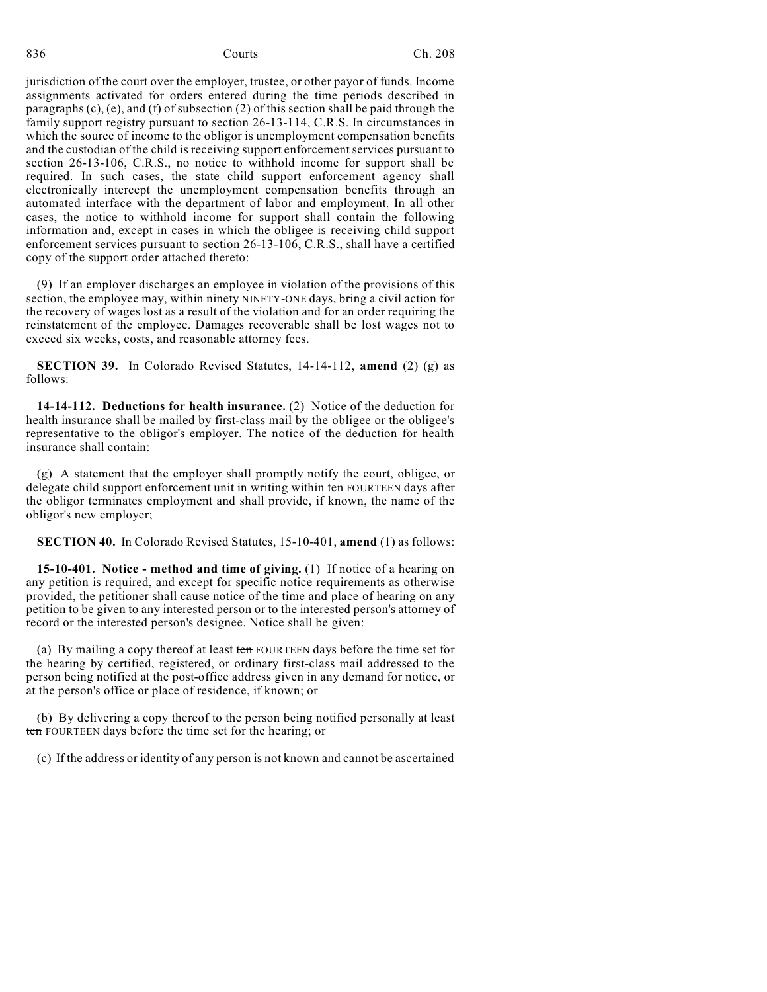jurisdiction of the court over the employer, trustee, or other payor of funds. Income assignments activated for orders entered during the time periods described in paragraphs  $(c)$ ,  $(e)$ , and  $(f)$  of subsection  $(2)$  of this section shall be paid through the family support registry pursuant to section 26-13-114, C.R.S. In circumstances in which the source of income to the obligor is unemployment compensation benefits and the custodian of the child is receiving support enforcement services pursuant to section 26-13-106, C.R.S., no notice to withhold income for support shall be required. In such cases, the state child support enforcement agency shall electronically intercept the unemployment compensation benefits through an automated interface with the department of labor and employment. In all other cases, the notice to withhold income for support shall contain the following information and, except in cases in which the obligee is receiving child support enforcement services pursuant to section 26-13-106, C.R.S., shall have a certified copy of the support order attached thereto:

(9) If an employer discharges an employee in violation of the provisions of this section, the employee may, within ninety NINETY-ONE days, bring a civil action for the recovery of wages lost as a result of the violation and for an order requiring the reinstatement of the employee. Damages recoverable shall be lost wages not to exceed six weeks, costs, and reasonable attorney fees.

**SECTION 39.** In Colorado Revised Statutes, 14-14-112, **amend** (2) (g) as follows:

**14-14-112. Deductions for health insurance.** (2) Notice of the deduction for health insurance shall be mailed by first-class mail by the obligee or the obligee's representative to the obligor's employer. The notice of the deduction for health insurance shall contain:

(g) A statement that the employer shall promptly notify the court, obligee, or delegate child support enforcement unit in writing within ten FOURTEEN days after the obligor terminates employment and shall provide, if known, the name of the obligor's new employer;

**SECTION 40.** In Colorado Revised Statutes, 15-10-401, **amend** (1) as follows:

**15-10-401. Notice - method and time of giving.** (1) If notice of a hearing on any petition is required, and except for specific notice requirements as otherwise provided, the petitioner shall cause notice of the time and place of hearing on any petition to be given to any interested person or to the interested person's attorney of record or the interested person's designee. Notice shall be given:

(a) By mailing a copy thereof at least ten FOURTEEN days before the time set for the hearing by certified, registered, or ordinary first-class mail addressed to the person being notified at the post-office address given in any demand for notice, or at the person's office or place of residence, if known; or

(b) By delivering a copy thereof to the person being notified personally at least ten FOURTEEN days before the time set for the hearing; or

(c) If the address or identity of any person is not known and cannot be ascertained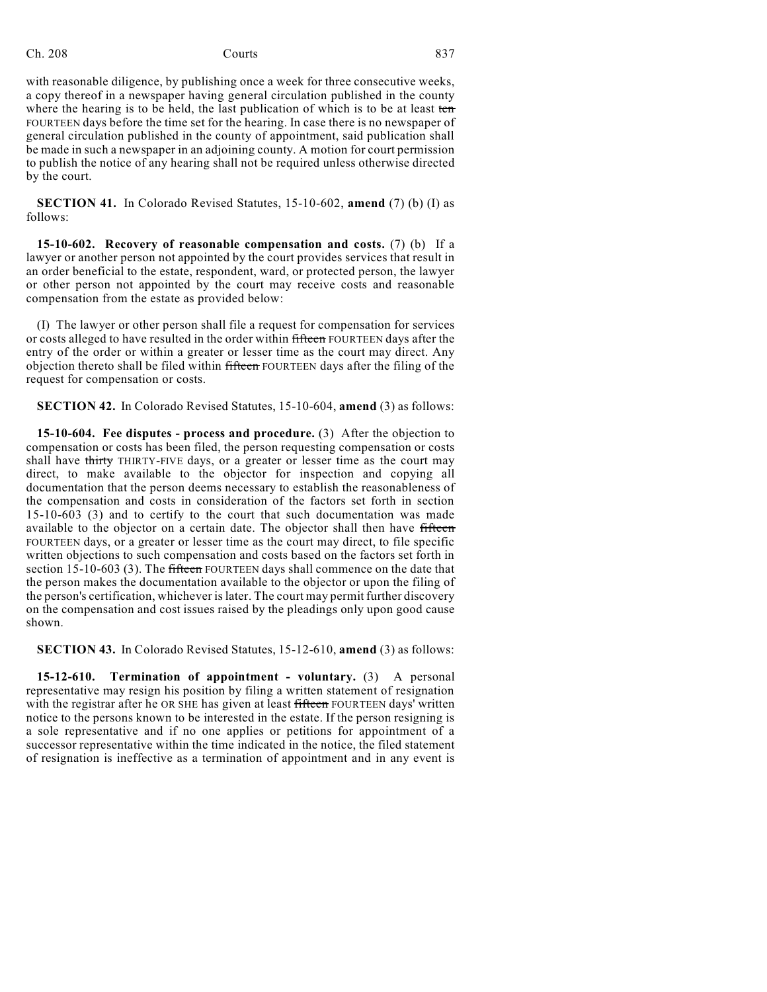with reasonable diligence, by publishing once a week for three consecutive weeks, a copy thereof in a newspaper having general circulation published in the county where the hearing is to be held, the last publication of which is to be at least ten FOURTEEN days before the time set for the hearing. In case there is no newspaper of general circulation published in the county of appointment, said publication shall be made in such a newspaper in an adjoining county. A motion for court permission to publish the notice of any hearing shall not be required unless otherwise directed by the court.

**SECTION 41.** In Colorado Revised Statutes, 15-10-602, **amend** (7) (b) (I) as follows:

**15-10-602. Recovery of reasonable compensation and costs.** (7) (b) If a lawyer or another person not appointed by the court provides services that result in an order beneficial to the estate, respondent, ward, or protected person, the lawyer or other person not appointed by the court may receive costs and reasonable compensation from the estate as provided below:

(I) The lawyer or other person shall file a request for compensation for services or costs alleged to have resulted in the order within fifteen FOURTEEN days after the entry of the order or within a greater or lesser time as the court may direct. Any objection thereto shall be filed within fifteen FOURTEEN days after the filing of the request for compensation or costs.

**SECTION 42.** In Colorado Revised Statutes, 15-10-604, **amend** (3) as follows:

**15-10-604. Fee disputes - process and procedure.** (3) After the objection to compensation or costs has been filed, the person requesting compensation or costs shall have thirty THIRTY-FIVE days, or a greater or lesser time as the court may direct, to make available to the objector for inspection and copying all documentation that the person deems necessary to establish the reasonableness of the compensation and costs in consideration of the factors set forth in section 15-10-603 (3) and to certify to the court that such documentation was made available to the objector on a certain date. The objector shall then have fifteen FOURTEEN days, or a greater or lesser time as the court may direct, to file specific written objections to such compensation and costs based on the factors set forth in section 15-10-603 (3). The fifteen FOURTEEN days shall commence on the date that the person makes the documentation available to the objector or upon the filing of the person's certification, whichever islater. The court may permit further discovery on the compensation and cost issues raised by the pleadings only upon good cause shown.

**SECTION 43.** In Colorado Revised Statutes, 15-12-610, **amend** (3) as follows:

**15-12-610. Termination of appointment - voluntary.** (3) A personal representative may resign his position by filing a written statement of resignation with the registrar after he OR SHE has given at least fifteen FOURTEEN days' written notice to the persons known to be interested in the estate. If the person resigning is a sole representative and if no one applies or petitions for appointment of a successor representative within the time indicated in the notice, the filed statement of resignation is ineffective as a termination of appointment and in any event is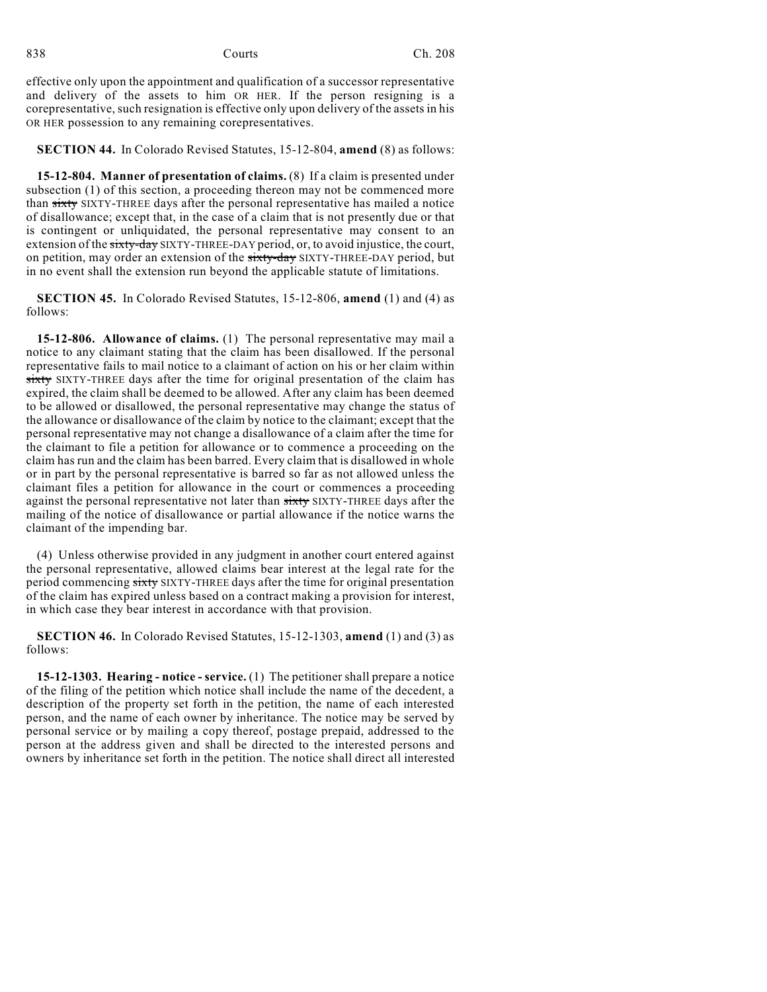effective only upon the appointment and qualification of a successor representative and delivery of the assets to him OR HER. If the person resigning is a corepresentative, such resignation is effective only upon delivery of the assets in his OR HER possession to any remaining corepresentatives.

**SECTION 44.** In Colorado Revised Statutes, 15-12-804, **amend** (8) as follows:

**15-12-804. Manner of presentation of claims.** (8) If a claim is presented under subsection (1) of this section, a proceeding thereon may not be commenced more than sixty SIXTY-THREE days after the personal representative has mailed a notice of disallowance; except that, in the case of a claim that is not presently due or that is contingent or unliquidated, the personal representative may consent to an extension of the sixty-day SIXTY-THREE-DAY period, or, to avoid injustice, the court, on petition, may order an extension of the sixty-day SIXTY-THREE-DAY period, but in no event shall the extension run beyond the applicable statute of limitations.

**SECTION 45.** In Colorado Revised Statutes, 15-12-806, **amend** (1) and (4) as follows:

**15-12-806. Allowance of claims.** (1) The personal representative may mail a notice to any claimant stating that the claim has been disallowed. If the personal representative fails to mail notice to a claimant of action on his or her claim within sixty SIXTY-THREE days after the time for original presentation of the claim has expired, the claim shall be deemed to be allowed. After any claim has been deemed to be allowed or disallowed, the personal representative may change the status of the allowance or disallowance of the claim by notice to the claimant; except that the personal representative may not change a disallowance of a claim after the time for the claimant to file a petition for allowance or to commence a proceeding on the claim has run and the claim has been barred. Every claim that is disallowed in whole or in part by the personal representative is barred so far as not allowed unless the claimant files a petition for allowance in the court or commences a proceeding against the personal representative not later than sixty SIXTY-THREE days after the mailing of the notice of disallowance or partial allowance if the notice warns the claimant of the impending bar.

(4) Unless otherwise provided in any judgment in another court entered against the personal representative, allowed claims bear interest at the legal rate for the period commencing sixty SIXTY-THREE days after the time for original presentation of the claim has expired unless based on a contract making a provision for interest, in which case they bear interest in accordance with that provision.

**SECTION 46.** In Colorado Revised Statutes, 15-12-1303, **amend** (1) and (3) as follows:

**15-12-1303. Hearing - notice - service.** (1) The petitioner shall prepare a notice of the filing of the petition which notice shall include the name of the decedent, a description of the property set forth in the petition, the name of each interested person, and the name of each owner by inheritance. The notice may be served by personal service or by mailing a copy thereof, postage prepaid, addressed to the person at the address given and shall be directed to the interested persons and owners by inheritance set forth in the petition. The notice shall direct all interested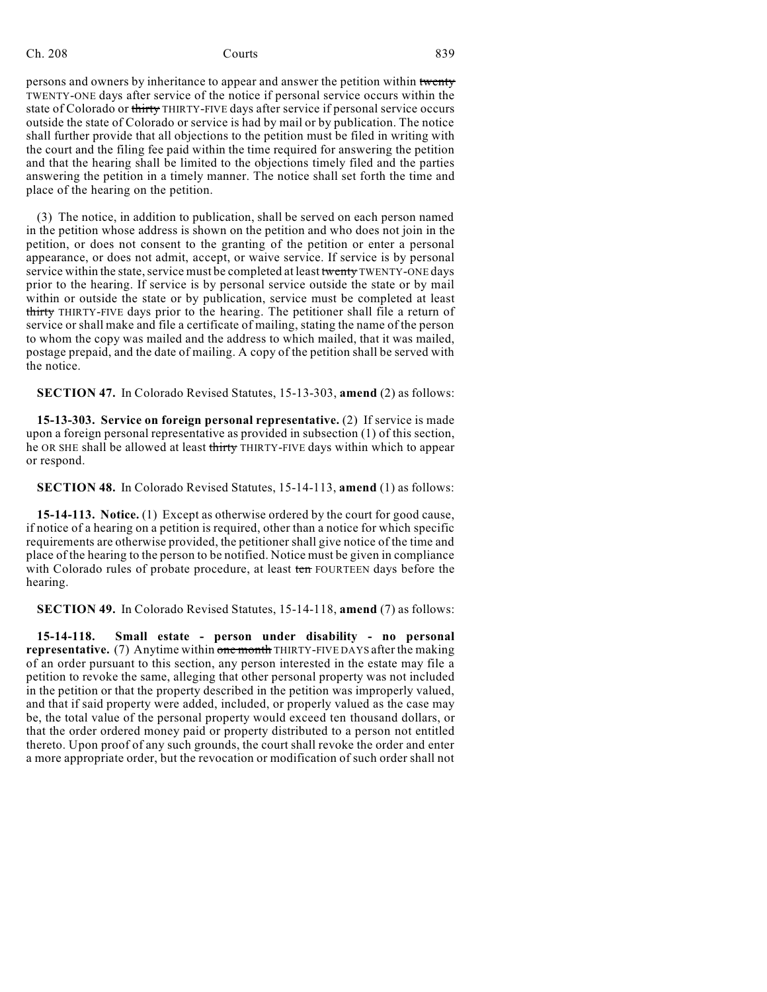persons and owners by inheritance to appear and answer the petition within twenty TWENTY-ONE days after service of the notice if personal service occurs within the state of Colorado or thirty THIRTY-FIVE days after service if personal service occurs outside the state of Colorado or service is had by mail or by publication. The notice shall further provide that all objections to the petition must be filed in writing with the court and the filing fee paid within the time required for answering the petition and that the hearing shall be limited to the objections timely filed and the parties answering the petition in a timely manner. The notice shall set forth the time and place of the hearing on the petition.

(3) The notice, in addition to publication, shall be served on each person named in the petition whose address is shown on the petition and who does not join in the petition, or does not consent to the granting of the petition or enter a personal appearance, or does not admit, accept, or waive service. If service is by personal service within the state, service must be completed at least twenty TWENTY-ONE days prior to the hearing. If service is by personal service outside the state or by mail within or outside the state or by publication, service must be completed at least thirty THIRTY-FIVE days prior to the hearing. The petitioner shall file a return of service or shall make and file a certificate of mailing, stating the name of the person to whom the copy was mailed and the address to which mailed, that it was mailed, postage prepaid, and the date of mailing. A copy of the petition shall be served with the notice.

**SECTION 47.** In Colorado Revised Statutes, 15-13-303, **amend** (2) as follows:

**15-13-303. Service on foreign personal representative.** (2) If service is made upon a foreign personal representative as provided in subsection (1) of this section, he OR SHE shall be allowed at least thirty THIRTY-FIVE days within which to appear or respond.

**SECTION 48.** In Colorado Revised Statutes, 15-14-113, **amend** (1) as follows:

**15-14-113. Notice.** (1) Except as otherwise ordered by the court for good cause, if notice of a hearing on a petition is required, other than a notice for which specific requirements are otherwise provided, the petitioner shall give notice of the time and place of the hearing to the person to be notified. Notice must be given in compliance with Colorado rules of probate procedure, at least ten FOURTEEN days before the hearing.

**SECTION 49.** In Colorado Revised Statutes, 15-14-118, **amend** (7) as follows:

**15-14-118. Small estate - person under disability - no personal representative.** (7) Anytime within one month THIRTY-FIVE DAYS after the making of an order pursuant to this section, any person interested in the estate may file a petition to revoke the same, alleging that other personal property was not included in the petition or that the property described in the petition was improperly valued, and that if said property were added, included, or properly valued as the case may be, the total value of the personal property would exceed ten thousand dollars, or that the order ordered money paid or property distributed to a person not entitled thereto. Upon proof of any such grounds, the court shall revoke the order and enter a more appropriate order, but the revocation or modification of such order shall not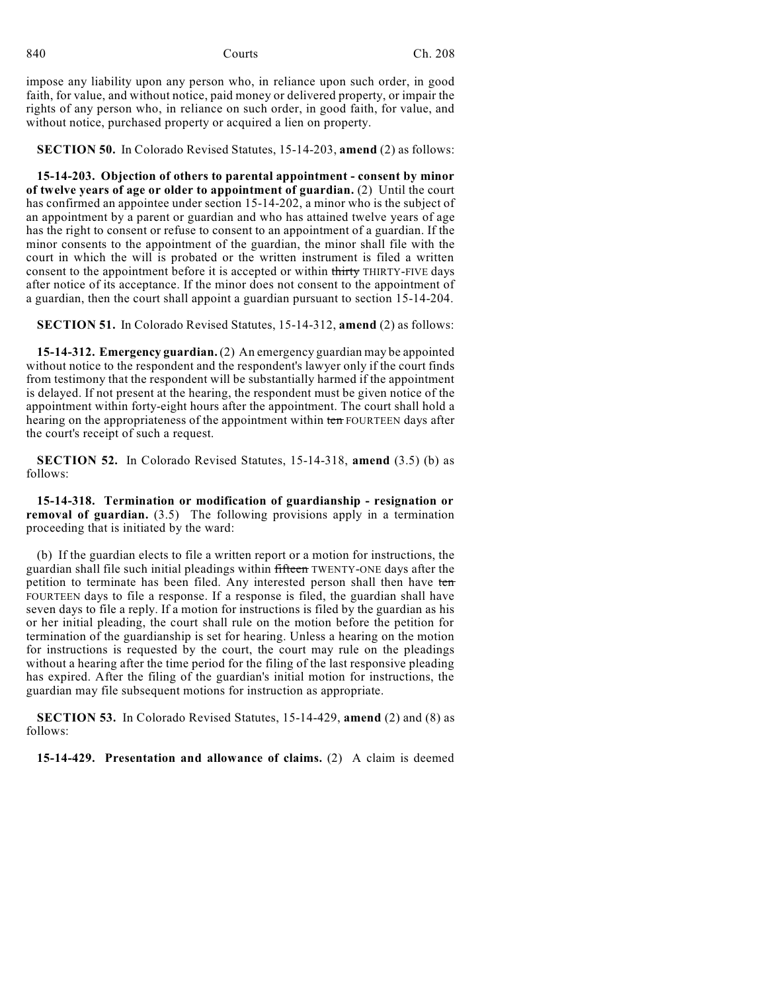impose any liability upon any person who, in reliance upon such order, in good faith, for value, and without notice, paid money or delivered property, or impair the rights of any person who, in reliance on such order, in good faith, for value, and without notice, purchased property or acquired a lien on property.

**SECTION 50.** In Colorado Revised Statutes, 15-14-203, **amend** (2) as follows:

**15-14-203. Objection of others to parental appointment - consent by minor of twelve years of age or older to appointment of guardian.** (2) Until the court has confirmed an appointee under section 15-14-202, a minor who is the subject of an appointment by a parent or guardian and who has attained twelve years of age has the right to consent or refuse to consent to an appointment of a guardian. If the minor consents to the appointment of the guardian, the minor shall file with the court in which the will is probated or the written instrument is filed a written consent to the appointment before it is accepted or within thirty THIRTY-FIVE days after notice of its acceptance. If the minor does not consent to the appointment of a guardian, then the court shall appoint a guardian pursuant to section 15-14-204.

**SECTION 51.** In Colorado Revised Statutes, 15-14-312, **amend** (2) as follows:

**15-14-312. Emergency guardian.**(2) An emergency guardian may be appointed without notice to the respondent and the respondent's lawyer only if the court finds from testimony that the respondent will be substantially harmed if the appointment is delayed. If not present at the hearing, the respondent must be given notice of the appointment within forty-eight hours after the appointment. The court shall hold a hearing on the appropriateness of the appointment within ten FOURTEEN days after the court's receipt of such a request.

**SECTION 52.** In Colorado Revised Statutes, 15-14-318, **amend** (3.5) (b) as follows:

**15-14-318. Termination or modification of guardianship - resignation or removal of guardian.** (3.5) The following provisions apply in a termination proceeding that is initiated by the ward:

(b) If the guardian elects to file a written report or a motion for instructions, the guardian shall file such initial pleadings within fifteen TWENTY-ONE days after the petition to terminate has been filed. Any interested person shall then have ten FOURTEEN days to file a response. If a response is filed, the guardian shall have seven days to file a reply. If a motion for instructions is filed by the guardian as his or her initial pleading, the court shall rule on the motion before the petition for termination of the guardianship is set for hearing. Unless a hearing on the motion for instructions is requested by the court, the court may rule on the pleadings without a hearing after the time period for the filing of the last responsive pleading has expired. After the filing of the guardian's initial motion for instructions, the guardian may file subsequent motions for instruction as appropriate.

**SECTION 53.** In Colorado Revised Statutes, 15-14-429, **amend** (2) and (8) as follows:

**15-14-429. Presentation and allowance of claims.** (2) A claim is deemed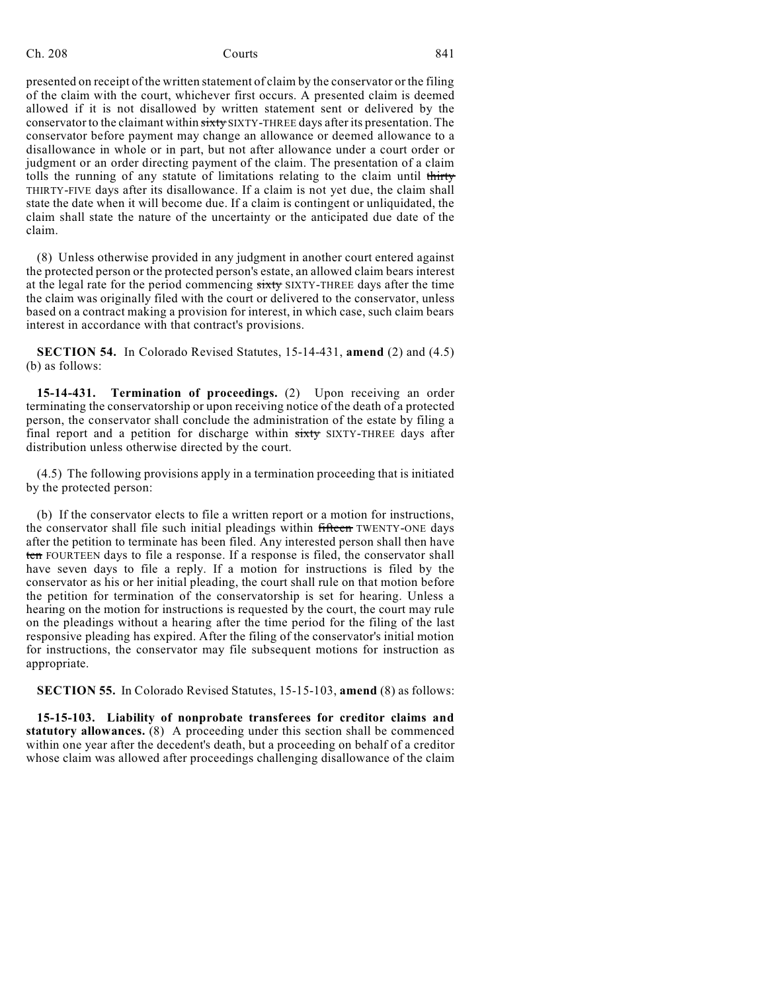presented on receipt of the written statement of claim by the conservator or the filing of the claim with the court, whichever first occurs. A presented claim is deemed allowed if it is not disallowed by written statement sent or delivered by the conservator to the claimant within sixty SIXTY-THREE days after its presentation. The conservator before payment may change an allowance or deemed allowance to a disallowance in whole or in part, but not after allowance under a court order or judgment or an order directing payment of the claim. The presentation of a claim tolls the running of any statute of limitations relating to the claim until thirty THIRTY-FIVE days after its disallowance. If a claim is not yet due, the claim shall state the date when it will become due. If a claim is contingent or unliquidated, the claim shall state the nature of the uncertainty or the anticipated due date of the claim.

(8) Unless otherwise provided in any judgment in another court entered against the protected person or the protected person's estate, an allowed claim bears interest at the legal rate for the period commencing sixty SIXTY-THREE days after the time the claim was originally filed with the court or delivered to the conservator, unless based on a contract making a provision for interest, in which case, such claim bears interest in accordance with that contract's provisions.

**SECTION 54.** In Colorado Revised Statutes, 15-14-431, **amend** (2) and (4.5) (b) as follows:

**15-14-431. Termination of proceedings.** (2) Upon receiving an order terminating the conservatorship or upon receiving notice of the death of a protected person, the conservator shall conclude the administration of the estate by filing a final report and a petition for discharge within sixty SIXTY-THREE days after distribution unless otherwise directed by the court.

(4.5) The following provisions apply in a termination proceeding that is initiated by the protected person:

(b) If the conservator elects to file a written report or a motion for instructions, the conservator shall file such initial pleadings within fifteen TWENTY-ONE days after the petition to terminate has been filed. Any interested person shall then have ten FOURTEEN days to file a response. If a response is filed, the conservator shall have seven days to file a reply. If a motion for instructions is filed by the conservator as his or her initial pleading, the court shall rule on that motion before the petition for termination of the conservatorship is set for hearing. Unless a hearing on the motion for instructions is requested by the court, the court may rule on the pleadings without a hearing after the time period for the filing of the last responsive pleading has expired. After the filing of the conservator's initial motion for instructions, the conservator may file subsequent motions for instruction as appropriate.

**SECTION 55.** In Colorado Revised Statutes, 15-15-103, **amend** (8) as follows:

**15-15-103. Liability of nonprobate transferees for creditor claims and statutory allowances.** (8) A proceeding under this section shall be commenced within one year after the decedent's death, but a proceeding on behalf of a creditor whose claim was allowed after proceedings challenging disallowance of the claim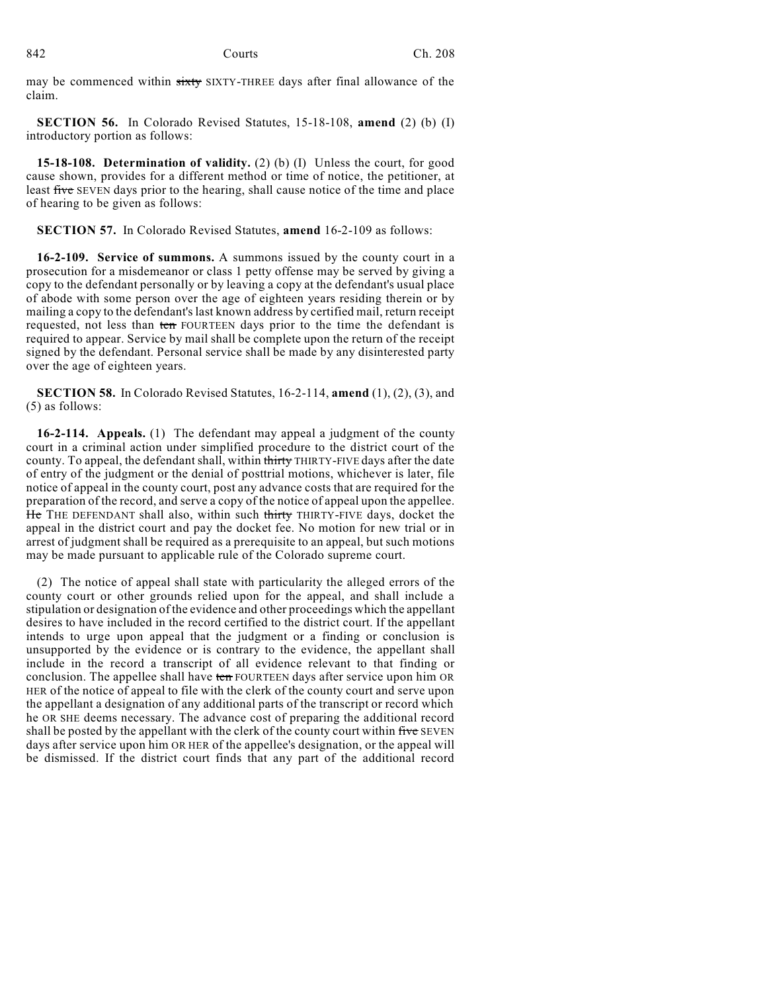may be commenced within sixty SIXTY-THREE days after final allowance of the claim.

**SECTION 56.** In Colorado Revised Statutes, 15-18-108, **amend** (2) (b) (I) introductory portion as follows:

**15-18-108. Determination of validity.** (2) (b) (I) Unless the court, for good cause shown, provides for a different method or time of notice, the petitioner, at least five SEVEN days prior to the hearing, shall cause notice of the time and place of hearing to be given as follows:

**SECTION 57.** In Colorado Revised Statutes, **amend** 16-2-109 as follows:

**16-2-109. Service of summons.** A summons issued by the county court in a prosecution for a misdemeanor or class 1 petty offense may be served by giving a copy to the defendant personally or by leaving a copy at the defendant's usual place of abode with some person over the age of eighteen years residing therein or by mailing a copy to the defendant's last known address by certified mail, return receipt requested, not less than ten FOURTEEN days prior to the time the defendant is required to appear. Service by mail shall be complete upon the return of the receipt signed by the defendant. Personal service shall be made by any disinterested party over the age of eighteen years.

**SECTION 58.** In Colorado Revised Statutes, 16-2-114, **amend** (1), (2), (3), and (5) as follows:

**16-2-114. Appeals.** (1) The defendant may appeal a judgment of the county court in a criminal action under simplified procedure to the district court of the county. To appeal, the defendant shall, within thirty THIRTY-FIVE days after the date of entry of the judgment or the denial of posttrial motions, whichever is later, file notice of appeal in the county court, post any advance costs that are required for the preparation of the record, and serve a copy of the notice of appeal upon the appellee. He THE DEFENDANT shall also, within such thirty THIRTY-FIVE days, docket the appeal in the district court and pay the docket fee. No motion for new trial or in arrest of judgment shall be required as a prerequisite to an appeal, but such motions may be made pursuant to applicable rule of the Colorado supreme court.

(2) The notice of appeal shall state with particularity the alleged errors of the county court or other grounds relied upon for the appeal, and shall include a stipulation or designation of the evidence and other proceedings which the appellant desires to have included in the record certified to the district court. If the appellant intends to urge upon appeal that the judgment or a finding or conclusion is unsupported by the evidence or is contrary to the evidence, the appellant shall include in the record a transcript of all evidence relevant to that finding or conclusion. The appellee shall have ten FOURTEEN days after service upon him OR HER of the notice of appeal to file with the clerk of the county court and serve upon the appellant a designation of any additional parts of the transcript or record which he OR SHE deems necessary. The advance cost of preparing the additional record shall be posted by the appellant with the clerk of the county court within five SEVEN days after service upon him OR HER of the appellee's designation, or the appeal will be dismissed. If the district court finds that any part of the additional record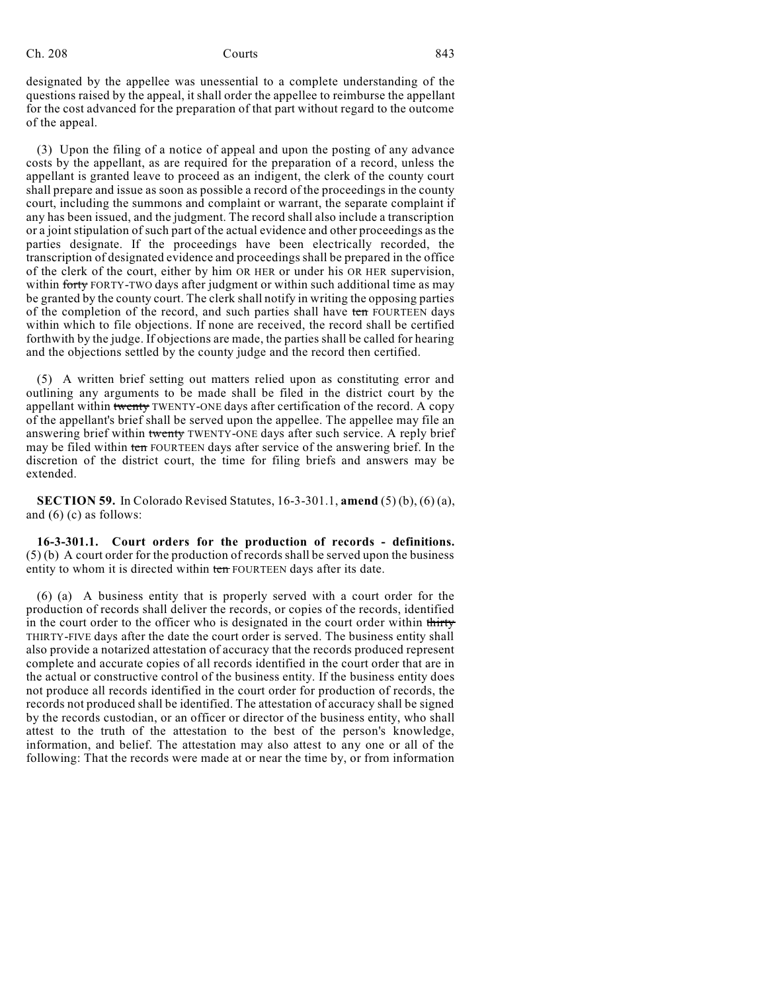# Ch. 208 Courts **643**

designated by the appellee was unessential to a complete understanding of the questions raised by the appeal, it shall order the appellee to reimburse the appellant for the cost advanced for the preparation of that part without regard to the outcome of the appeal.

(3) Upon the filing of a notice of appeal and upon the posting of any advance costs by the appellant, as are required for the preparation of a record, unless the appellant is granted leave to proceed as an indigent, the clerk of the county court shall prepare and issue as soon as possible a record of the proceedings in the county court, including the summons and complaint or warrant, the separate complaint if any has been issued, and the judgment. The record shall also include a transcription or a joint stipulation of such part of the actual evidence and other proceedings as the parties designate. If the proceedings have been electrically recorded, the transcription of designated evidence and proceedings shall be prepared in the office of the clerk of the court, either by him OR HER or under his OR HER supervision, within forty FORTY-TWO days after judgment or within such additional time as may be granted by the county court. The clerk shall notify in writing the opposing parties of the completion of the record, and such parties shall have ten FOURTEEN days within which to file objections. If none are received, the record shall be certified forthwith by the judge. If objections are made, the parties shall be called for hearing and the objections settled by the county judge and the record then certified.

(5) A written brief setting out matters relied upon as constituting error and outlining any arguments to be made shall be filed in the district court by the appellant within twenty TWENTY-ONE days after certification of the record. A copy of the appellant's brief shall be served upon the appellee. The appellee may file an answering brief within twenty TWENTY-ONE days after such service. A reply brief may be filed within ten FOURTEEN days after service of the answering brief. In the discretion of the district court, the time for filing briefs and answers may be extended.

**SECTION 59.** In Colorado Revised Statutes, 16-3-301.1, **amend** (5) (b), (6) (a), and (6) (c) as follows:

**16-3-301.1. Court orders for the production of records - definitions.**  $(5)$  (b) A court order for the production of records shall be served upon the business entity to whom it is directed within ten FOURTEEN days after its date.

(6) (a) A business entity that is properly served with a court order for the production of records shall deliver the records, or copies of the records, identified in the court order to the officer who is designated in the court order within thirty THIRTY-FIVE days after the date the court order is served. The business entity shall also provide a notarized attestation of accuracy that the records produced represent complete and accurate copies of all records identified in the court order that are in the actual or constructive control of the business entity. If the business entity does not produce all records identified in the court order for production of records, the records not produced shall be identified. The attestation of accuracy shall be signed by the records custodian, or an officer or director of the business entity, who shall attest to the truth of the attestation to the best of the person's knowledge, information, and belief. The attestation may also attest to any one or all of the following: That the records were made at or near the time by, or from information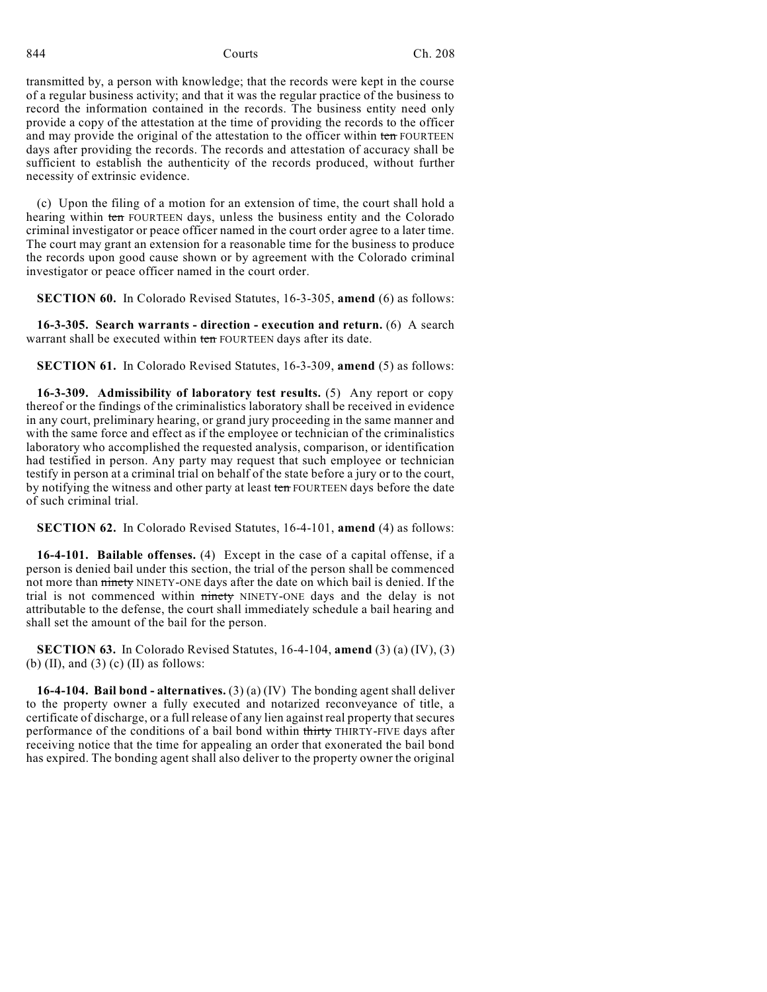transmitted by, a person with knowledge; that the records were kept in the course of a regular business activity; and that it was the regular practice of the business to record the information contained in the records. The business entity need only provide a copy of the attestation at the time of providing the records to the officer and may provide the original of the attestation to the officer within ten FOURTEEN days after providing the records. The records and attestation of accuracy shall be sufficient to establish the authenticity of the records produced, without further necessity of extrinsic evidence.

(c) Upon the filing of a motion for an extension of time, the court shall hold a hearing within ten FOURTEEN days, unless the business entity and the Colorado criminal investigator or peace officer named in the court order agree to a later time. The court may grant an extension for a reasonable time for the business to produce the records upon good cause shown or by agreement with the Colorado criminal investigator or peace officer named in the court order.

**SECTION 60.** In Colorado Revised Statutes, 16-3-305, **amend** (6) as follows:

**16-3-305. Search warrants - direction - execution and return.** (6) A search warrant shall be executed within ten FOURTEEN days after its date.

**SECTION 61.** In Colorado Revised Statutes, 16-3-309, **amend** (5) as follows:

**16-3-309. Admissibility of laboratory test results.** (5) Any report or copy thereof or the findings of the criminalistics laboratory shall be received in evidence in any court, preliminary hearing, or grand jury proceeding in the same manner and with the same force and effect as if the employee or technician of the criminalistics laboratory who accomplished the requested analysis, comparison, or identification had testified in person. Any party may request that such employee or technician testify in person at a criminal trial on behalf of the state before a jury or to the court, by notifying the witness and other party at least ten FOURTEEN days before the date of such criminal trial.

**SECTION 62.** In Colorado Revised Statutes, 16-4-101, **amend** (4) as follows:

**16-4-101. Bailable offenses.** (4) Except in the case of a capital offense, if a person is denied bail under this section, the trial of the person shall be commenced not more than ninety NINETY-ONE days after the date on which bail is denied. If the trial is not commenced within ninety NINETY-ONE days and the delay is not attributable to the defense, the court shall immediately schedule a bail hearing and shall set the amount of the bail for the person.

**SECTION 63.** In Colorado Revised Statutes, 16-4-104, **amend** (3) (a) (IV), (3) (b) (II), and (3) (c) (II) as follows:

**16-4-104. Bail bond - alternatives.** (3) (a) (IV) The bonding agent shall deliver to the property owner a fully executed and notarized reconveyance of title, a certificate of discharge, or a full release of any lien against real property that secures performance of the conditions of a bail bond within thirty THIRTY-FIVE days after receiving notice that the time for appealing an order that exonerated the bail bond has expired. The bonding agent shall also deliver to the property owner the original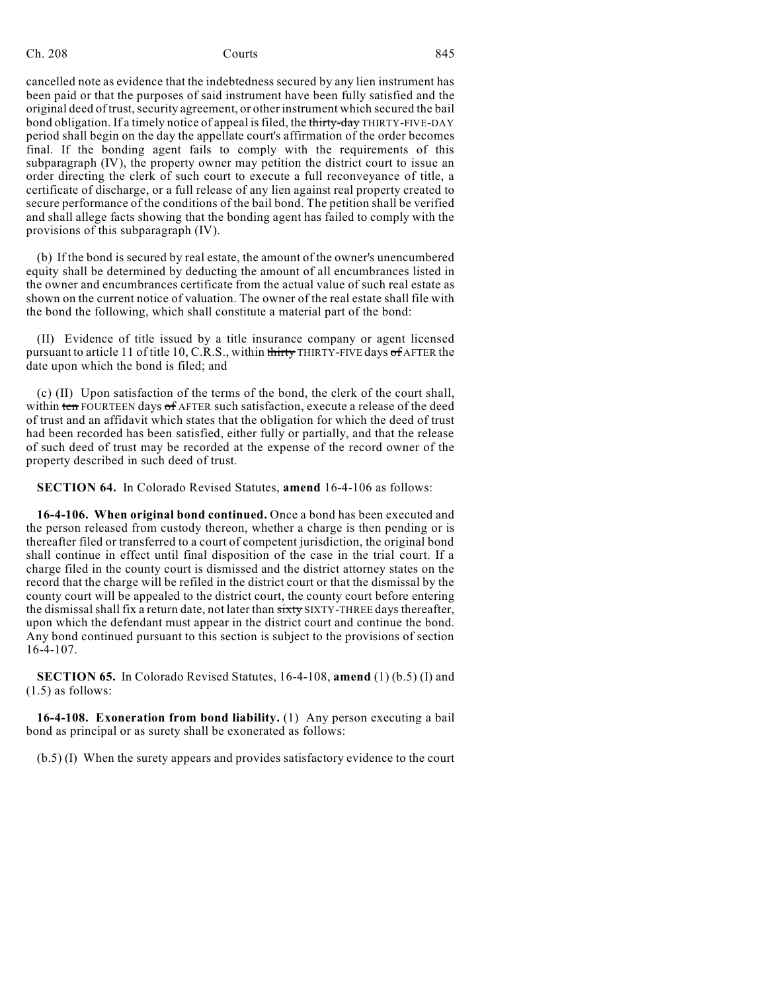cancelled note as evidence that the indebtedness secured by any lien instrument has been paid or that the purposes of said instrument have been fully satisfied and the original deed of trust, security agreement, or other instrument which secured the bail bond obligation. If a timely notice of appeal is filed, the thirty-day THIRTY-FIVE-DAY period shall begin on the day the appellate court's affirmation of the order becomes final. If the bonding agent fails to comply with the requirements of this subparagraph (IV), the property owner may petition the district court to issue an order directing the clerk of such court to execute a full reconveyance of title, a certificate of discharge, or a full release of any lien against real property created to secure performance of the conditions of the bail bond. The petition shall be verified and shall allege facts showing that the bonding agent has failed to comply with the provisions of this subparagraph (IV).

(b) If the bond is secured by real estate, the amount of the owner's unencumbered equity shall be determined by deducting the amount of all encumbrances listed in the owner and encumbrances certificate from the actual value of such real estate as shown on the current notice of valuation. The owner of the real estate shall file with the bond the following, which shall constitute a material part of the bond:

(II) Evidence of title issued by a title insurance company or agent licensed pursuant to article 11 of title 10, C.R.S., within thirty THIRTY-FIVE days of AFTER the date upon which the bond is filed; and

(c) (II) Upon satisfaction of the terms of the bond, the clerk of the court shall, within ten FOURTEEN days of AFTER such satisfaction, execute a release of the deed of trust and an affidavit which states that the obligation for which the deed of trust had been recorded has been satisfied, either fully or partially, and that the release of such deed of trust may be recorded at the expense of the record owner of the property described in such deed of trust.

**SECTION 64.** In Colorado Revised Statutes, **amend** 16-4-106 as follows:

**16-4-106. When original bond continued.** Once a bond has been executed and the person released from custody thereon, whether a charge is then pending or is thereafter filed or transferred to a court of competent jurisdiction, the original bond shall continue in effect until final disposition of the case in the trial court. If a charge filed in the county court is dismissed and the district attorney states on the record that the charge will be refiled in the district court or that the dismissal by the county court will be appealed to the district court, the county court before entering the dismissal shall fix a return date, not later than sixty SIXTY-THREE days thereafter, upon which the defendant must appear in the district court and continue the bond. Any bond continued pursuant to this section is subject to the provisions of section 16-4-107.

**SECTION 65.** In Colorado Revised Statutes, 16-4-108, **amend** (1) (b.5) (I) and (1.5) as follows:

**16-4-108. Exoneration from bond liability.** (1) Any person executing a bail bond as principal or as surety shall be exonerated as follows:

(b.5) (I) When the surety appears and provides satisfactory evidence to the court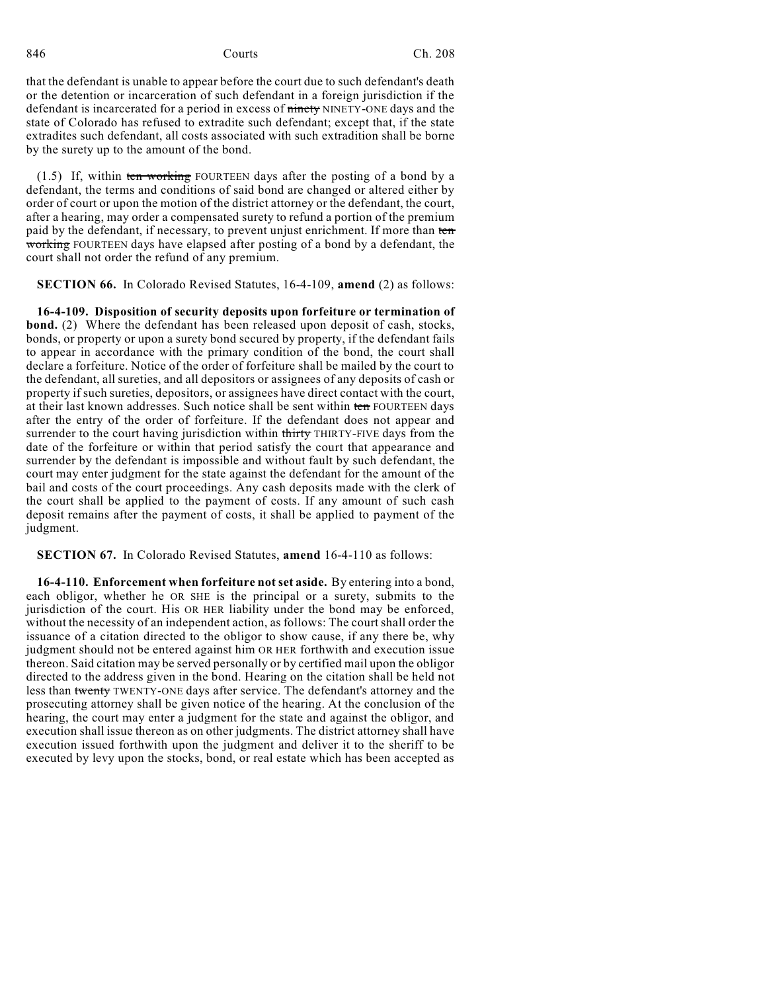that the defendant is unable to appear before the court due to such defendant's death or the detention or incarceration of such defendant in a foreign jurisdiction if the defendant is incarcerated for a period in excess of ninety NINETY-ONE days and the state of Colorado has refused to extradite such defendant; except that, if the state extradites such defendant, all costs associated with such extradition shall be borne by the surety up to the amount of the bond.

(1.5) If, within ten working FOURTEEN days after the posting of a bond by a defendant, the terms and conditions of said bond are changed or altered either by order of court or upon the motion of the district attorney or the defendant, the court, after a hearing, may order a compensated surety to refund a portion of the premium paid by the defendant, if necessary, to prevent unjust enrichment. If more than ten working FOURTEEN days have elapsed after posting of a bond by a defendant, the court shall not order the refund of any premium.

**SECTION 66.** In Colorado Revised Statutes, 16-4-109, **amend** (2) as follows:

**16-4-109. Disposition of security deposits upon forfeiture or termination of bond.** (2) Where the defendant has been released upon deposit of cash, stocks, bonds, or property or upon a surety bond secured by property, if the defendant fails to appear in accordance with the primary condition of the bond, the court shall declare a forfeiture. Notice of the order of forfeiture shall be mailed by the court to the defendant, all sureties, and all depositors or assignees of any deposits of cash or property if such sureties, depositors, or assignees have direct contact with the court, at their last known addresses. Such notice shall be sent within ten FOURTEEN days after the entry of the order of forfeiture. If the defendant does not appear and surrender to the court having jurisdiction within thirty THIRTY-FIVE days from the date of the forfeiture or within that period satisfy the court that appearance and surrender by the defendant is impossible and without fault by such defendant, the court may enter judgment for the state against the defendant for the amount of the bail and costs of the court proceedings. Any cash deposits made with the clerk of the court shall be applied to the payment of costs. If any amount of such cash deposit remains after the payment of costs, it shall be applied to payment of the judgment.

**SECTION 67.** In Colorado Revised Statutes, **amend** 16-4-110 as follows:

**16-4-110. Enforcement when forfeiture not set aside.** By entering into a bond, each obligor, whether he OR SHE is the principal or a surety, submits to the jurisdiction of the court. His OR HER liability under the bond may be enforced, without the necessity of an independent action, as follows: The court shall order the issuance of a citation directed to the obligor to show cause, if any there be, why judgment should not be entered against him OR HER forthwith and execution issue thereon. Said citation may be served personally or by certified mail upon the obligor directed to the address given in the bond. Hearing on the citation shall be held not less than twenty TWENTY-ONE days after service. The defendant's attorney and the prosecuting attorney shall be given notice of the hearing. At the conclusion of the hearing, the court may enter a judgment for the state and against the obligor, and execution shall issue thereon as on other judgments. The district attorney shall have execution issued forthwith upon the judgment and deliver it to the sheriff to be executed by levy upon the stocks, bond, or real estate which has been accepted as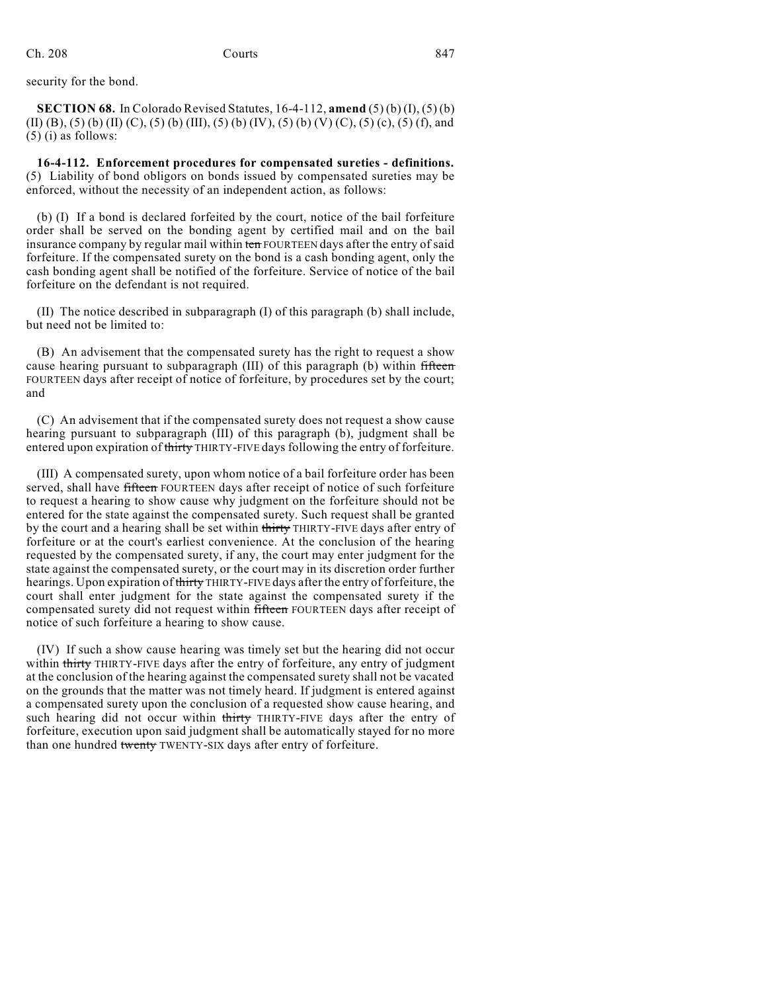security for the bond.

**SECTION 68.** In Colorado Revised Statutes, 16-4-112, **amend** (5) (b) (I), (5) (b) (II) (B), (5) (b) (II) (C), (5) (b) (III), (5) (b) (IV), (5) (b) (V) (C), (5) (c), (5) (f), and (5) (i) as follows:

**16-4-112. Enforcement procedures for compensated sureties - definitions.** (5) Liability of bond obligors on bonds issued by compensated sureties may be enforced, without the necessity of an independent action, as follows:

(b) (I) If a bond is declared forfeited by the court, notice of the bail forfeiture order shall be served on the bonding agent by certified mail and on the bail insurance company by regular mail within ten FOURTEEN days after the entry of said forfeiture. If the compensated surety on the bond is a cash bonding agent, only the cash bonding agent shall be notified of the forfeiture. Service of notice of the bail forfeiture on the defendant is not required.

(II) The notice described in subparagraph (I) of this paragraph (b) shall include, but need not be limited to:

(B) An advisement that the compensated surety has the right to request a show cause hearing pursuant to subparagraph (III) of this paragraph (b) within fifteen FOURTEEN days after receipt of notice of forfeiture, by procedures set by the court; and

(C) An advisement that if the compensated surety does not request a show cause hearing pursuant to subparagraph (III) of this paragraph (b), judgment shall be entered upon expiration of thirty THIRTY-FIVE days following the entry of forfeiture.

(III) A compensated surety, upon whom notice of a bail forfeiture order has been served, shall have fifteen FOURTEEN days after receipt of notice of such forfeiture to request a hearing to show cause why judgment on the forfeiture should not be entered for the state against the compensated surety. Such request shall be granted by the court and a hearing shall be set within thirty THIRTY-FIVE days after entry of forfeiture or at the court's earliest convenience. At the conclusion of the hearing requested by the compensated surety, if any, the court may enter judgment for the state against the compensated surety, or the court may in its discretion order further hearings. Upon expiration of thirty THIRTY-FIVE days after the entry of forfeiture, the court shall enter judgment for the state against the compensated surety if the compensated surety did not request within fifteen FOURTEEN days after receipt of notice of such forfeiture a hearing to show cause.

(IV) If such a show cause hearing was timely set but the hearing did not occur within thirty THIRTY-FIVE days after the entry of forfeiture, any entry of judgment at the conclusion of the hearing against the compensated surety shall not be vacated on the grounds that the matter was not timely heard. If judgment is entered against a compensated surety upon the conclusion of a requested show cause hearing, and such hearing did not occur within thirty THIRTY-FIVE days after the entry of forfeiture, execution upon said judgment shall be automatically stayed for no more than one hundred twenty TWENTY-SIX days after entry of forfeiture.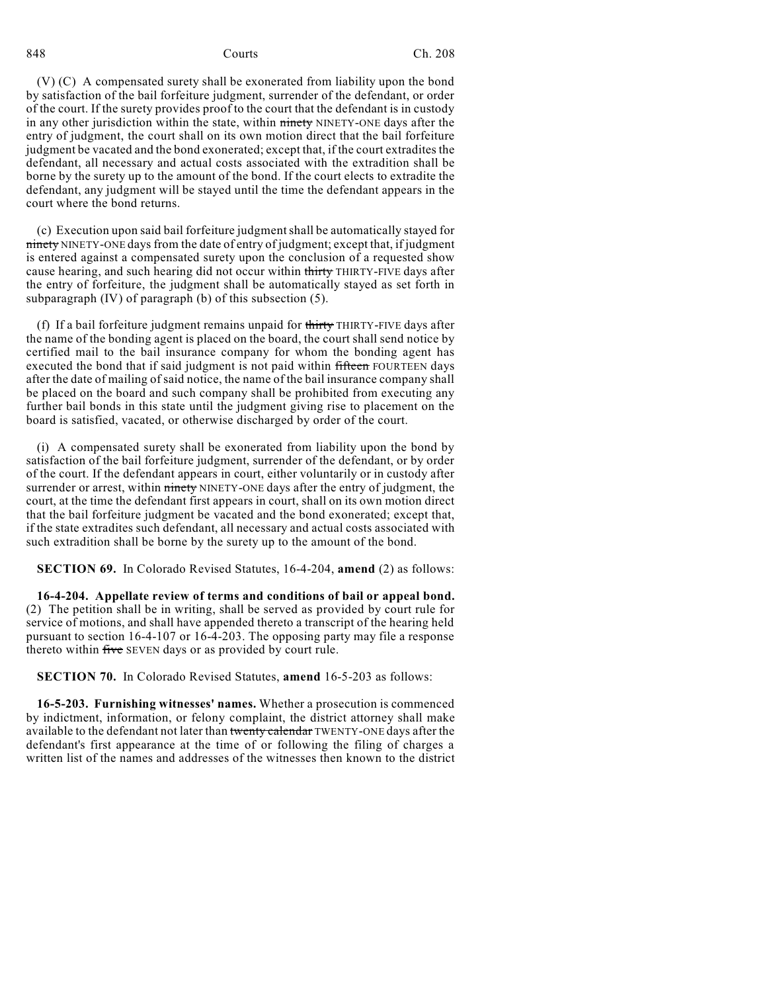(V) (C) A compensated surety shall be exonerated from liability upon the bond by satisfaction of the bail forfeiture judgment, surrender of the defendant, or order of the court. If the surety provides proof to the court that the defendant is in custody in any other jurisdiction within the state, within ninety NINETY-ONE days after the entry of judgment, the court shall on its own motion direct that the bail forfeiture judgment be vacated and the bond exonerated; except that, if the court extradites the defendant, all necessary and actual costs associated with the extradition shall be borne by the surety up to the amount of the bond. If the court elects to extradite the defendant, any judgment will be stayed until the time the defendant appears in the court where the bond returns.

(c) Execution upon said bail forfeiture judgmentshall be automatically stayed for ninety NINETY-ONE days from the date of entry of judgment; except that, if judgment is entered against a compensated surety upon the conclusion of a requested show cause hearing, and such hearing did not occur within thirty THIRTY-FIVE days after the entry of forfeiture, the judgment shall be automatically stayed as set forth in subparagraph (IV) of paragraph (b) of this subsection (5).

(f) If a bail forfeiture judgment remains unpaid for thirty THIRTY-FIVE days after the name of the bonding agent is placed on the board, the court shall send notice by certified mail to the bail insurance company for whom the bonding agent has executed the bond that if said judgment is not paid within fifteen FOURTEEN days after the date of mailing of said notice, the name of the bail insurance company shall be placed on the board and such company shall be prohibited from executing any further bail bonds in this state until the judgment giving rise to placement on the board is satisfied, vacated, or otherwise discharged by order of the court.

(i) A compensated surety shall be exonerated from liability upon the bond by satisfaction of the bail forfeiture judgment, surrender of the defendant, or by order of the court. If the defendant appears in court, either voluntarily or in custody after surrender or arrest, within ninety NINETY-ONE days after the entry of judgment, the court, at the time the defendant first appears in court, shall on its own motion direct that the bail forfeiture judgment be vacated and the bond exonerated; except that, if the state extradites such defendant, all necessary and actual costs associated with such extradition shall be borne by the surety up to the amount of the bond.

**SECTION 69.** In Colorado Revised Statutes, 16-4-204, **amend** (2) as follows:

**16-4-204. Appellate review of terms and conditions of bail or appeal bond.** (2) The petition shall be in writing, shall be served as provided by court rule for service of motions, and shall have appended thereto a transcript of the hearing held pursuant to section 16-4-107 or 16-4-203. The opposing party may file a response thereto within five SEVEN days or as provided by court rule.

**SECTION 70.** In Colorado Revised Statutes, **amend** 16-5-203 as follows:

**16-5-203. Furnishing witnesses' names.** Whether a prosecution is commenced by indictment, information, or felony complaint, the district attorney shall make available to the defendant not later than twenty calendar TWENTY-ONE days after the defendant's first appearance at the time of or following the filing of charges a written list of the names and addresses of the witnesses then known to the district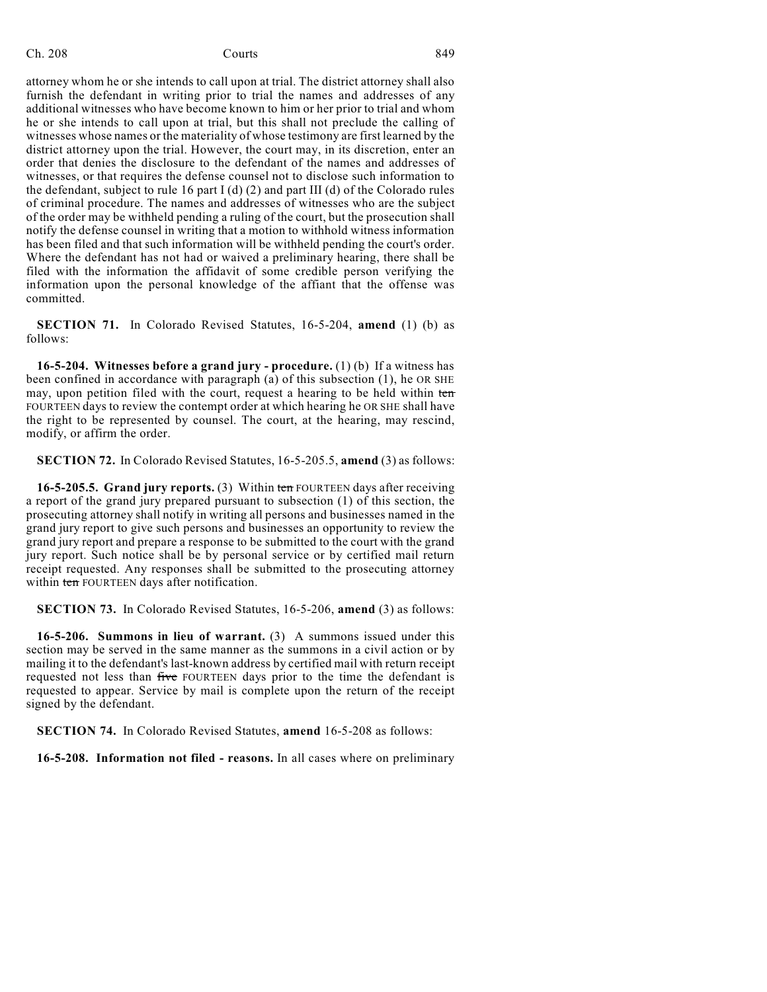attorney whom he or she intends to call upon at trial. The district attorney shall also furnish the defendant in writing prior to trial the names and addresses of any additional witnesses who have become known to him or her prior to trial and whom he or she intends to call upon at trial, but this shall not preclude the calling of witnesses whose names or the materiality of whose testimony are first learned by the district attorney upon the trial. However, the court may, in its discretion, enter an order that denies the disclosure to the defendant of the names and addresses of witnesses, or that requires the defense counsel not to disclose such information to the defendant, subject to rule 16 part  $I$  (d) (2) and part III (d) of the Colorado rules of criminal procedure. The names and addresses of witnesses who are the subject of the order may be withheld pending a ruling of the court, but the prosecution shall notify the defense counsel in writing that a motion to withhold witness information has been filed and that such information will be withheld pending the court's order. Where the defendant has not had or waived a preliminary hearing, there shall be filed with the information the affidavit of some credible person verifying the information upon the personal knowledge of the affiant that the offense was committed.

**SECTION 71.** In Colorado Revised Statutes, 16-5-204, **amend** (1) (b) as follows:

**16-5-204. Witnesses before a grand jury - procedure.** (1) (b) If a witness has been confined in accordance with paragraph (a) of this subsection (1), he OR SHE may, upon petition filed with the court, request a hearing to be held within ten FOURTEEN days to review the contempt order at which hearing he OR SHE shall have the right to be represented by counsel. The court, at the hearing, may rescind, modify, or affirm the order.

**SECTION 72.** In Colorado Revised Statutes, 16-5-205.5, **amend** (3) as follows:

**16-5-205.5. Grand jury reports.** (3) Within ten FOURTEEN days after receiving a report of the grand jury prepared pursuant to subsection (1) of this section, the prosecuting attorney shall notify in writing all persons and businesses named in the grand jury report to give such persons and businesses an opportunity to review the grand jury report and prepare a response to be submitted to the court with the grand jury report. Such notice shall be by personal service or by certified mail return receipt requested. Any responses shall be submitted to the prosecuting attorney within ten FOURTEEN days after notification.

**SECTION 73.** In Colorado Revised Statutes, 16-5-206, **amend** (3) as follows:

**16-5-206. Summons in lieu of warrant.** (3) A summons issued under this section may be served in the same manner as the summons in a civil action or by mailing it to the defendant's last-known address by certified mail with return receipt requested not less than five FOURTEEN days prior to the time the defendant is requested to appear. Service by mail is complete upon the return of the receipt signed by the defendant.

**SECTION 74.** In Colorado Revised Statutes, **amend** 16-5-208 as follows:

**16-5-208. Information not filed - reasons.** In all cases where on preliminary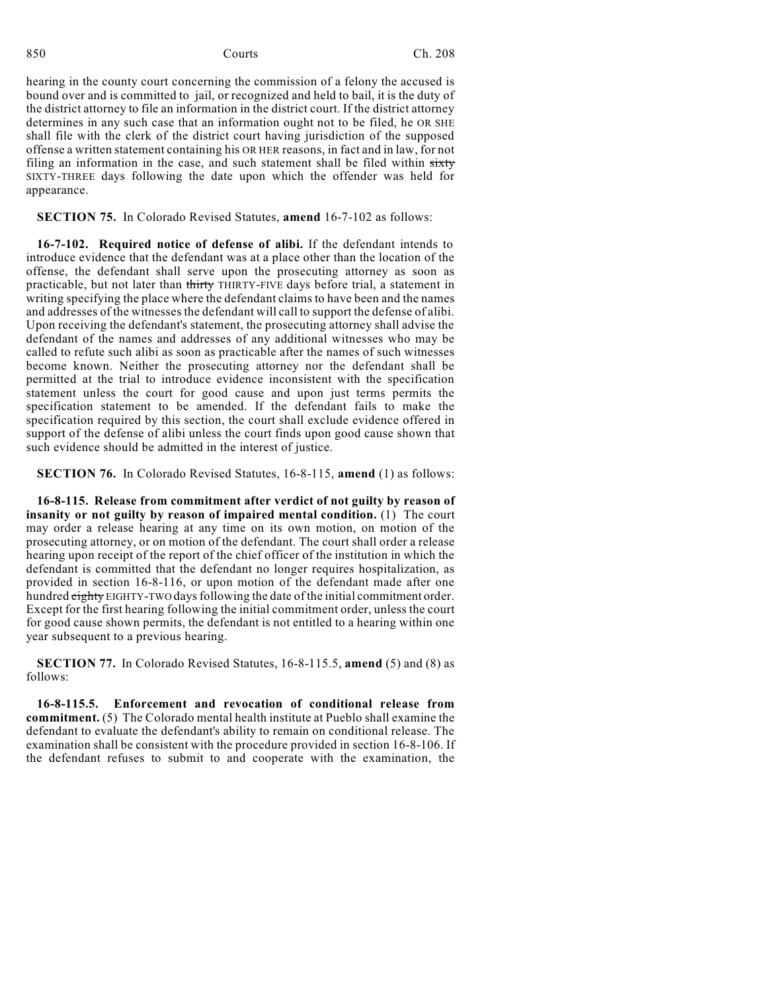hearing in the county court concerning the commission of a felony the accused is bound over and is committed to jail, or recognized and held to bail, it is the duty of the district attorney to file an information in the district court. If the district attorney determines in any such case that an information ought not to be filed, he OR SHE shall file with the clerk of the district court having jurisdiction of the supposed offense a written statement containing his OR HER reasons, in fact and in law, for not filing an information in the case, and such statement shall be filed within sixty SIXTY-THREE days following the date upon which the offender was held for appearance.

### **SECTION 75.** In Colorado Revised Statutes, **amend** 16-7-102 as follows:

**16-7-102. Required notice of defense of alibi.** If the defendant intends to introduce evidence that the defendant was at a place other than the location of the offense, the defendant shall serve upon the prosecuting attorney as soon as practicable, but not later than thirty THIRTY-FIVE days before trial, a statement in writing specifying the place where the defendant claims to have been and the names and addresses of the witnesses the defendant will call to support the defense of alibi. Upon receiving the defendant's statement, the prosecuting attorney shall advise the defendant of the names and addresses of any additional witnesses who may be called to refute such alibi as soon as practicable after the names of such witnesses become known. Neither the prosecuting attorney nor the defendant shall be permitted at the trial to introduce evidence inconsistent with the specification statement unless the court for good cause and upon just terms permits the specification statement to be amended. If the defendant fails to make the specification required by this section, the court shall exclude evidence offered in support of the defense of alibi unless the court finds upon good cause shown that such evidence should be admitted in the interest of justice.

**SECTION 76.** In Colorado Revised Statutes, 16-8-115, **amend** (1) as follows:

**16-8-115. Release from commitment after verdict of not guilty by reason of insanity or not guilty by reason of impaired mental condition.** (1) The court may order a release hearing at any time on its own motion, on motion of the prosecuting attorney, or on motion of the defendant. The court shall order a release hearing upon receipt of the report of the chief officer of the institution in which the defendant is committed that the defendant no longer requires hospitalization, as provided in section 16-8-116, or upon motion of the defendant made after one hundred eighty EIGHTY-TWO days following the date of the initial commitment order. Except for the first hearing following the initial commitment order, unless the court for good cause shown permits, the defendant is not entitled to a hearing within one year subsequent to a previous hearing.

**SECTION 77.** In Colorado Revised Statutes, 16-8-115.5, **amend** (5) and (8) as follows:

**16-8-115.5. Enforcement and revocation of conditional release from commitment.** (5) The Colorado mental health institute at Pueblo shall examine the defendant to evaluate the defendant's ability to remain on conditional release. The examination shall be consistent with the procedure provided in section 16-8-106. If the defendant refuses to submit to and cooperate with the examination, the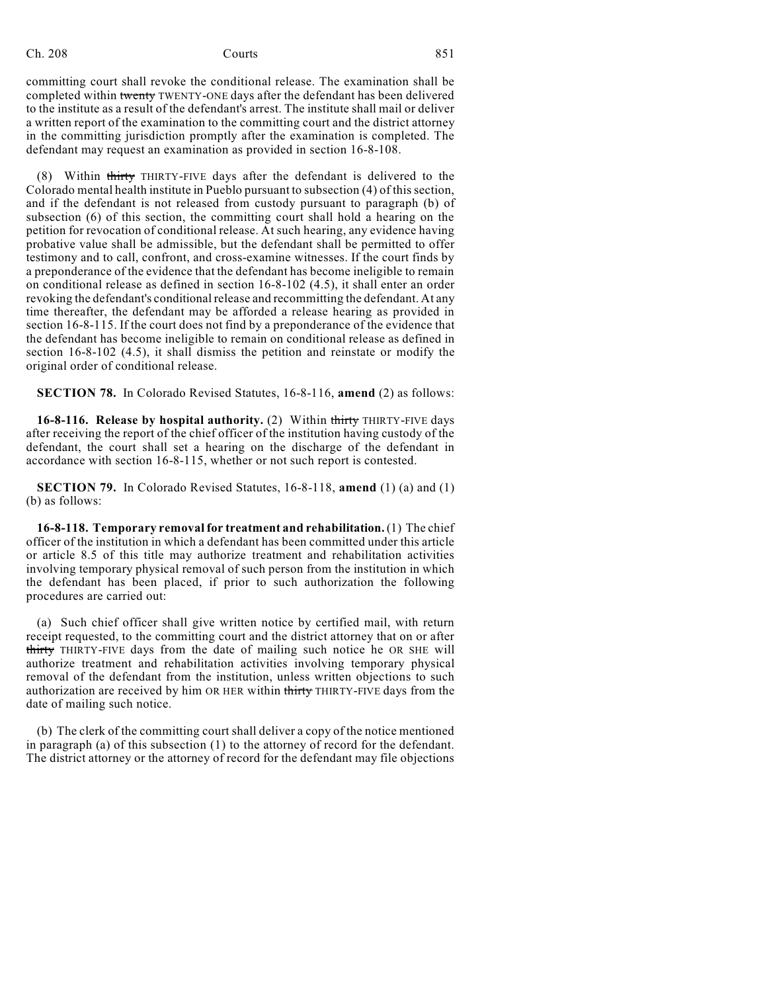# Ch. 208 Courts 208 Courts 201

committing court shall revoke the conditional release. The examination shall be completed within twenty TWENTY-ONE days after the defendant has been delivered to the institute as a result of the defendant's arrest. The institute shall mail or deliver a written report of the examination to the committing court and the district attorney in the committing jurisdiction promptly after the examination is completed. The defendant may request an examination as provided in section 16-8-108.

(8) Within thirty THIRTY-FIVE days after the defendant is delivered to the Colorado mental health institute in Pueblo pursuant to subsection (4) of this section, and if the defendant is not released from custody pursuant to paragraph (b) of subsection (6) of this section, the committing court shall hold a hearing on the petition for revocation of conditional release. At such hearing, any evidence having probative value shall be admissible, but the defendant shall be permitted to offer testimony and to call, confront, and cross-examine witnesses. If the court finds by a preponderance of the evidence that the defendant has become ineligible to remain on conditional release as defined in section 16-8-102 (4.5), it shall enter an order revoking the defendant's conditional release and recommitting the defendant. At any time thereafter, the defendant may be afforded a release hearing as provided in section 16-8-115. If the court does not find by a preponderance of the evidence that the defendant has become ineligible to remain on conditional release as defined in section 16-8-102 (4.5), it shall dismiss the petition and reinstate or modify the original order of conditional release.

**SECTION 78.** In Colorado Revised Statutes, 16-8-116, **amend** (2) as follows:

**16-8-116. Release by hospital authority.** (2) Within thirty THIRTY-FIVE days after receiving the report of the chief officer of the institution having custody of the defendant, the court shall set a hearing on the discharge of the defendant in accordance with section 16-8-115, whether or not such report is contested.

**SECTION 79.** In Colorado Revised Statutes, 16-8-118, **amend** (1) (a) and (1) (b) as follows:

**16-8-118. Temporary removal for treatment and rehabilitation.**(1) The chief officer of the institution in which a defendant has been committed under this article or article 8.5 of this title may authorize treatment and rehabilitation activities involving temporary physical removal of such person from the institution in which the defendant has been placed, if prior to such authorization the following procedures are carried out:

(a) Such chief officer shall give written notice by certified mail, with return receipt requested, to the committing court and the district attorney that on or after thirty THIRTY-FIVE days from the date of mailing such notice he OR SHE will authorize treatment and rehabilitation activities involving temporary physical removal of the defendant from the institution, unless written objections to such authorization are received by him OR HER within thirty THIRTY-FIVE days from the date of mailing such notice.

(b) The clerk of the committing court shall deliver a copy of the notice mentioned in paragraph (a) of this subsection (1) to the attorney of record for the defendant. The district attorney or the attorney of record for the defendant may file objections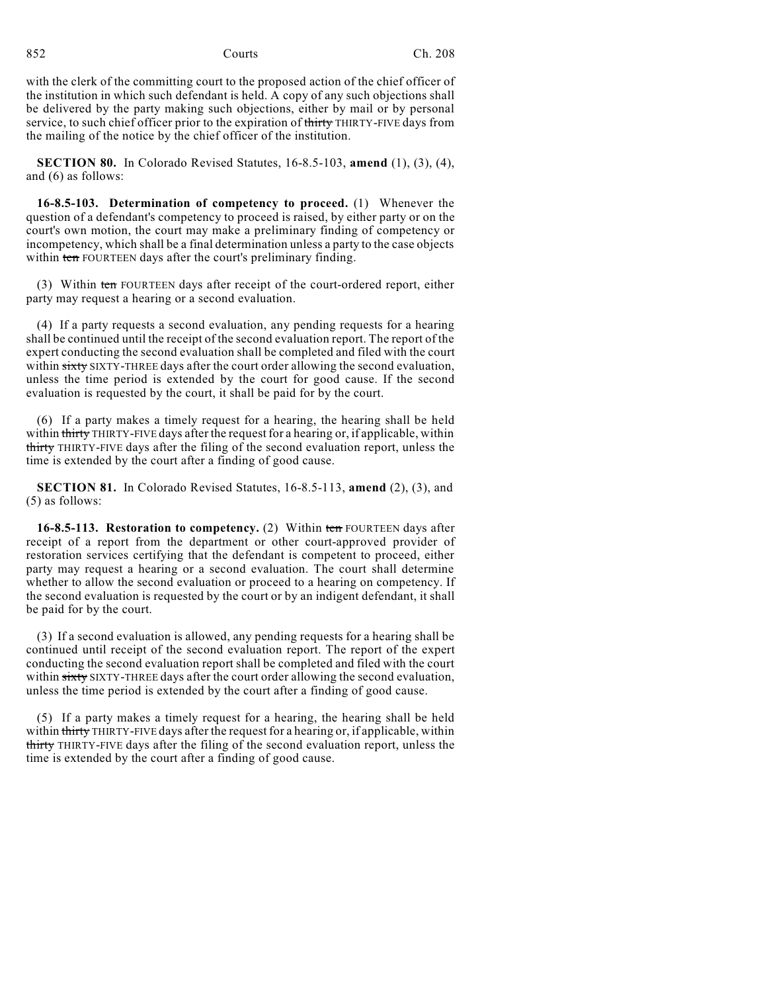with the clerk of the committing court to the proposed action of the chief officer of the institution in which such defendant is held. A copy of any such objections shall be delivered by the party making such objections, either by mail or by personal service, to such chief officer prior to the expiration of thirty THIRTY-FIVE days from the mailing of the notice by the chief officer of the institution.

**SECTION 80.** In Colorado Revised Statutes, 16-8.5-103, **amend** (1), (3), (4), and (6) as follows:

**16-8.5-103. Determination of competency to proceed.** (1) Whenever the question of a defendant's competency to proceed is raised, by either party or on the court's own motion, the court may make a preliminary finding of competency or incompetency, which shall be a final determination unless a party to the case objects within ten FOURTEEN days after the court's preliminary finding.

(3) Within ten FOURTEEN days after receipt of the court-ordered report, either party may request a hearing or a second evaluation.

(4) If a party requests a second evaluation, any pending requests for a hearing shall be continued until the receipt of the second evaluation report. The report of the expert conducting the second evaluation shall be completed and filed with the court within sixty SIXTY-THREE days after the court order allowing the second evaluation, unless the time period is extended by the court for good cause. If the second evaluation is requested by the court, it shall be paid for by the court.

(6) If a party makes a timely request for a hearing, the hearing shall be held within thirty THIRTY-FIVE days after the request for a hearing or, if applicable, within thirty THIRTY-FIVE days after the filing of the second evaluation report, unless the time is extended by the court after a finding of good cause.

**SECTION 81.** In Colorado Revised Statutes, 16-8.5-113, **amend** (2), (3), and (5) as follows:

**16-8.5-113. Restoration to competency.** (2) Within ten FOURTEEN days after receipt of a report from the department or other court-approved provider of restoration services certifying that the defendant is competent to proceed, either party may request a hearing or a second evaluation. The court shall determine whether to allow the second evaluation or proceed to a hearing on competency. If the second evaluation is requested by the court or by an indigent defendant, it shall be paid for by the court.

(3) If a second evaluation is allowed, any pending requests for a hearing shall be continued until receipt of the second evaluation report. The report of the expert conducting the second evaluation report shall be completed and filed with the court within sixty SIXTY-THREE days after the court order allowing the second evaluation, unless the time period is extended by the court after a finding of good cause.

(5) If a party makes a timely request for a hearing, the hearing shall be held within thirty THIRTY-FIVE days after the request for a hearing or, if applicable, within thirty THIRTY-FIVE days after the filing of the second evaluation report, unless the time is extended by the court after a finding of good cause.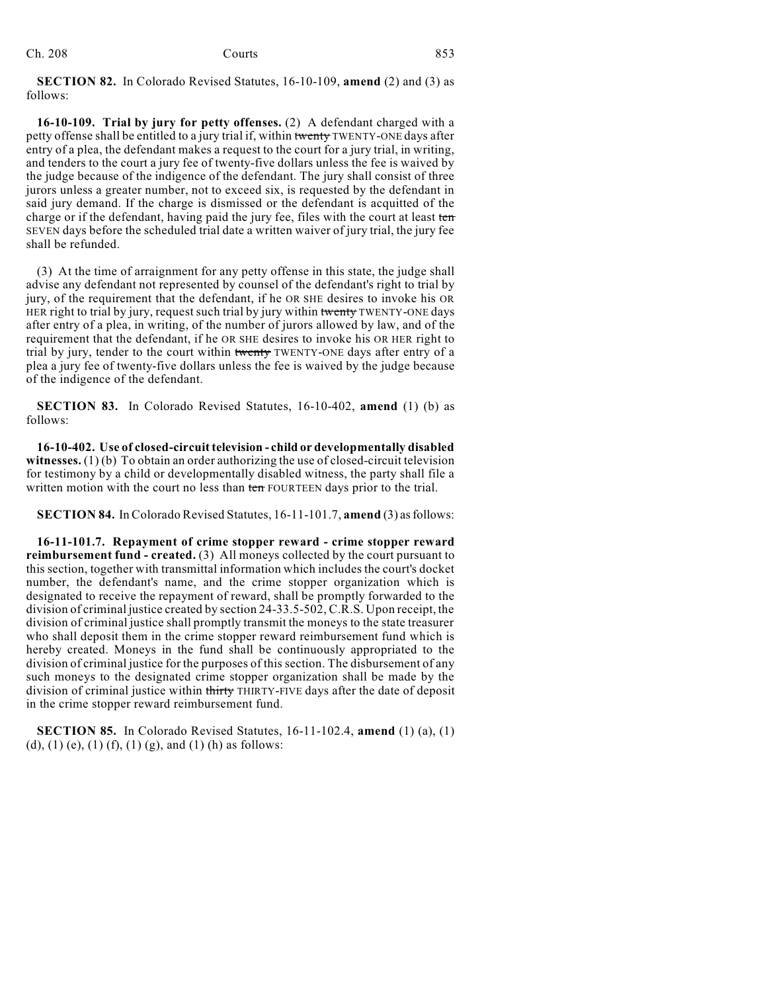| Ch. 208 | Courts | 853 |
|---------|--------|-----|
|         |        |     |

**SECTION 82.** In Colorado Revised Statutes, 16-10-109, **amend** (2) and (3) as follows:

**16-10-109. Trial by jury for petty offenses.** (2) A defendant charged with a petty offense shall be entitled to a jury trial if, within twenty TWENTY-ONE days after entry of a plea, the defendant makes a request to the court for a jury trial, in writing, and tenders to the court a jury fee of twenty-five dollars unless the fee is waived by the judge because of the indigence of the defendant. The jury shall consist of three jurors unless a greater number, not to exceed six, is requested by the defendant in said jury demand. If the charge is dismissed or the defendant is acquitted of the charge or if the defendant, having paid the jury fee, files with the court at least ten SEVEN days before the scheduled trial date a written waiver of jury trial, the jury fee shall be refunded.

(3) At the time of arraignment for any petty offense in this state, the judge shall advise any defendant not represented by counsel of the defendant's right to trial by jury, of the requirement that the defendant, if he OR SHE desires to invoke his OR HER right to trial by jury, request such trial by jury within twenty TWENTY-ONE days after entry of a plea, in writing, of the number of jurors allowed by law, and of the requirement that the defendant, if he OR SHE desires to invoke his OR HER right to trial by jury, tender to the court within twenty TWENTY-ONE days after entry of a plea a jury fee of twenty-five dollars unless the fee is waived by the judge because of the indigence of the defendant.

**SECTION 83.** In Colorado Revised Statutes, 16-10-402, **amend** (1) (b) as follows:

**16-10-402. Use of closed-circuit television - child or developmentally disabled witnesses.** (1) (b) To obtain an order authorizing the use of closed-circuit television for testimony by a child or developmentally disabled witness, the party shall file a written motion with the court no less than ten FOURTEEN days prior to the trial.

**SECTION 84.** In Colorado Revised Statutes, 16-11-101.7, **amend** (3) as follows:

**16-11-101.7. Repayment of crime stopper reward - crime stopper reward reimbursement fund - created.** (3) All moneys collected by the court pursuant to this section, together with transmittal information which includes the court's docket number, the defendant's name, and the crime stopper organization which is designated to receive the repayment of reward, shall be promptly forwarded to the division of criminal justice created by section 24-33.5-502, C.R.S. Upon receipt, the division of criminal justice shall promptly transmit the moneys to the state treasurer who shall deposit them in the crime stopper reward reimbursement fund which is hereby created. Moneys in the fund shall be continuously appropriated to the division of criminal justice for the purposes of this section. The disbursement of any such moneys to the designated crime stopper organization shall be made by the division of criminal justice within thirty THIRTY-FIVE days after the date of deposit in the crime stopper reward reimbursement fund.

**SECTION 85.** In Colorado Revised Statutes, 16-11-102.4, **amend** (1) (a), (1) (d), (1) (e), (1) (f), (1) (g), and (1) (h) as follows: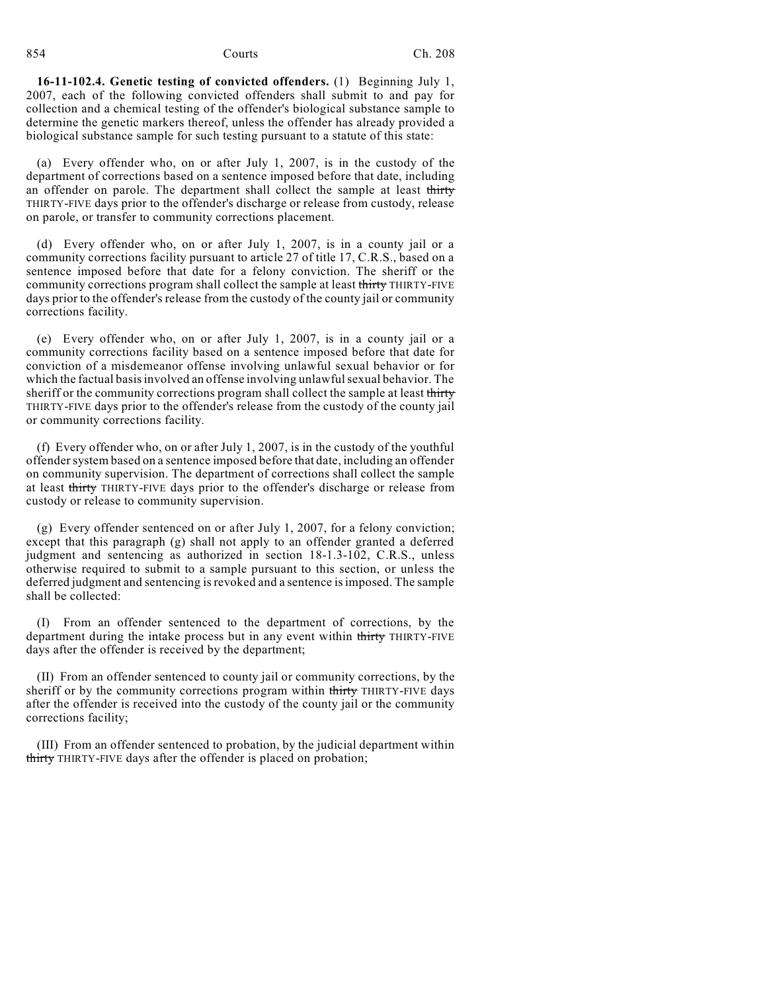**16-11-102.4. Genetic testing of convicted offenders.** (1) Beginning July 1, 2007, each of the following convicted offenders shall submit to and pay for collection and a chemical testing of the offender's biological substance sample to determine the genetic markers thereof, unless the offender has already provided a biological substance sample for such testing pursuant to a statute of this state:

(a) Every offender who, on or after July 1, 2007, is in the custody of the department of corrections based on a sentence imposed before that date, including an offender on parole. The department shall collect the sample at least thirty THIRTY-FIVE days prior to the offender's discharge or release from custody, release on parole, or transfer to community corrections placement.

(d) Every offender who, on or after July 1, 2007, is in a county jail or a community corrections facility pursuant to article 27 of title 17, C.R.S., based on a sentence imposed before that date for a felony conviction. The sheriff or the community corrections program shall collect the sample at least thirty THIRTY-FIVE days prior to the offender's release from the custody of the county jail or community corrections facility.

(e) Every offender who, on or after July 1, 2007, is in a county jail or a community corrections facility based on a sentence imposed before that date for conviction of a misdemeanor offense involving unlawful sexual behavior or for which the factual basis involved an offense involving unlawful sexual behavior. The sheriff or the community corrections program shall collect the sample at least thirty THIRTY-FIVE days prior to the offender's release from the custody of the county jail or community corrections facility.

(f) Every offender who, on or after July 1, 2007, is in the custody of the youthful offender system based on a sentence imposed before that date, including an offender on community supervision. The department of corrections shall collect the sample at least thirty THIRTY-FIVE days prior to the offender's discharge or release from custody or release to community supervision.

(g) Every offender sentenced on or after July 1, 2007, for a felony conviction; except that this paragraph (g) shall not apply to an offender granted a deferred judgment and sentencing as authorized in section 18-1.3-102, C.R.S., unless otherwise required to submit to a sample pursuant to this section, or unless the deferred judgment and sentencing is revoked and a sentence is imposed. The sample shall be collected:

(I) From an offender sentenced to the department of corrections, by the department during the intake process but in any event within thirty THIRTY-FIVE days after the offender is received by the department;

(II) From an offender sentenced to county jail or community corrections, by the sheriff or by the community corrections program within thirty THIRTY-FIVE days after the offender is received into the custody of the county jail or the community corrections facility;

(III) From an offender sentenced to probation, by the judicial department within thirty THIRTY-FIVE days after the offender is placed on probation;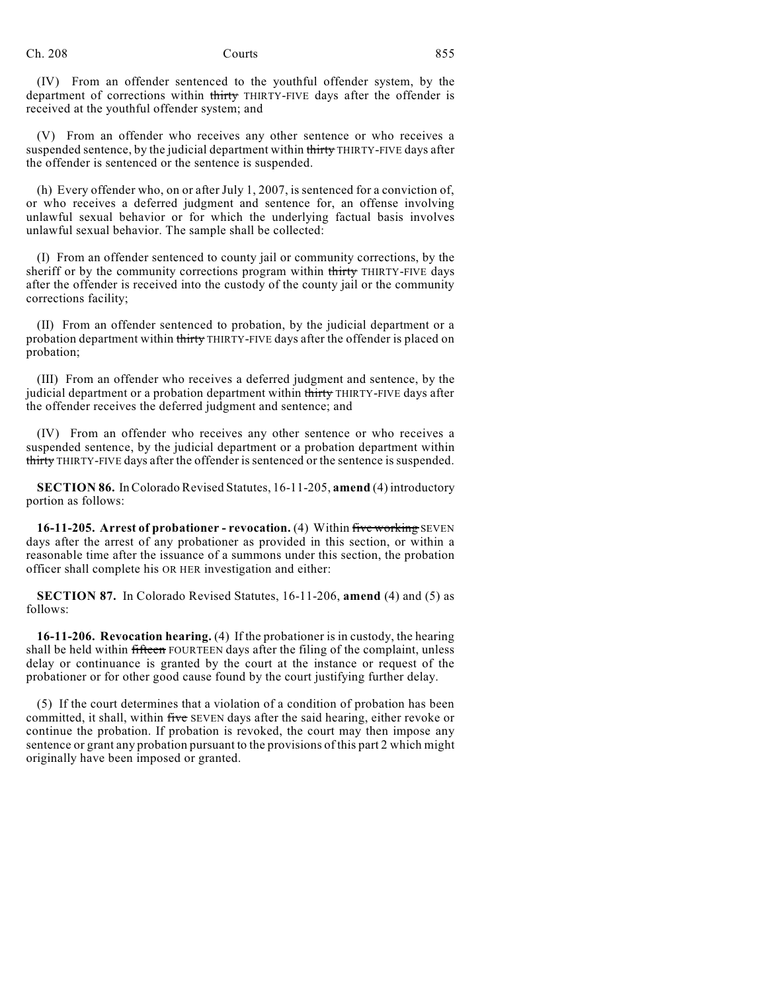(IV) From an offender sentenced to the youthful offender system, by the department of corrections within thirty THIRTY-FIVE days after the offender is received at the youthful offender system; and

(V) From an offender who receives any other sentence or who receives a suspended sentence, by the judicial department within thirty THIRTY-FIVE days after the offender is sentenced or the sentence is suspended.

(h) Every offender who, on or after July 1, 2007, is sentenced for a conviction of, or who receives a deferred judgment and sentence for, an offense involving unlawful sexual behavior or for which the underlying factual basis involves unlawful sexual behavior. The sample shall be collected:

(I) From an offender sentenced to county jail or community corrections, by the sheriff or by the community corrections program within thirty THIRTY-FIVE days after the offender is received into the custody of the county jail or the community corrections facility;

(II) From an offender sentenced to probation, by the judicial department or a probation department within thirty THIRTY-FIVE days after the offender is placed on probation;

(III) From an offender who receives a deferred judgment and sentence, by the judicial department or a probation department within thirty THIRTY-FIVE days after the offender receives the deferred judgment and sentence; and

(IV) From an offender who receives any other sentence or who receives a suspended sentence, by the judicial department or a probation department within thirty THIRTY-FIVE days after the offender is sentenced or the sentence is suspended.

**SECTION 86.** In Colorado Revised Statutes, 16-11-205, **amend** (4) introductory portion as follows:

**16-11-205. Arrest of probationer - revocation.** (4) Within five working SEVEN days after the arrest of any probationer as provided in this section, or within a reasonable time after the issuance of a summons under this section, the probation officer shall complete his OR HER investigation and either:

**SECTION 87.** In Colorado Revised Statutes, 16-11-206, **amend** (4) and (5) as follows:

**16-11-206. Revocation hearing.** (4) If the probationer is in custody, the hearing shall be held within fifteen FOURTEEN days after the filing of the complaint, unless delay or continuance is granted by the court at the instance or request of the probationer or for other good cause found by the court justifying further delay.

(5) If the court determines that a violation of a condition of probation has been committed, it shall, within five SEVEN days after the said hearing, either revoke or continue the probation. If probation is revoked, the court may then impose any sentence or grant any probation pursuant to the provisions of this part 2 which might originally have been imposed or granted.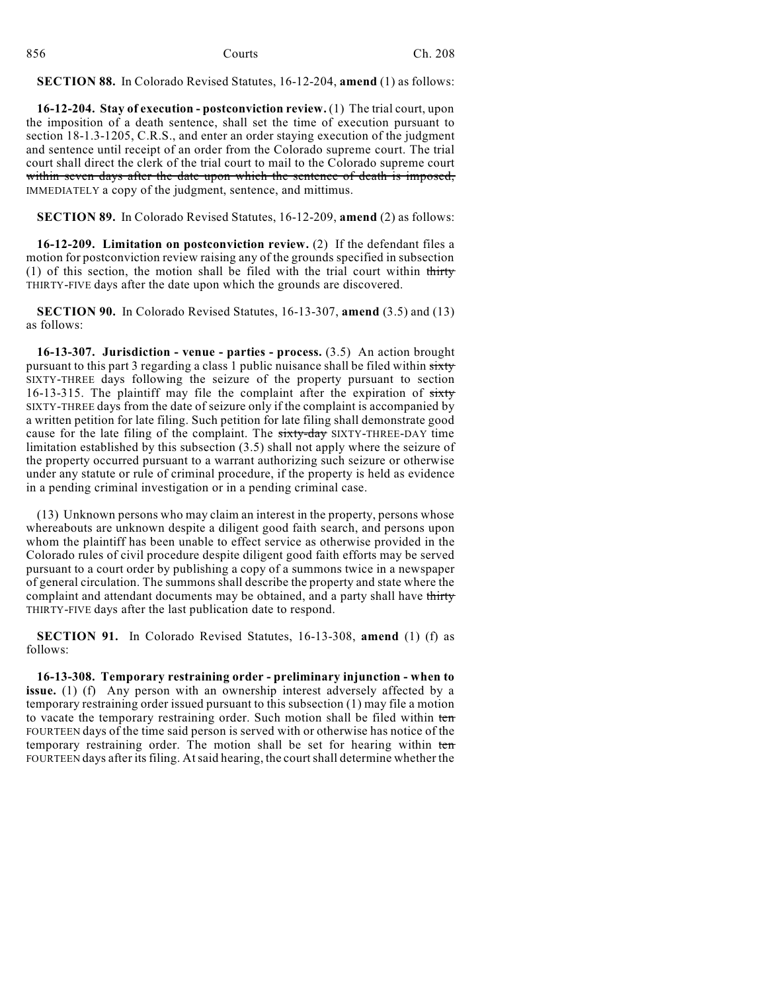| 856 | Courts | Ch. 208 |
|-----|--------|---------|
|     |        |         |

**SECTION 88.** In Colorado Revised Statutes, 16-12-204, **amend** (1) as follows:

**16-12-204. Stay of execution - postconviction review.** (1) The trial court, upon the imposition of a death sentence, shall set the time of execution pursuant to section 18-1.3-1205, C.R.S., and enter an order staying execution of the judgment and sentence until receipt of an order from the Colorado supreme court. The trial court shall direct the clerk of the trial court to mail to the Colorado supreme court within seven days after the date upon which the sentence of death is imposed, IMMEDIATELY a copy of the judgment, sentence, and mittimus.

**SECTION 89.** In Colorado Revised Statutes, 16-12-209, **amend** (2) as follows:

**16-12-209. Limitation on postconviction review.** (2) If the defendant files a motion for postconviction review raising any of the grounds specified in subsection (1) of this section, the motion shall be filed with the trial court within thirty THIRTY-FIVE days after the date upon which the grounds are discovered.

**SECTION 90.** In Colorado Revised Statutes, 16-13-307, **amend** (3.5) and (13) as follows:

**16-13-307. Jurisdiction - venue - parties - process.** (3.5) An action brought pursuant to this part 3 regarding a class 1 public nuisance shall be filed within sixty SIXTY-THREE days following the seizure of the property pursuant to section 16-13-315. The plaintiff may file the complaint after the expiration of sixty SIXTY-THREE days from the date of seizure only if the complaint is accompanied by a written petition for late filing. Such petition for late filing shall demonstrate good cause for the late filing of the complaint. The sixty-day SIXTY-THREE-DAY time limitation established by this subsection (3.5) shall not apply where the seizure of the property occurred pursuant to a warrant authorizing such seizure or otherwise under any statute or rule of criminal procedure, if the property is held as evidence in a pending criminal investigation or in a pending criminal case.

(13) Unknown persons who may claim an interest in the property, persons whose whereabouts are unknown despite a diligent good faith search, and persons upon whom the plaintiff has been unable to effect service as otherwise provided in the Colorado rules of civil procedure despite diligent good faith efforts may be served pursuant to a court order by publishing a copy of a summons twice in a newspaper of general circulation. The summons shall describe the property and state where the complaint and attendant documents may be obtained, and a party shall have thirty THIRTY-FIVE days after the last publication date to respond.

**SECTION 91.** In Colorado Revised Statutes, 16-13-308, **amend** (1) (f) as follows:

**16-13-308. Temporary restraining order - preliminary injunction - when to issue.** (1) (f) Any person with an ownership interest adversely affected by a temporary restraining order issued pursuant to this subsection (1) may file a motion to vacate the temporary restraining order. Such motion shall be filed within ten FOURTEEN days of the time said person is served with or otherwise has notice of the temporary restraining order. The motion shall be set for hearing within ten FOURTEEN days after its filing. At said hearing, the court shall determine whether the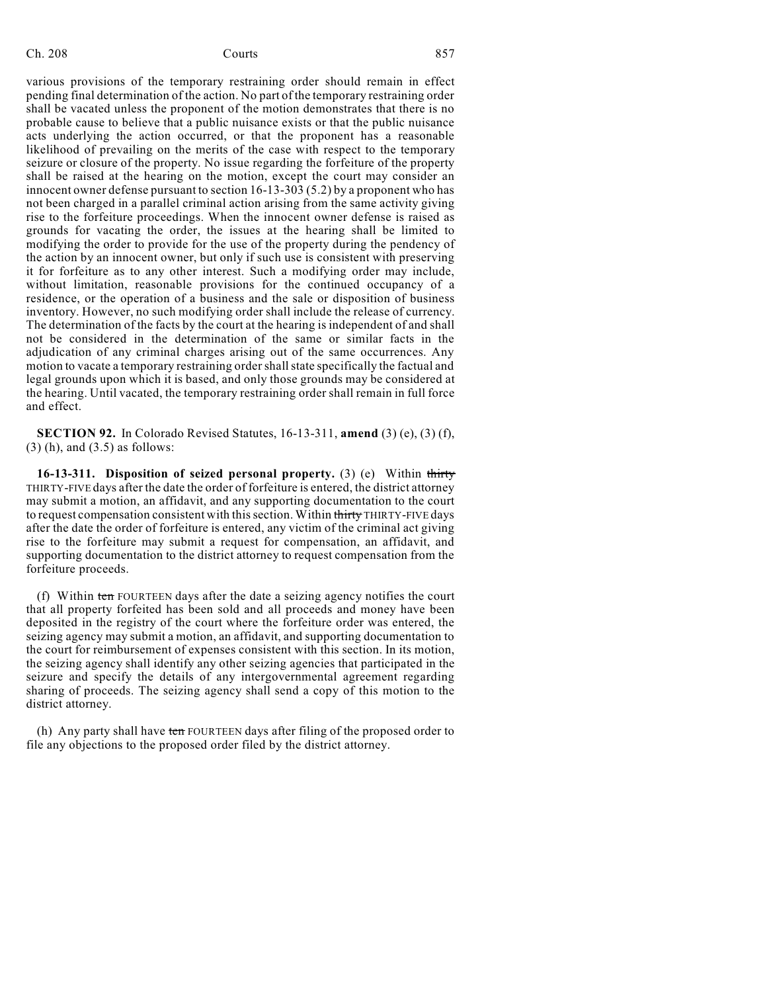## Ch. 208 Courts **Countillation** 857

various provisions of the temporary restraining order should remain in effect pending final determination of the action. No part of the temporary restraining order shall be vacated unless the proponent of the motion demonstrates that there is no probable cause to believe that a public nuisance exists or that the public nuisance acts underlying the action occurred, or that the proponent has a reasonable likelihood of prevailing on the merits of the case with respect to the temporary seizure or closure of the property. No issue regarding the forfeiture of the property shall be raised at the hearing on the motion, except the court may consider an innocent owner defense pursuant to section 16-13-303 (5.2) by a proponent who has not been charged in a parallel criminal action arising from the same activity giving rise to the forfeiture proceedings. When the innocent owner defense is raised as grounds for vacating the order, the issues at the hearing shall be limited to modifying the order to provide for the use of the property during the pendency of the action by an innocent owner, but only if such use is consistent with preserving it for forfeiture as to any other interest. Such a modifying order may include, without limitation, reasonable provisions for the continued occupancy of a residence, or the operation of a business and the sale or disposition of business inventory. However, no such modifying order shall include the release of currency. The determination of the facts by the court at the hearing is independent of and shall not be considered in the determination of the same or similar facts in the adjudication of any criminal charges arising out of the same occurrences. Any motion to vacate a temporary restraining order shall state specifically the factual and legal grounds upon which it is based, and only those grounds may be considered at the hearing. Until vacated, the temporary restraining order shall remain in full force and effect.

**SECTION 92.** In Colorado Revised Statutes, 16-13-311, **amend** (3) (e), (3) (f), (3) (h), and (3.5) as follows:

**16-13-311. Disposition of seized personal property.** (3) (e) Within thirty THIRTY-FIVE days after the date the order of forfeiture is entered, the district attorney may submit a motion, an affidavit, and any supporting documentation to the court to request compensation consistent with this section. Within thirty THIRTY-FIVE days after the date the order of forfeiture is entered, any victim of the criminal act giving rise to the forfeiture may submit a request for compensation, an affidavit, and supporting documentation to the district attorney to request compensation from the forfeiture proceeds.

(f) Within ten FOURTEEN days after the date a seizing agency notifies the court that all property forfeited has been sold and all proceeds and money have been deposited in the registry of the court where the forfeiture order was entered, the seizing agency may submit a motion, an affidavit, and supporting documentation to the court for reimbursement of expenses consistent with this section. In its motion, the seizing agency shall identify any other seizing agencies that participated in the seizure and specify the details of any intergovernmental agreement regarding sharing of proceeds. The seizing agency shall send a copy of this motion to the district attorney.

(h) Any party shall have ten FOURTEEN days after filing of the proposed order to file any objections to the proposed order filed by the district attorney.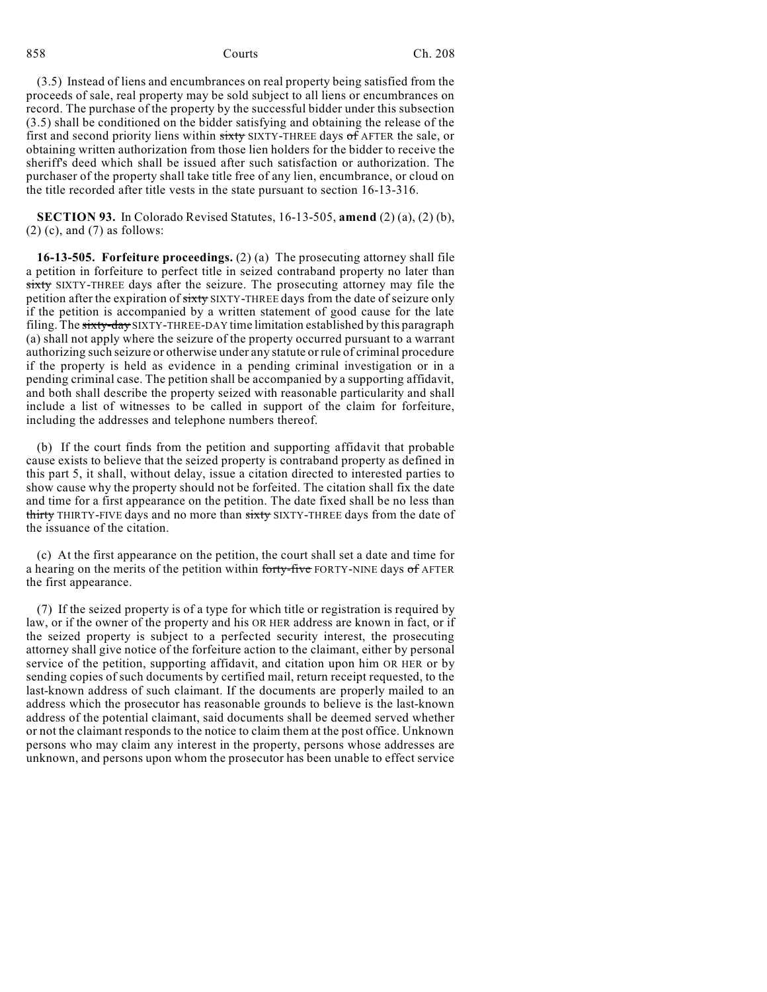(3.5) Instead of liens and encumbrances on real property being satisfied from the proceeds of sale, real property may be sold subject to all liens or encumbrances on record. The purchase of the property by the successful bidder under this subsection (3.5) shall be conditioned on the bidder satisfying and obtaining the release of the first and second priority liens within sixty SIXTY-THREE days of AFTER the sale, or obtaining written authorization from those lien holders for the bidder to receive the sheriff's deed which shall be issued after such satisfaction or authorization. The purchaser of the property shall take title free of any lien, encumbrance, or cloud on the title recorded after title vests in the state pursuant to section 16-13-316.

**SECTION 93.** In Colorado Revised Statutes, 16-13-505, **amend** (2) (a), (2) (b),  $(2)$  (c), and  $(7)$  as follows:

**16-13-505. Forfeiture proceedings.** (2) (a) The prosecuting attorney shall file a petition in forfeiture to perfect title in seized contraband property no later than sixty SIXTY-THREE days after the seizure. The prosecuting attorney may file the petition after the expiration of sixty SIXTY-THREE days from the date of seizure only if the petition is accompanied by a written statement of good cause for the late filing. The sixty-day SIXTY-THREE-DAY time limitation established by this paragraph (a) shall not apply where the seizure of the property occurred pursuant to a warrant authorizing such seizure or otherwise under any statute or rule of criminal procedure if the property is held as evidence in a pending criminal investigation or in a pending criminal case. The petition shall be accompanied by a supporting affidavit, and both shall describe the property seized with reasonable particularity and shall include a list of witnesses to be called in support of the claim for forfeiture, including the addresses and telephone numbers thereof.

(b) If the court finds from the petition and supporting affidavit that probable cause exists to believe that the seized property is contraband property as defined in this part 5, it shall, without delay, issue a citation directed to interested parties to show cause why the property should not be forfeited. The citation shall fix the date and time for a first appearance on the petition. The date fixed shall be no less than thirty THIRTY-FIVE days and no more than sixty SIXTY-THREE days from the date of the issuance of the citation.

(c) At the first appearance on the petition, the court shall set a date and time for a hearing on the merits of the petition within forty-five FORTY-NINE days of AFTER the first appearance.

(7) If the seized property is of a type for which title or registration is required by law, or if the owner of the property and his OR HER address are known in fact, or if the seized property is subject to a perfected security interest, the prosecuting attorney shall give notice of the forfeiture action to the claimant, either by personal service of the petition, supporting affidavit, and citation upon him OR HER or by sending copies of such documents by certified mail, return receipt requested, to the last-known address of such claimant. If the documents are properly mailed to an address which the prosecutor has reasonable grounds to believe is the last-known address of the potential claimant, said documents shall be deemed served whether or not the claimant responds to the notice to claim them at the post office. Unknown persons who may claim any interest in the property, persons whose addresses are unknown, and persons upon whom the prosecutor has been unable to effect service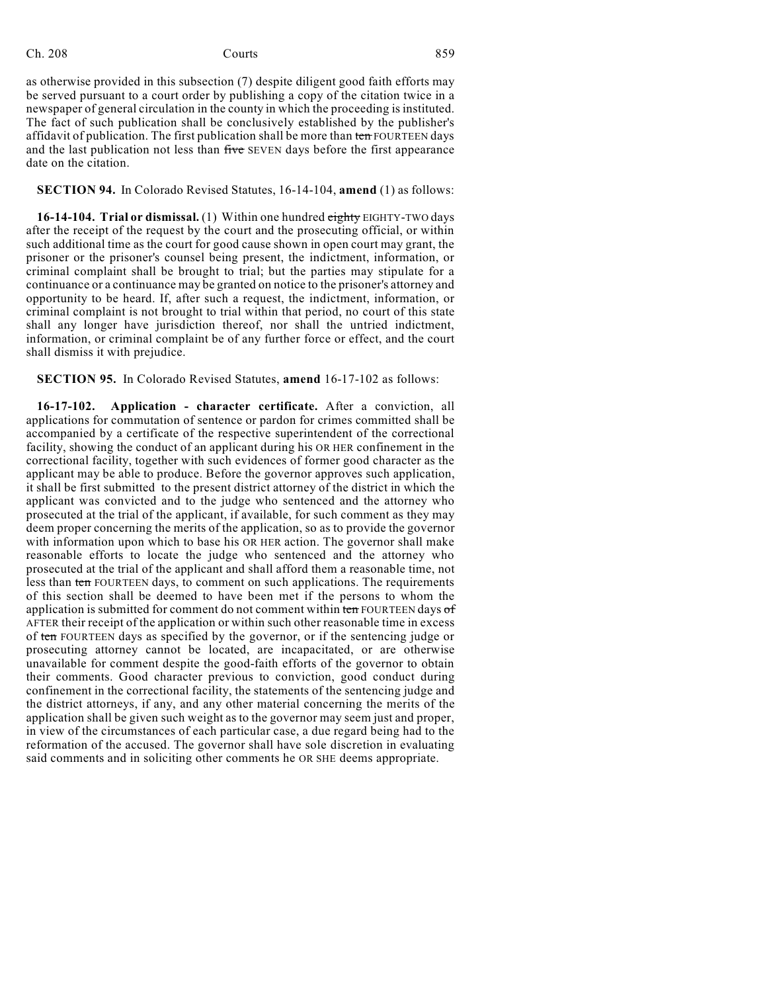## Ch. 208 Courts **Courts** 859

as otherwise provided in this subsection (7) despite diligent good faith efforts may be served pursuant to a court order by publishing a copy of the citation twice in a newspaper of general circulation in the county in which the proceeding is instituted. The fact of such publication shall be conclusively established by the publisher's affidavit of publication. The first publication shall be more than ten FOURTEEN days and the last publication not less than five SEVEN days before the first appearance date on the citation.

## **SECTION 94.** In Colorado Revised Statutes, 16-14-104, **amend** (1) as follows:

**16-14-104. Trial or dismissal.** (1) Within one hundred eighty EIGHTY-TWO days after the receipt of the request by the court and the prosecuting official, or within such additional time as the court for good cause shown in open court may grant, the prisoner or the prisoner's counsel being present, the indictment, information, or criminal complaint shall be brought to trial; but the parties may stipulate for a continuance or a continuance may be granted on notice to the prisoner's attorney and opportunity to be heard. If, after such a request, the indictment, information, or criminal complaint is not brought to trial within that period, no court of this state shall any longer have jurisdiction thereof, nor shall the untried indictment, information, or criminal complaint be of any further force or effect, and the court shall dismiss it with prejudice.

**SECTION 95.** In Colorado Revised Statutes, **amend** 16-17-102 as follows:

**16-17-102. Application - character certificate.** After a conviction, all applications for commutation of sentence or pardon for crimes committed shall be accompanied by a certificate of the respective superintendent of the correctional facility, showing the conduct of an applicant during his OR HER confinement in the correctional facility, together with such evidences of former good character as the applicant may be able to produce. Before the governor approves such application, it shall be first submitted to the present district attorney of the district in which the applicant was convicted and to the judge who sentenced and the attorney who prosecuted at the trial of the applicant, if available, for such comment as they may deem proper concerning the merits of the application, so as to provide the governor with information upon which to base his OR HER action. The governor shall make reasonable efforts to locate the judge who sentenced and the attorney who prosecuted at the trial of the applicant and shall afford them a reasonable time, not less than ten FOURTEEN days, to comment on such applications. The requirements of this section shall be deemed to have been met if the persons to whom the application is submitted for comment do not comment within ten FOURTEEN days of AFTER their receipt of the application or within such other reasonable time in excess of ten FOURTEEN days as specified by the governor, or if the sentencing judge or prosecuting attorney cannot be located, are incapacitated, or are otherwise unavailable for comment despite the good-faith efforts of the governor to obtain their comments. Good character previous to conviction, good conduct during confinement in the correctional facility, the statements of the sentencing judge and the district attorneys, if any, and any other material concerning the merits of the application shall be given such weight as to the governor may seem just and proper, in view of the circumstances of each particular case, a due regard being had to the reformation of the accused. The governor shall have sole discretion in evaluating said comments and in soliciting other comments he OR SHE deems appropriate.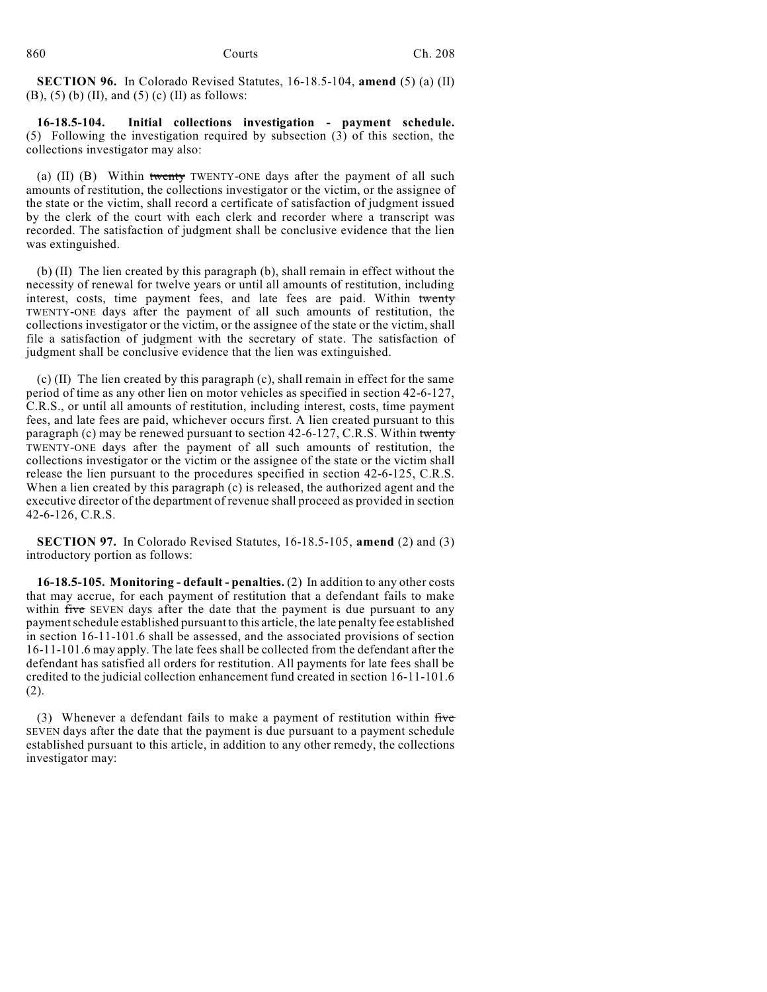**SECTION 96.** In Colorado Revised Statutes, 16-18.5-104, **amend** (5) (a) (II) (B), (5) (b) (II), and (5) (c) (II) as follows:

**16-18.5-104. Initial collections investigation - payment schedule.** (5) Following the investigation required by subsection (3) of this section, the collections investigator may also:

(a) (II) (B) Within twenty TWENTY-ONE days after the payment of all such amounts of restitution, the collections investigator or the victim, or the assignee of the state or the victim, shall record a certificate of satisfaction of judgment issued by the clerk of the court with each clerk and recorder where a transcript was recorded. The satisfaction of judgment shall be conclusive evidence that the lien was extinguished.

(b) (II) The lien created by this paragraph (b), shall remain in effect without the necessity of renewal for twelve years or until all amounts of restitution, including interest, costs, time payment fees, and late fees are paid. Within twenty TWENTY-ONE days after the payment of all such amounts of restitution, the collections investigator or the victim, or the assignee of the state or the victim, shall file a satisfaction of judgment with the secretary of state. The satisfaction of judgment shall be conclusive evidence that the lien was extinguished.

(c) (II) The lien created by this paragraph (c), shall remain in effect for the same period of time as any other lien on motor vehicles as specified in section 42-6-127, C.R.S., or until all amounts of restitution, including interest, costs, time payment fees, and late fees are paid, whichever occurs first. A lien created pursuant to this paragraph (c) may be renewed pursuant to section 42-6-127, C.R.S. Within twenty TWENTY-ONE days after the payment of all such amounts of restitution, the collections investigator or the victim or the assignee of the state or the victim shall release the lien pursuant to the procedures specified in section 42-6-125, C.R.S. When a lien created by this paragraph (c) is released, the authorized agent and the executive director of the department of revenue shall proceed as provided in section 42-6-126, C.R.S.

**SECTION 97.** In Colorado Revised Statutes, 16-18.5-105, **amend** (2) and (3) introductory portion as follows:

**16-18.5-105. Monitoring - default - penalties.** (2) In addition to any other costs that may accrue, for each payment of restitution that a defendant fails to make within five SEVEN days after the date that the payment is due pursuant to any paymentschedule established pursuant to this article, the late penalty fee established in section 16-11-101.6 shall be assessed, and the associated provisions of section 16-11-101.6 may apply. The late fees shall be collected from the defendant after the defendant has satisfied all orders for restitution. All payments for late fees shall be credited to the judicial collection enhancement fund created in section 16-11-101.6 (2).

(3) Whenever a defendant fails to make a payment of restitution within  $f<sub>i</sub>$ SEVEN days after the date that the payment is due pursuant to a payment schedule established pursuant to this article, in addition to any other remedy, the collections investigator may: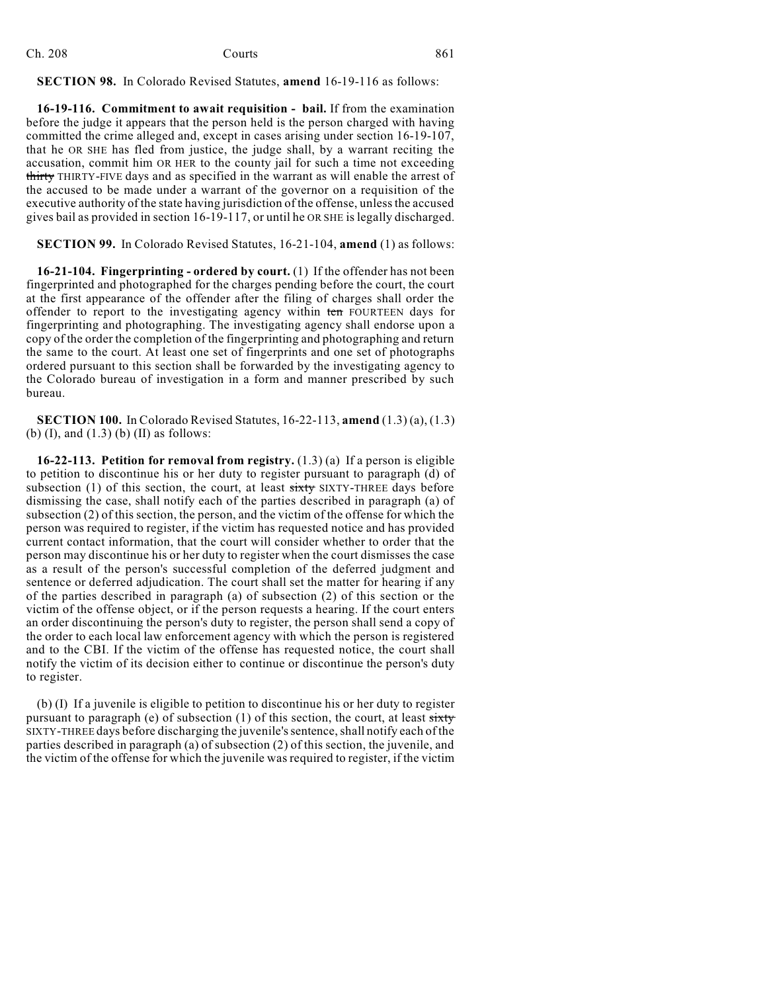## Ch. 208 Courts **Courts** 861

**SECTION 98.** In Colorado Revised Statutes, **amend** 16-19-116 as follows:

**16-19-116. Commitment to await requisition - bail.** If from the examination before the judge it appears that the person held is the person charged with having committed the crime alleged and, except in cases arising under section 16-19-107, that he OR SHE has fled from justice, the judge shall, by a warrant reciting the accusation, commit him OR HER to the county jail for such a time not exceeding thirty THIRTY-FIVE days and as specified in the warrant as will enable the arrest of the accused to be made under a warrant of the governor on a requisition of the executive authority of the state having jurisdiction of the offense, unlessthe accused gives bail as provided in section 16-19-117, or until he OR SHE is legally discharged.

**SECTION 99.** In Colorado Revised Statutes, 16-21-104, **amend** (1) as follows:

**16-21-104. Fingerprinting - ordered by court.** (1) If the offender has not been fingerprinted and photographed for the charges pending before the court, the court at the first appearance of the offender after the filing of charges shall order the offender to report to the investigating agency within ten FOURTEEN days for fingerprinting and photographing. The investigating agency shall endorse upon a copy of the order the completion of the fingerprinting and photographing and return the same to the court. At least one set of fingerprints and one set of photographs ordered pursuant to this section shall be forwarded by the investigating agency to the Colorado bureau of investigation in a form and manner prescribed by such bureau.

**SECTION 100.** In Colorado Revised Statutes, 16-22-113, **amend** (1.3) (a), (1.3) (b)  $(I)$ , and  $(1.3)$   $(b)$   $(II)$  as follows:

**16-22-113. Petition for removal from registry.** (1.3) (a) If a person is eligible to petition to discontinue his or her duty to register pursuant to paragraph (d) of subsection  $(1)$  of this section, the court, at least  $s$ ixty SIXTY-THREE days before dismissing the case, shall notify each of the parties described in paragraph (a) of subsection (2) of this section, the person, and the victim of the offense for which the person was required to register, if the victim has requested notice and has provided current contact information, that the court will consider whether to order that the person may discontinue his or her duty to register when the court dismisses the case as a result of the person's successful completion of the deferred judgment and sentence or deferred adjudication. The court shall set the matter for hearing if any of the parties described in paragraph (a) of subsection (2) of this section or the victim of the offense object, or if the person requests a hearing. If the court enters an order discontinuing the person's duty to register, the person shall send a copy of the order to each local law enforcement agency with which the person is registered and to the CBI. If the victim of the offense has requested notice, the court shall notify the victim of its decision either to continue or discontinue the person's duty to register.

(b) (I) If a juvenile is eligible to petition to discontinue his or her duty to register pursuant to paragraph (e) of subsection  $(1)$  of this section, the court, at least sixty SIXTY-THREE days before discharging the juvenile'ssentence,shall notify each of the parties described in paragraph (a) of subsection (2) of this section, the juvenile, and the victim of the offense for which the juvenile was required to register, if the victim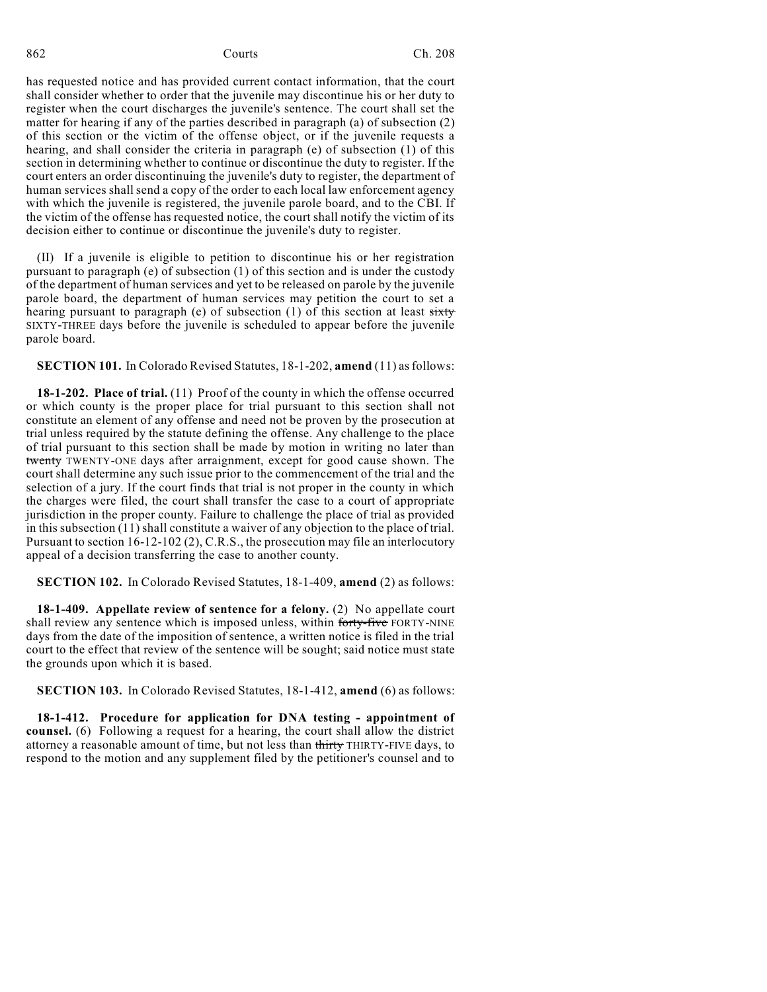has requested notice and has provided current contact information, that the court shall consider whether to order that the juvenile may discontinue his or her duty to register when the court discharges the juvenile's sentence. The court shall set the matter for hearing if any of the parties described in paragraph (a) of subsection (2) of this section or the victim of the offense object, or if the juvenile requests a hearing, and shall consider the criteria in paragraph (e) of subsection (1) of this section in determining whether to continue or discontinue the duty to register. If the court enters an order discontinuing the juvenile's duty to register, the department of human services shall send a copy of the order to each local law enforcement agency with which the juvenile is registered, the juvenile parole board, and to the CBI. If the victim of the offense has requested notice, the court shall notify the victim of its decision either to continue or discontinue the juvenile's duty to register.

(II) If a juvenile is eligible to petition to discontinue his or her registration pursuant to paragraph (e) of subsection (1) of this section and is under the custody of the department of human services and yet to be released on parole by the juvenile parole board, the department of human services may petition the court to set a hearing pursuant to paragraph (e) of subsection  $(1)$  of this section at least sixty SIXTY-THREE days before the juvenile is scheduled to appear before the juvenile parole board.

**SECTION 101.** In Colorado Revised Statutes, 18-1-202, **amend** (11) as follows:

**18-1-202. Place of trial.** (11) Proof of the county in which the offense occurred or which county is the proper place for trial pursuant to this section shall not constitute an element of any offense and need not be proven by the prosecution at trial unless required by the statute defining the offense. Any challenge to the place of trial pursuant to this section shall be made by motion in writing no later than twenty TWENTY-ONE days after arraignment, except for good cause shown. The court shall determine any such issue prior to the commencement of the trial and the selection of a jury. If the court finds that trial is not proper in the county in which the charges were filed, the court shall transfer the case to a court of appropriate jurisdiction in the proper county. Failure to challenge the place of trial as provided in this subsection (11) shall constitute a waiver of any objection to the place of trial. Pursuant to section 16-12-102 (2), C.R.S., the prosecution may file an interlocutory appeal of a decision transferring the case to another county.

**SECTION 102.** In Colorado Revised Statutes, 18-1-409, **amend** (2) as follows:

**18-1-409. Appellate review of sentence for a felony.** (2) No appellate court shall review any sentence which is imposed unless, within forty-five FORTY-NINE days from the date of the imposition of sentence, a written notice is filed in the trial court to the effect that review of the sentence will be sought; said notice must state the grounds upon which it is based.

**SECTION 103.** In Colorado Revised Statutes, 18-1-412, **amend** (6) as follows:

**18-1-412. Procedure for application for DNA testing - appointment of counsel.** (6) Following a request for a hearing, the court shall allow the district attorney a reasonable amount of time, but not less than thirty THIRTY-FIVE days, to respond to the motion and any supplement filed by the petitioner's counsel and to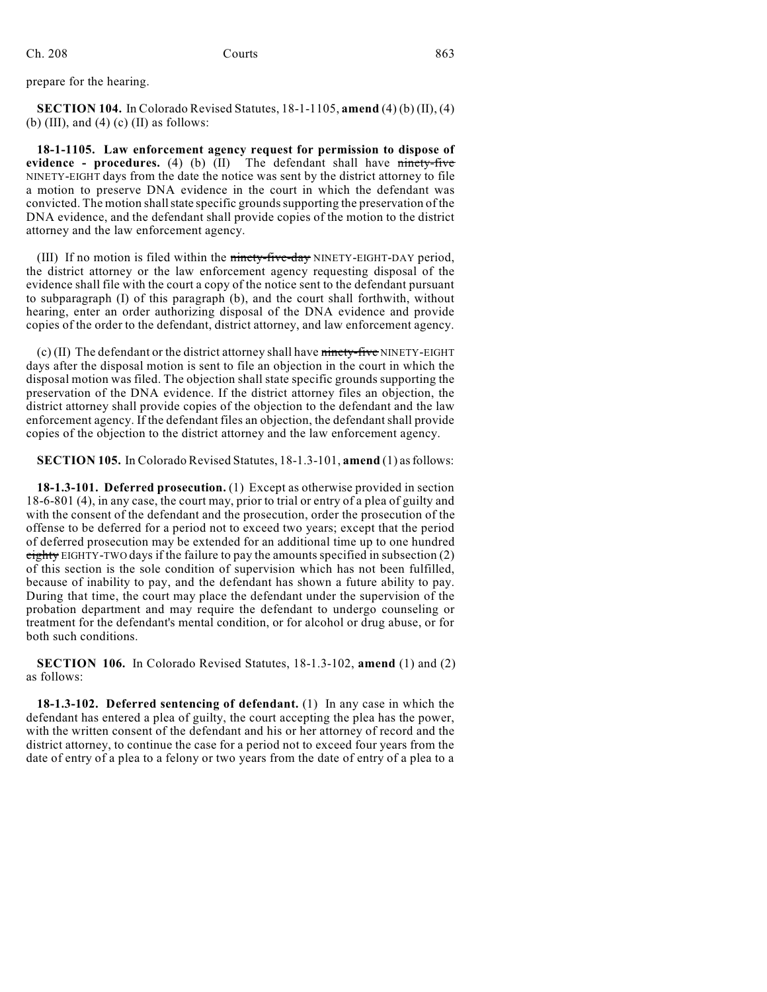prepare for the hearing.

**SECTION 104.** In Colorado Revised Statutes, 18-1-1105, **amend** (4) (b) (II), (4) (b) (III), and (4) (c) (II) as follows:

**18-1-1105. Law enforcement agency request for permission to dispose of evidence - procedures.** (4) (b) (II) The defendant shall have ninety-five NINETY-EIGHT days from the date the notice was sent by the district attorney to file a motion to preserve DNA evidence in the court in which the defendant was convicted. The motion shall state specific grounds supporting the preservation of the DNA evidence, and the defendant shall provide copies of the motion to the district attorney and the law enforcement agency.

(III) If no motion is filed within the ninety-five-day NINETY-EIGHT-DAY period, the district attorney or the law enforcement agency requesting disposal of the evidence shall file with the court a copy of the notice sent to the defendant pursuant to subparagraph (I) of this paragraph (b), and the court shall forthwith, without hearing, enter an order authorizing disposal of the DNA evidence and provide copies of the order to the defendant, district attorney, and law enforcement agency.

(c) (II) The defendant or the district attorney shall have ninety-five NINETY-EIGHT days after the disposal motion is sent to file an objection in the court in which the disposal motion was filed. The objection shall state specific grounds supporting the preservation of the DNA evidence. If the district attorney files an objection, the district attorney shall provide copies of the objection to the defendant and the law enforcement agency. If the defendant files an objection, the defendantshall provide copies of the objection to the district attorney and the law enforcement agency.

**SECTION 105.** In Colorado Revised Statutes, 18-1.3-101, **amend** (1) as follows:

**18-1.3-101. Deferred prosecution.** (1) Except as otherwise provided in section 18-6-801 (4), in any case, the court may, prior to trial or entry of a plea of guilty and with the consent of the defendant and the prosecution, order the prosecution of the offense to be deferred for a period not to exceed two years; except that the period of deferred prosecution may be extended for an additional time up to one hundred eighty EIGHTY-TWO days if the failure to pay the amounts specified in subsection (2) of this section is the sole condition of supervision which has not been fulfilled, because of inability to pay, and the defendant has shown a future ability to pay. During that time, the court may place the defendant under the supervision of the probation department and may require the defendant to undergo counseling or treatment for the defendant's mental condition, or for alcohol or drug abuse, or for both such conditions.

**SECTION 106.** In Colorado Revised Statutes, 18-1.3-102, **amend** (1) and (2) as follows:

**18-1.3-102. Deferred sentencing of defendant.** (1) In any case in which the defendant has entered a plea of guilty, the court accepting the plea has the power, with the written consent of the defendant and his or her attorney of record and the district attorney, to continue the case for a period not to exceed four years from the date of entry of a plea to a felony or two years from the date of entry of a plea to a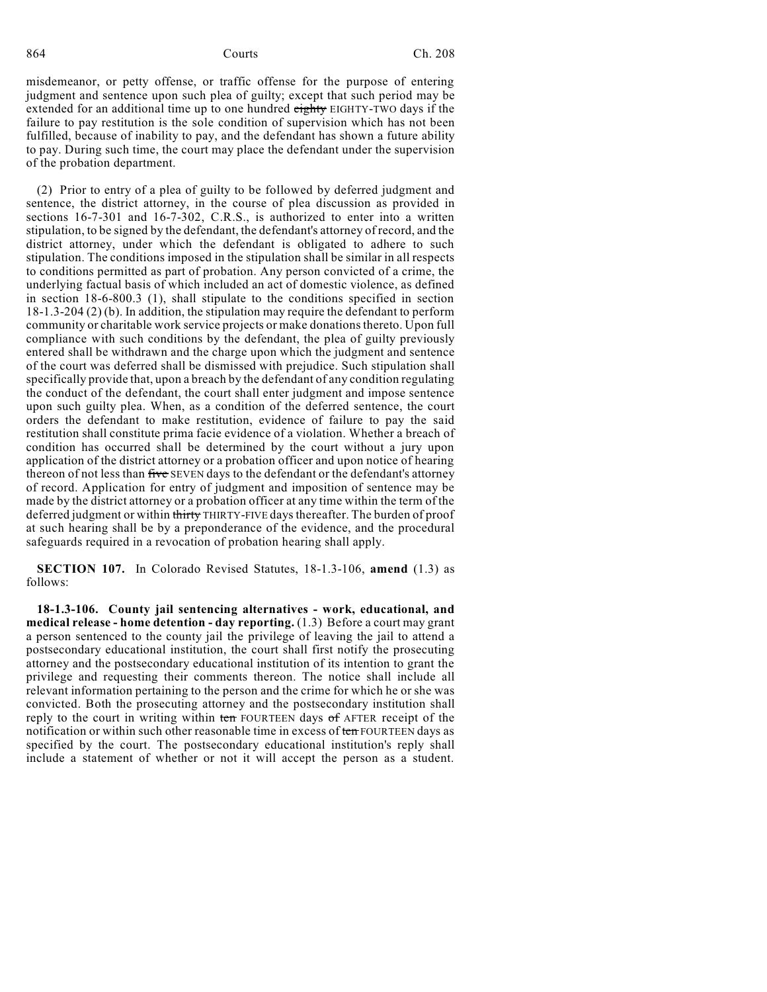misdemeanor, or petty offense, or traffic offense for the purpose of entering judgment and sentence upon such plea of guilty; except that such period may be extended for an additional time up to one hundred eighty EIGHTY-TWO days if the failure to pay restitution is the sole condition of supervision which has not been fulfilled, because of inability to pay, and the defendant has shown a future ability to pay. During such time, the court may place the defendant under the supervision of the probation department.

(2) Prior to entry of a plea of guilty to be followed by deferred judgment and sentence, the district attorney, in the course of plea discussion as provided in sections 16-7-301 and 16-7-302, C.R.S., is authorized to enter into a written stipulation, to be signed by the defendant, the defendant's attorney of record, and the district attorney, under which the defendant is obligated to adhere to such stipulation. The conditions imposed in the stipulation shall be similar in all respects to conditions permitted as part of probation. Any person convicted of a crime, the underlying factual basis of which included an act of domestic violence, as defined in section 18-6-800.3 (1), shall stipulate to the conditions specified in section 18-1.3-204 (2) (b). In addition, the stipulation may require the defendant to perform community or charitable work service projects or make donations thereto. Upon full compliance with such conditions by the defendant, the plea of guilty previously entered shall be withdrawn and the charge upon which the judgment and sentence of the court was deferred shall be dismissed with prejudice. Such stipulation shall specifically provide that, upon a breach by the defendant of any condition regulating the conduct of the defendant, the court shall enter judgment and impose sentence upon such guilty plea. When, as a condition of the deferred sentence, the court orders the defendant to make restitution, evidence of failure to pay the said restitution shall constitute prima facie evidence of a violation. Whether a breach of condition has occurred shall be determined by the court without a jury upon application of the district attorney or a probation officer and upon notice of hearing thereon of not less than five SEVEN days to the defendant or the defendant's attorney of record. Application for entry of judgment and imposition of sentence may be made by the district attorney or a probation officer at any time within the term of the deferred judgment or within thirty THIRTY-FIVE days thereafter. The burden of proof at such hearing shall be by a preponderance of the evidence, and the procedural safeguards required in a revocation of probation hearing shall apply.

**SECTION 107.** In Colorado Revised Statutes, 18-1.3-106, **amend** (1.3) as follows:

**18-1.3-106. County jail sentencing alternatives - work, educational, and medical release - home detention - day reporting.** (1.3) Before a court may grant a person sentenced to the county jail the privilege of leaving the jail to attend a postsecondary educational institution, the court shall first notify the prosecuting attorney and the postsecondary educational institution of its intention to grant the privilege and requesting their comments thereon. The notice shall include all relevant information pertaining to the person and the crime for which he or she was convicted. Both the prosecuting attorney and the postsecondary institution shall reply to the court in writing within ten FOURTEEN days of AFTER receipt of the notification or within such other reasonable time in excess of ten FOURTEEN days as specified by the court. The postsecondary educational institution's reply shall include a statement of whether or not it will accept the person as a student.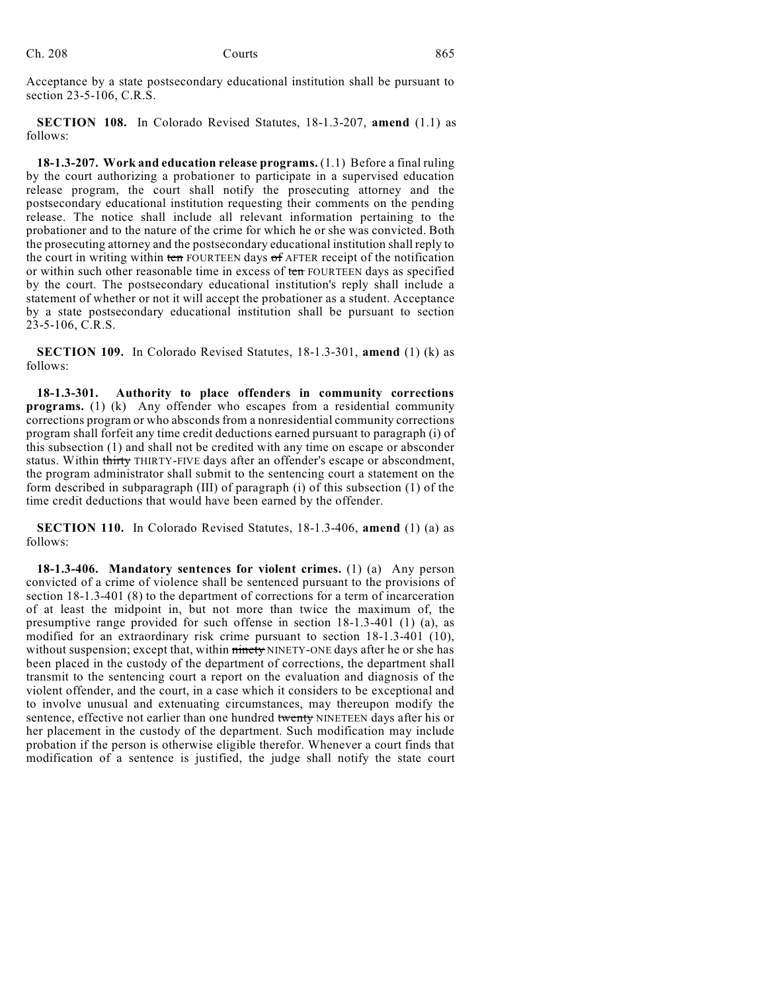Acceptance by a state postsecondary educational institution shall be pursuant to section 23-5-106, C.R.S.

**SECTION 108.** In Colorado Revised Statutes, 18-1.3-207, **amend** (1.1) as follows:

**18-1.3-207. Work and education release programs.** (1.1) Before a final ruling by the court authorizing a probationer to participate in a supervised education release program, the court shall notify the prosecuting attorney and the postsecondary educational institution requesting their comments on the pending release. The notice shall include all relevant information pertaining to the probationer and to the nature of the crime for which he or she was convicted. Both the prosecuting attorney and the postsecondary educational institution shall reply to the court in writing within ten FOURTEEN days of AFTER receipt of the notification or within such other reasonable time in excess of ten FOURTEEN days as specified by the court. The postsecondary educational institution's reply shall include a statement of whether or not it will accept the probationer as a student. Acceptance by a state postsecondary educational institution shall be pursuant to section 23-5-106, C.R.S.

**SECTION 109.** In Colorado Revised Statutes, 18-1.3-301, **amend** (1) (k) as follows:

**18-1.3-301. Authority to place offenders in community corrections programs.** (1) (k) Any offender who escapes from a residential community corrections program or who absconds from a nonresidential community corrections program shall forfeit any time credit deductions earned pursuant to paragraph (i) of this subsection (1) and shall not be credited with any time on escape or absconder status. Within thirty THIRTY-FIVE days after an offender's escape or abscondment, the program administrator shall submit to the sentencing court a statement on the form described in subparagraph (III) of paragraph (i) of this subsection (1) of the time credit deductions that would have been earned by the offender.

**SECTION 110.** In Colorado Revised Statutes, 18-1.3-406, **amend** (1) (a) as follows:

**18-1.3-406. Mandatory sentences for violent crimes.** (1) (a) Any person convicted of a crime of violence shall be sentenced pursuant to the provisions of section 18-1.3-401 (8) to the department of corrections for a term of incarceration of at least the midpoint in, but not more than twice the maximum of, the presumptive range provided for such offense in section 18-1.3-401 (1) (a), as modified for an extraordinary risk crime pursuant to section 18-1.3-401 (10), without suspension; except that, within ninety NINETY-ONE days after he or she has been placed in the custody of the department of corrections, the department shall transmit to the sentencing court a report on the evaluation and diagnosis of the violent offender, and the court, in a case which it considers to be exceptional and to involve unusual and extenuating circumstances, may thereupon modify the sentence, effective not earlier than one hundred twenty NINETEEN days after his or her placement in the custody of the department. Such modification may include probation if the person is otherwise eligible therefor. Whenever a court finds that modification of a sentence is justified, the judge shall notify the state court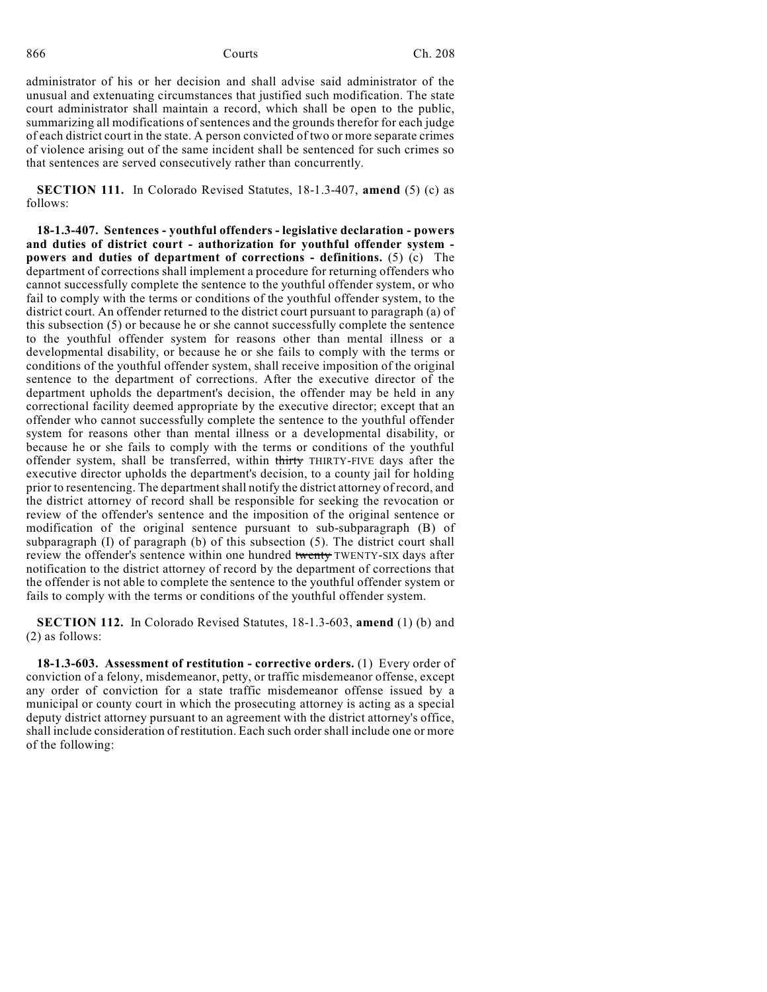administrator of his or her decision and shall advise said administrator of the unusual and extenuating circumstances that justified such modification. The state court administrator shall maintain a record, which shall be open to the public, summarizing all modifications of sentences and the grounds therefor for each judge of each district court in the state. A person convicted of two or more separate crimes of violence arising out of the same incident shall be sentenced for such crimes so that sentences are served consecutively rather than concurrently.

**SECTION 111.** In Colorado Revised Statutes, 18-1.3-407, **amend** (5) (c) as follows:

**18-1.3-407. Sentences - youthful offenders - legislative declaration - powers and duties of district court - authorization for youthful offender system powers and duties of department of corrections - definitions.** (5) (c) The department of corrections shall implement a procedure for returning offenders who cannot successfully complete the sentence to the youthful offender system, or who fail to comply with the terms or conditions of the youthful offender system, to the district court. An offender returned to the district court pursuant to paragraph (a) of this subsection (5) or because he or she cannot successfully complete the sentence to the youthful offender system for reasons other than mental illness or a developmental disability, or because he or she fails to comply with the terms or conditions of the youthful offender system, shall receive imposition of the original sentence to the department of corrections. After the executive director of the department upholds the department's decision, the offender may be held in any correctional facility deemed appropriate by the executive director; except that an offender who cannot successfully complete the sentence to the youthful offender system for reasons other than mental illness or a developmental disability, or because he or she fails to comply with the terms or conditions of the youthful offender system, shall be transferred, within thirty THIRTY-FIVE days after the executive director upholds the department's decision, to a county jail for holding prior to resentencing. The departmentshall notify the district attorney of record, and the district attorney of record shall be responsible for seeking the revocation or review of the offender's sentence and the imposition of the original sentence or modification of the original sentence pursuant to sub-subparagraph (B) of subparagraph  $(I)$  of paragraph  $(b)$  of this subsection  $(5)$ . The district court shall review the offender's sentence within one hundred twenty TWENTY-SIX days after notification to the district attorney of record by the department of corrections that the offender is not able to complete the sentence to the youthful offender system or fails to comply with the terms or conditions of the youthful offender system.

**SECTION 112.** In Colorado Revised Statutes, 18-1.3-603, **amend** (1) (b) and (2) as follows:

**18-1.3-603. Assessment of restitution - corrective orders.** (1) Every order of conviction of a felony, misdemeanor, petty, or traffic misdemeanor offense, except any order of conviction for a state traffic misdemeanor offense issued by a municipal or county court in which the prosecuting attorney is acting as a special deputy district attorney pursuant to an agreement with the district attorney's office, shall include consideration of restitution. Each such order shall include one or more of the following: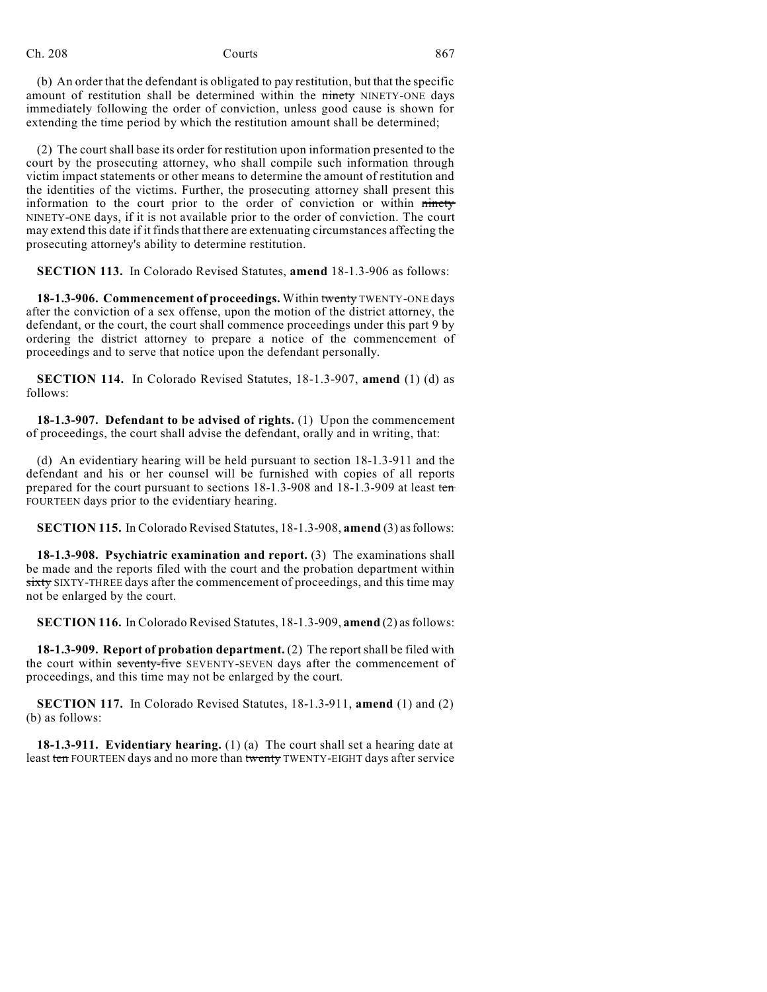(b) An order that the defendant is obligated to pay restitution, but that the specific amount of restitution shall be determined within the ninety NINETY-ONE days immediately following the order of conviction, unless good cause is shown for extending the time period by which the restitution amount shall be determined;

(2) The court shall base its order for restitution upon information presented to the court by the prosecuting attorney, who shall compile such information through victim impact statements or other means to determine the amount of restitution and the identities of the victims. Further, the prosecuting attorney shall present this information to the court prior to the order of conviction or within ninety NINETY-ONE days, if it is not available prior to the order of conviction. The court may extend this date if it finds that there are extenuating circumstances affecting the prosecuting attorney's ability to determine restitution.

**SECTION 113.** In Colorado Revised Statutes, **amend** 18-1.3-906 as follows:

**18-1.3-906. Commencement of proceedings.** Within twenty TWENTY-ONE days after the conviction of a sex offense, upon the motion of the district attorney, the defendant, or the court, the court shall commence proceedings under this part 9 by ordering the district attorney to prepare a notice of the commencement of proceedings and to serve that notice upon the defendant personally.

**SECTION 114.** In Colorado Revised Statutes, 18-1.3-907, **amend** (1) (d) as follows:

**18-1.3-907. Defendant to be advised of rights.** (1) Upon the commencement of proceedings, the court shall advise the defendant, orally and in writing, that:

(d) An evidentiary hearing will be held pursuant to section 18-1.3-911 and the defendant and his or her counsel will be furnished with copies of all reports prepared for the court pursuant to sections 18-1.3-908 and 18-1.3-909 at least ten FOURTEEN days prior to the evidentiary hearing.

**SECTION 115.** In Colorado Revised Statutes, 18-1.3-908, **amend** (3) as follows:

**18-1.3-908. Psychiatric examination and report.** (3) The examinations shall be made and the reports filed with the court and the probation department within sixty SIXTY-THREE days after the commencement of proceedings, and this time may not be enlarged by the court.

**SECTION 116.** In Colorado Revised Statutes, 18-1.3-909, **amend** (2) as follows:

**18-1.3-909. Report of probation department.** (2) The reportshall be filed with the court within seventy-five SEVENTY-SEVEN days after the commencement of proceedings, and this time may not be enlarged by the court.

**SECTION 117.** In Colorado Revised Statutes, 18-1.3-911, **amend** (1) and (2) (b) as follows:

**18-1.3-911. Evidentiary hearing.** (1) (a) The court shall set a hearing date at least ten FOURTEEN days and no more than twenty TWENTY-EIGHT days after service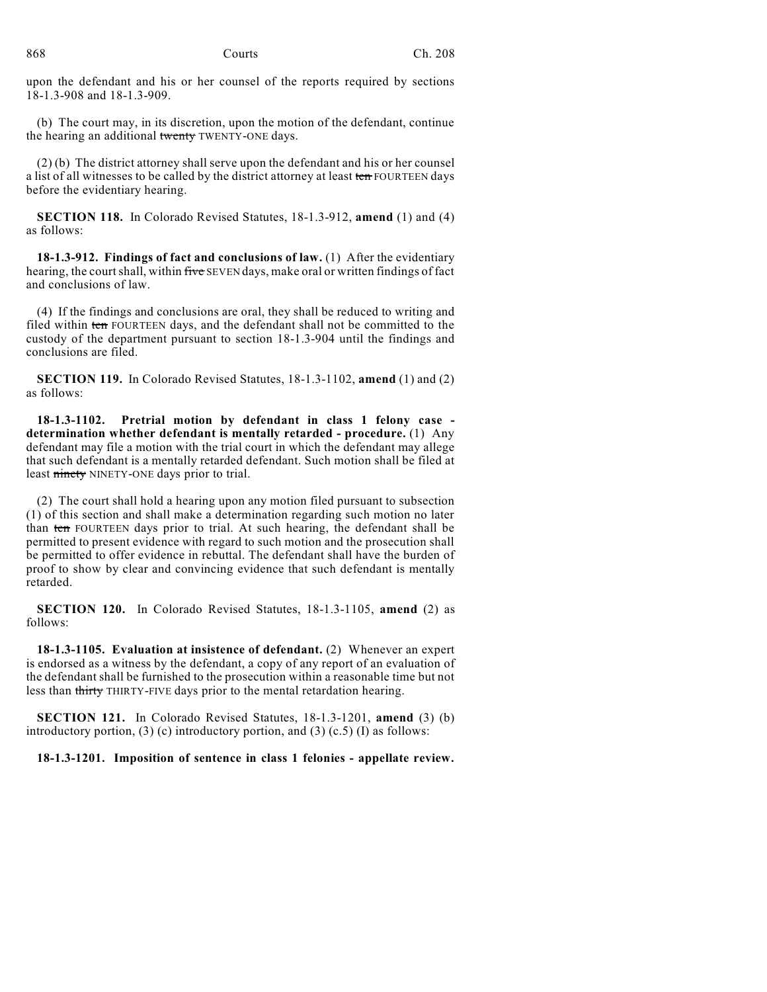upon the defendant and his or her counsel of the reports required by sections 18-1.3-908 and 18-1.3-909.

(b) The court may, in its discretion, upon the motion of the defendant, continue the hearing an additional twenty TWENTY-ONE days.

(2) (b) The district attorney shall serve upon the defendant and his or her counsel a list of all witnesses to be called by the district attorney at least ten FOURTEEN days before the evidentiary hearing.

**SECTION 118.** In Colorado Revised Statutes, 18-1.3-912, **amend** (1) and (4) as follows:

**18-1.3-912. Findings of fact and conclusions of law.** (1) After the evidentiary hearing, the court shall, within five SEVEN days, make oral or written findings of fact and conclusions of law.

(4) If the findings and conclusions are oral, they shall be reduced to writing and filed within ten FOURTEEN days, and the defendant shall not be committed to the custody of the department pursuant to section 18-1.3-904 until the findings and conclusions are filed.

**SECTION 119.** In Colorado Revised Statutes, 18-1.3-1102, **amend** (1) and (2) as follows:

**18-1.3-1102. Pretrial motion by defendant in class 1 felony case determination whether defendant is mentally retarded - procedure.** (1) Any defendant may file a motion with the trial court in which the defendant may allege that such defendant is a mentally retarded defendant. Such motion shall be filed at least ninety NINETY-ONE days prior to trial.

(2) The court shall hold a hearing upon any motion filed pursuant to subsection (1) of this section and shall make a determination regarding such motion no later than ten FOURTEEN days prior to trial. At such hearing, the defendant shall be permitted to present evidence with regard to such motion and the prosecution shall be permitted to offer evidence in rebuttal. The defendant shall have the burden of proof to show by clear and convincing evidence that such defendant is mentally retarded.

**SECTION 120.** In Colorado Revised Statutes, 18-1.3-1105, **amend** (2) as follows:

**18-1.3-1105. Evaluation at insistence of defendant.** (2) Whenever an expert is endorsed as a witness by the defendant, a copy of any report of an evaluation of the defendant shall be furnished to the prosecution within a reasonable time but not less than thirty THIRTY-FIVE days prior to the mental retardation hearing.

**SECTION 121.** In Colorado Revised Statutes, 18-1.3-1201, **amend** (3) (b) introductory portion, (3) (c) introductory portion, and (3) (c.5) (I) as follows:

**18-1.3-1201. Imposition of sentence in class 1 felonies - appellate review.**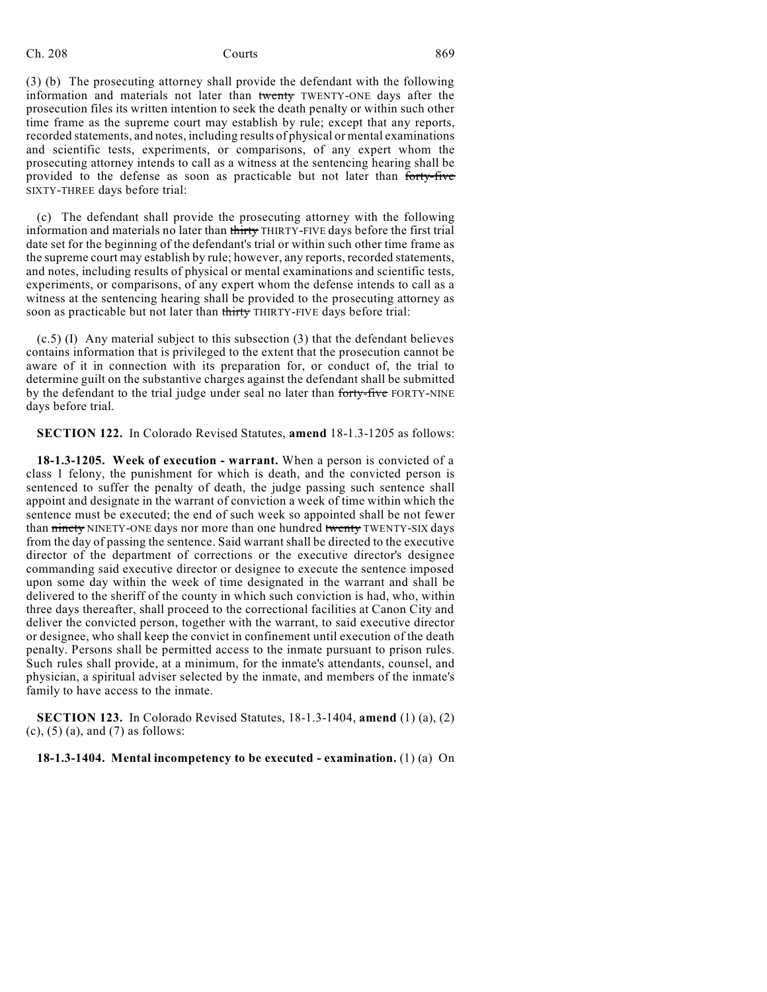(3) (b) The prosecuting attorney shall provide the defendant with the following information and materials not later than twenty TWENTY-ONE days after the prosecution files its written intention to seek the death penalty or within such other time frame as the supreme court may establish by rule; except that any reports, recorded statements, and notes, including results of physical or mental examinations and scientific tests, experiments, or comparisons, of any expert whom the prosecuting attorney intends to call as a witness at the sentencing hearing shall be provided to the defense as soon as practicable but not later than forty-five SIXTY-THREE days before trial:

(c) The defendant shall provide the prosecuting attorney with the following information and materials no later than thirty THIRTY-FIVE days before the first trial date set for the beginning of the defendant's trial or within such other time frame as the supreme court may establish by rule; however, any reports, recorded statements, and notes, including results of physical or mental examinations and scientific tests, experiments, or comparisons, of any expert whom the defense intends to call as a witness at the sentencing hearing shall be provided to the prosecuting attorney as soon as practicable but not later than thirty THIRTY-FIVE days before trial:

(c.5) (I) Any material subject to this subsection (3) that the defendant believes contains information that is privileged to the extent that the prosecution cannot be aware of it in connection with its preparation for, or conduct of, the trial to determine guilt on the substantive charges against the defendant shall be submitted by the defendant to the trial judge under seal no later than forty-five FORTY-NINE days before trial.

**SECTION 122.** In Colorado Revised Statutes, **amend** 18-1.3-1205 as follows:

**18-1.3-1205. Week of execution - warrant.** When a person is convicted of a class 1 felony, the punishment for which is death, and the convicted person is sentenced to suffer the penalty of death, the judge passing such sentence shall appoint and designate in the warrant of conviction a week of time within which the sentence must be executed; the end of such week so appointed shall be not fewer than ninety NINETY-ONE days nor more than one hundred twenty TWENTY-SIX days from the day of passing the sentence. Said warrant shall be directed to the executive director of the department of corrections or the executive director's designee commanding said executive director or designee to execute the sentence imposed upon some day within the week of time designated in the warrant and shall be delivered to the sheriff of the county in which such conviction is had, who, within three days thereafter, shall proceed to the correctional facilities at Canon City and deliver the convicted person, together with the warrant, to said executive director or designee, who shall keep the convict in confinement until execution of the death penalty. Persons shall be permitted access to the inmate pursuant to prison rules. Such rules shall provide, at a minimum, for the inmate's attendants, counsel, and physician, a spiritual adviser selected by the inmate, and members of the inmate's family to have access to the inmate.

**SECTION 123.** In Colorado Revised Statutes, 18-1.3-1404, **amend** (1) (a), (2)  $(c)$ ,  $(5)$   $(a)$ , and  $(7)$  as follows:

**18-1.3-1404. Mental incompetency to be executed - examination.** (1) (a) On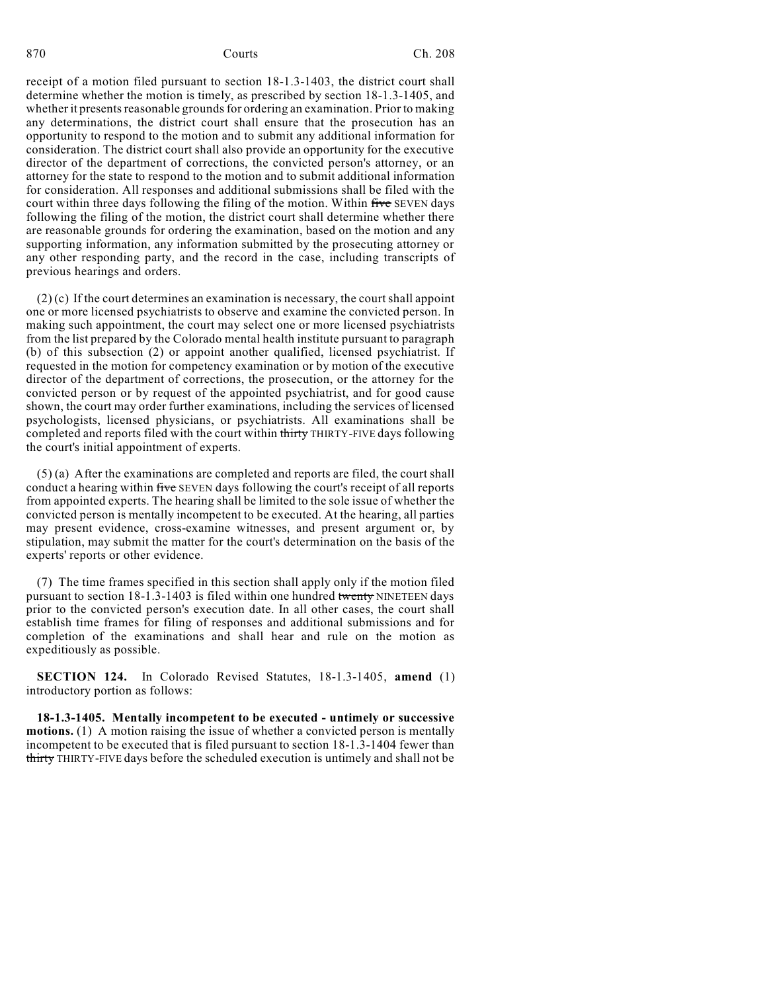receipt of a motion filed pursuant to section 18-1.3-1403, the district court shall determine whether the motion is timely, as prescribed by section 18-1.3-1405, and whether it presents reasonable grounds for ordering an examination. Prior to making any determinations, the district court shall ensure that the prosecution has an opportunity to respond to the motion and to submit any additional information for consideration. The district court shall also provide an opportunity for the executive director of the department of corrections, the convicted person's attorney, or an attorney for the state to respond to the motion and to submit additional information for consideration. All responses and additional submissions shall be filed with the court within three days following the filing of the motion. Within five SEVEN days following the filing of the motion, the district court shall determine whether there are reasonable grounds for ordering the examination, based on the motion and any supporting information, any information submitted by the prosecuting attorney or any other responding party, and the record in the case, including transcripts of previous hearings and orders.

 $(2)$  (c) If the court determines an examination is necessary, the court shall appoint one or more licensed psychiatrists to observe and examine the convicted person. In making such appointment, the court may select one or more licensed psychiatrists from the list prepared by the Colorado mental health institute pursuant to paragraph (b) of this subsection (2) or appoint another qualified, licensed psychiatrist. If requested in the motion for competency examination or by motion of the executive director of the department of corrections, the prosecution, or the attorney for the convicted person or by request of the appointed psychiatrist, and for good cause shown, the court may order further examinations, including the services of licensed psychologists, licensed physicians, or psychiatrists. All examinations shall be completed and reports filed with the court within thirty THIRTY-FIVE days following the court's initial appointment of experts.

(5) (a) After the examinations are completed and reports are filed, the court shall conduct a hearing within five SEVEN days following the court's receipt of all reports from appointed experts. The hearing shall be limited to the sole issue of whether the convicted person is mentally incompetent to be executed. At the hearing, all parties may present evidence, cross-examine witnesses, and present argument or, by stipulation, may submit the matter for the court's determination on the basis of the experts' reports or other evidence.

(7) The time frames specified in this section shall apply only if the motion filed pursuant to section  $18-1.3-1403$  is filed within one hundred twenty NINETEEN days prior to the convicted person's execution date. In all other cases, the court shall establish time frames for filing of responses and additional submissions and for completion of the examinations and shall hear and rule on the motion as expeditiously as possible.

**SECTION 124.** In Colorado Revised Statutes, 18-1.3-1405, **amend** (1) introductory portion as follows:

**18-1.3-1405. Mentally incompetent to be executed - untimely or successive motions.** (1) A motion raising the issue of whether a convicted person is mentally incompetent to be executed that is filed pursuant to section 18-1.3-1404 fewer than thirty THIRTY-FIVE days before the scheduled execution is untimely and shall not be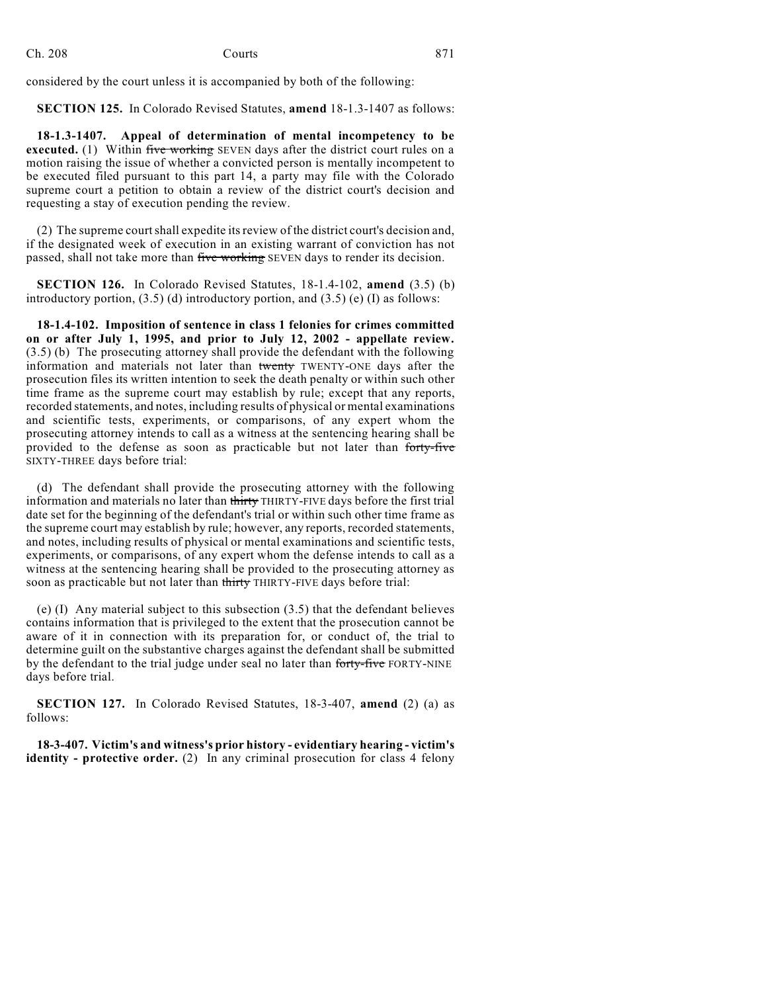considered by the court unless it is accompanied by both of the following:

**SECTION 125.** In Colorado Revised Statutes, **amend** 18-1.3-1407 as follows:

**18-1.3-1407. Appeal of determination of mental incompetency to be executed.** (1) Within five working SEVEN days after the district court rules on a motion raising the issue of whether a convicted person is mentally incompetent to be executed filed pursuant to this part 14, a party may file with the Colorado supreme court a petition to obtain a review of the district court's decision and requesting a stay of execution pending the review.

 $(2)$  The supreme court shall expedite its review of the district court's decision and, if the designated week of execution in an existing warrant of conviction has not passed, shall not take more than five working SEVEN days to render its decision.

**SECTION 126.** In Colorado Revised Statutes, 18-1.4-102, **amend** (3.5) (b) introductory portion,  $(3.5)$  (d) introductory portion, and  $(3.5)$  (e) (I) as follows:

**18-1.4-102. Imposition of sentence in class 1 felonies for crimes committed on or after July 1, 1995, and prior to July 12, 2002 - appellate review.** (3.5) (b) The prosecuting attorney shall provide the defendant with the following information and materials not later than twenty TWENTY-ONE days after the prosecution files its written intention to seek the death penalty or within such other time frame as the supreme court may establish by rule; except that any reports, recorded statements, and notes, including results of physical or mental examinations and scientific tests, experiments, or comparisons, of any expert whom the prosecuting attorney intends to call as a witness at the sentencing hearing shall be provided to the defense as soon as practicable but not later than forty-five SIXTY-THREE days before trial:

(d) The defendant shall provide the prosecuting attorney with the following information and materials no later than thirty THIRTY-FIVE days before the first trial date set for the beginning of the defendant's trial or within such other time frame as the supreme court may establish by rule; however, any reports, recorded statements, and notes, including results of physical or mental examinations and scientific tests, experiments, or comparisons, of any expert whom the defense intends to call as a witness at the sentencing hearing shall be provided to the prosecuting attorney as soon as practicable but not later than thirty THIRTY-FIVE days before trial:

(e) (I) Any material subject to this subsection (3.5) that the defendant believes contains information that is privileged to the extent that the prosecution cannot be aware of it in connection with its preparation for, or conduct of, the trial to determine guilt on the substantive charges against the defendant shall be submitted by the defendant to the trial judge under seal no later than forty-five FORTY-NINE days before trial.

**SECTION 127.** In Colorado Revised Statutes, 18-3-407, **amend** (2) (a) as follows:

**18-3-407. Victim's and witness's prior history - evidentiary hearing - victim's identity - protective order.** (2) In any criminal prosecution for class 4 felony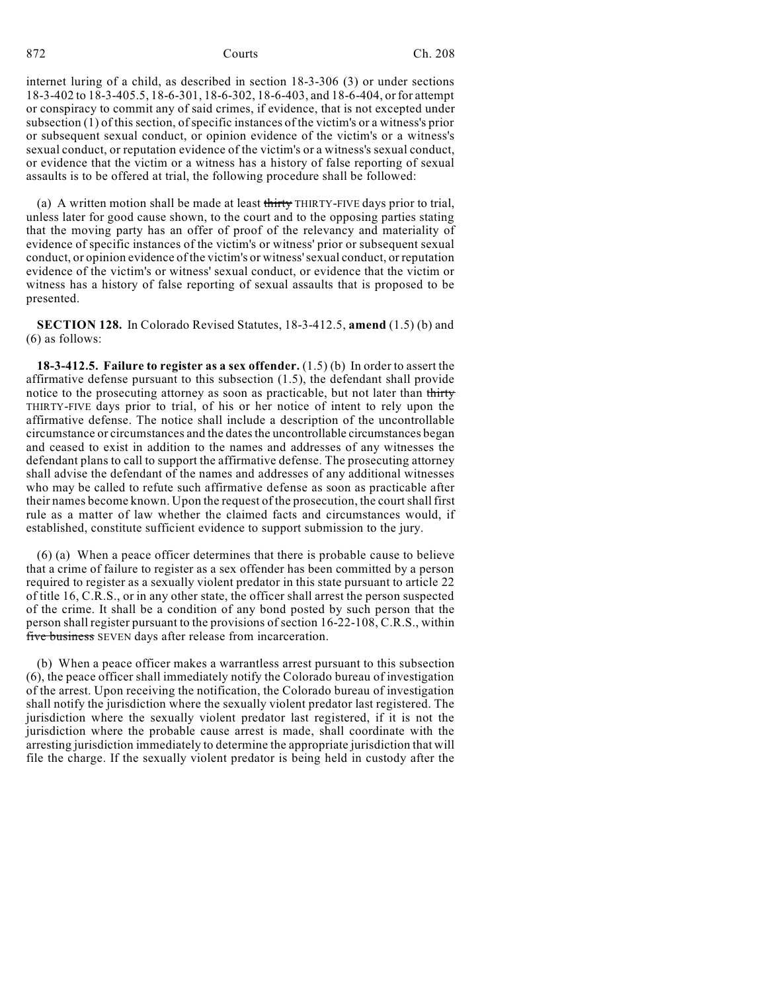internet luring of a child, as described in section 18-3-306 (3) or under sections 18-3-402 to 18-3-405.5, 18-6-301, 18-6-302, 18-6-403, and 18-6-404, or for attempt or conspiracy to commit any of said crimes, if evidence, that is not excepted under subsection (1) of this section, of specific instances of the victim's or a witness's prior or subsequent sexual conduct, or opinion evidence of the victim's or a witness's sexual conduct, or reputation evidence of the victim's or a witness's sexual conduct, or evidence that the victim or a witness has a history of false reporting of sexual assaults is to be offered at trial, the following procedure shall be followed:

(a) A written motion shall be made at least thirty THIRTY-FIVE days prior to trial, unless later for good cause shown, to the court and to the opposing parties stating that the moving party has an offer of proof of the relevancy and materiality of evidence of specific instances of the victim's or witness' prior or subsequent sexual conduct, or opinion evidence of the victim's or witness'sexual conduct, or reputation evidence of the victim's or witness' sexual conduct, or evidence that the victim or witness has a history of false reporting of sexual assaults that is proposed to be presented.

**SECTION 128.** In Colorado Revised Statutes, 18-3-412.5, **amend** (1.5) (b) and (6) as follows:

**18-3-412.5. Failure to register as a sex offender.** (1.5) (b) In order to assert the affirmative defense pursuant to this subsection (1.5), the defendant shall provide notice to the prosecuting attorney as soon as practicable, but not later than thirty THIRTY-FIVE days prior to trial, of his or her notice of intent to rely upon the affirmative defense. The notice shall include a description of the uncontrollable circumstance or circumstances and the datesthe uncontrollable circumstances began and ceased to exist in addition to the names and addresses of any witnesses the defendant plans to call to support the affirmative defense. The prosecuting attorney shall advise the defendant of the names and addresses of any additional witnesses who may be called to refute such affirmative defense as soon as practicable after their names become known. Upon the request of the prosecution, the courtshall first rule as a matter of law whether the claimed facts and circumstances would, if established, constitute sufficient evidence to support submission to the jury.

(6) (a) When a peace officer determines that there is probable cause to believe that a crime of failure to register as a sex offender has been committed by a person required to register as a sexually violent predator in this state pursuant to article 22 of title 16, C.R.S., or in any other state, the officer shall arrest the person suspected of the crime. It shall be a condition of any bond posted by such person that the person shall register pursuant to the provisions of section 16-22-108, C.R.S., within five business SEVEN days after release from incarceration.

(b) When a peace officer makes a warrantless arrest pursuant to this subsection (6), the peace officer shall immediately notify the Colorado bureau of investigation of the arrest. Upon receiving the notification, the Colorado bureau of investigation shall notify the jurisdiction where the sexually violent predator last registered. The jurisdiction where the sexually violent predator last registered, if it is not the jurisdiction where the probable cause arrest is made, shall coordinate with the arresting jurisdiction immediately to determine the appropriate jurisdiction that will file the charge. If the sexually violent predator is being held in custody after the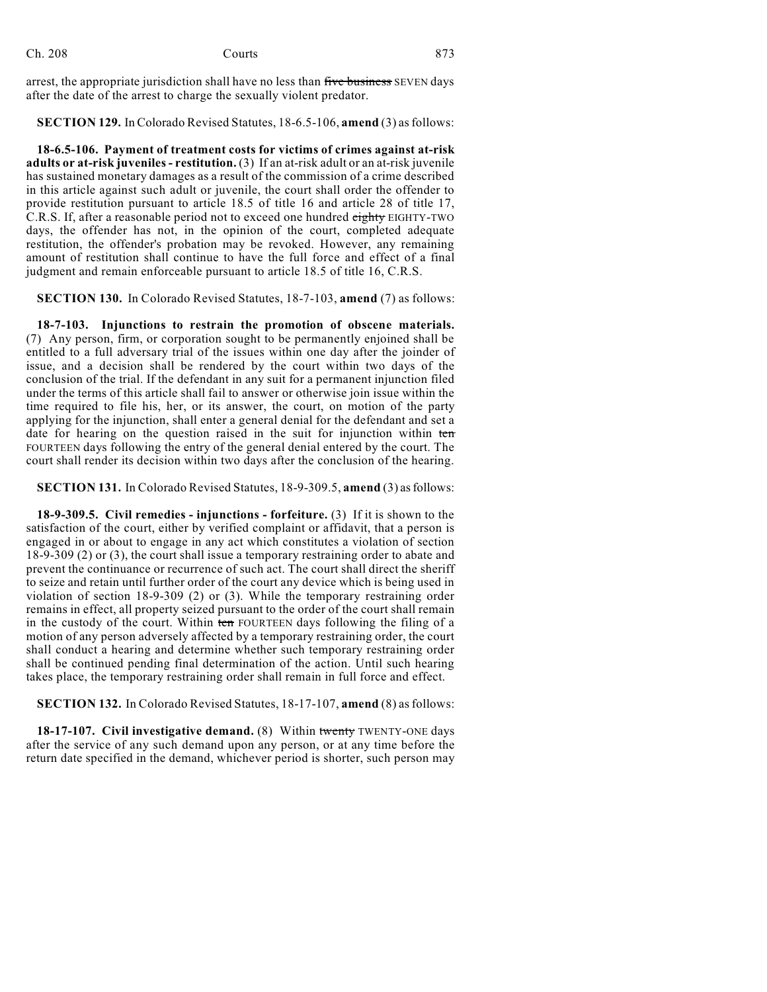arrest, the appropriate jurisdiction shall have no less than five business SEVEN days after the date of the arrest to charge the sexually violent predator.

**SECTION 129.** In Colorado Revised Statutes, 18-6.5-106, **amend** (3) asfollows:

**18-6.5-106. Payment of treatment costs for victims of crimes against at-risk adults or at-risk juveniles - restitution.** (3) If an at-risk adult or an at-risk juvenile has sustained monetary damages as a result of the commission of a crime described in this article against such adult or juvenile, the court shall order the offender to provide restitution pursuant to article 18.5 of title 16 and article 28 of title 17, C.R.S. If, after a reasonable period not to exceed one hundred eighty EIGHTY-TWO days, the offender has not, in the opinion of the court, completed adequate restitution, the offender's probation may be revoked. However, any remaining amount of restitution shall continue to have the full force and effect of a final judgment and remain enforceable pursuant to article 18.5 of title 16, C.R.S.

**SECTION 130.** In Colorado Revised Statutes, 18-7-103, **amend** (7) as follows:

**18-7-103. Injunctions to restrain the promotion of obscene materials.** (7) Any person, firm, or corporation sought to be permanently enjoined shall be entitled to a full adversary trial of the issues within one day after the joinder of issue, and a decision shall be rendered by the court within two days of the conclusion of the trial. If the defendant in any suit for a permanent injunction filed under the terms of this article shall fail to answer or otherwise join issue within the time required to file his, her, or its answer, the court, on motion of the party applying for the injunction, shall enter a general denial for the defendant and set a date for hearing on the question raised in the suit for injunction within ten FOURTEEN days following the entry of the general denial entered by the court. The court shall render its decision within two days after the conclusion of the hearing.

**SECTION 131.** In Colorado Revised Statutes, 18-9-309.5, **amend** (3) as follows:

**18-9-309.5. Civil remedies - injunctions - forfeiture.** (3) If it is shown to the satisfaction of the court, either by verified complaint or affidavit, that a person is engaged in or about to engage in any act which constitutes a violation of section 18-9-309 (2) or (3), the court shall issue a temporary restraining order to abate and prevent the continuance or recurrence of such act. The court shall direct the sheriff to seize and retain until further order of the court any device which is being used in violation of section 18-9-309 (2) or (3). While the temporary restraining order remains in effect, all property seized pursuant to the order of the court shall remain in the custody of the court. Within ten FOURTEEN days following the filing of a motion of any person adversely affected by a temporary restraining order, the court shall conduct a hearing and determine whether such temporary restraining order shall be continued pending final determination of the action. Until such hearing takes place, the temporary restraining order shall remain in full force and effect.

**SECTION 132.** In Colorado Revised Statutes, 18-17-107, **amend** (8) asfollows:

**18-17-107. Civil investigative demand.** (8) Within twenty TWENTY-ONE days after the service of any such demand upon any person, or at any time before the return date specified in the demand, whichever period is shorter, such person may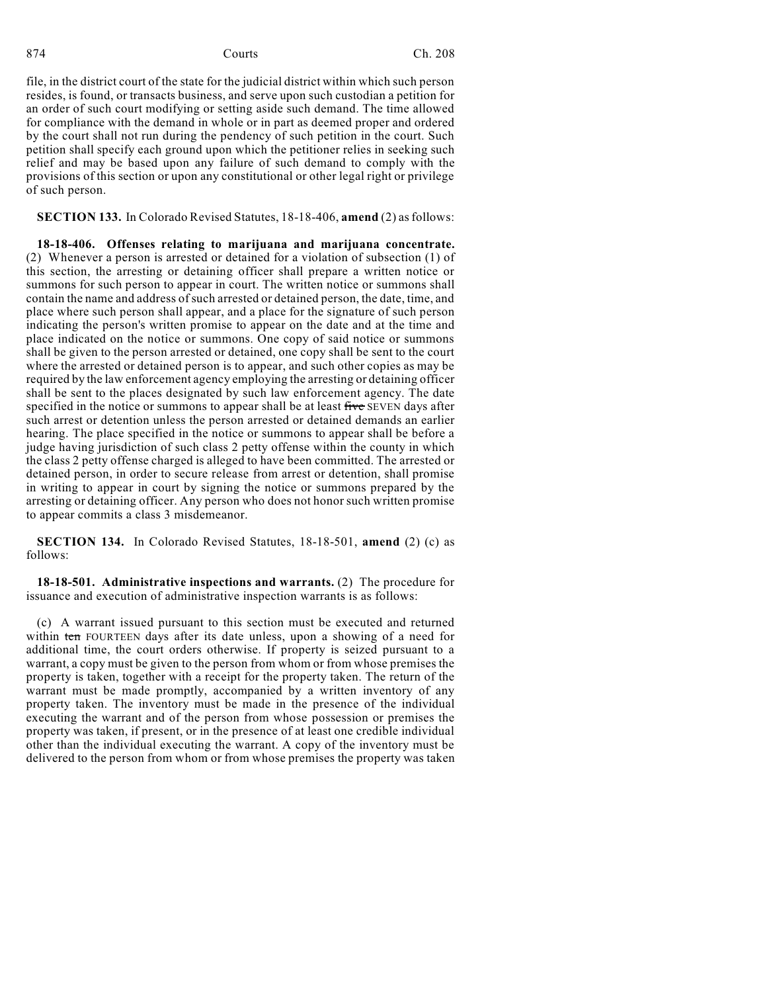file, in the district court of the state for the judicial district within which such person resides, is found, or transacts business, and serve upon such custodian a petition for an order of such court modifying or setting aside such demand. The time allowed for compliance with the demand in whole or in part as deemed proper and ordered by the court shall not run during the pendency of such petition in the court. Such petition shall specify each ground upon which the petitioner relies in seeking such relief and may be based upon any failure of such demand to comply with the provisions of this section or upon any constitutional or other legal right or privilege of such person.

**SECTION 133.** In Colorado Revised Statutes, 18-18-406, **amend** (2) asfollows:

**18-18-406. Offenses relating to marijuana and marijuana concentrate.** (2) Whenever a person is arrested or detained for a violation of subsection (1) of this section, the arresting or detaining officer shall prepare a written notice or summons for such person to appear in court. The written notice or summons shall contain the name and address of such arrested or detained person, the date, time, and place where such person shall appear, and a place for the signature of such person indicating the person's written promise to appear on the date and at the time and place indicated on the notice or summons. One copy of said notice or summons shall be given to the person arrested or detained, one copy shall be sent to the court where the arrested or detained person is to appear, and such other copies as may be required by the law enforcement agency employing the arresting or detaining officer shall be sent to the places designated by such law enforcement agency. The date specified in the notice or summons to appear shall be at least five SEVEN days after such arrest or detention unless the person arrested or detained demands an earlier hearing. The place specified in the notice or summons to appear shall be before a judge having jurisdiction of such class 2 petty offense within the county in which the class 2 petty offense charged is alleged to have been committed. The arrested or detained person, in order to secure release from arrest or detention, shall promise in writing to appear in court by signing the notice or summons prepared by the arresting or detaining officer. Any person who does not honor such written promise to appear commits a class 3 misdemeanor.

**SECTION 134.** In Colorado Revised Statutes, 18-18-501, **amend** (2) (c) as follows:

**18-18-501. Administrative inspections and warrants.** (2) The procedure for issuance and execution of administrative inspection warrants is as follows:

(c) A warrant issued pursuant to this section must be executed and returned within ten FOURTEEN days after its date unless, upon a showing of a need for additional time, the court orders otherwise. If property is seized pursuant to a warrant, a copy must be given to the person from whom or from whose premises the property is taken, together with a receipt for the property taken. The return of the warrant must be made promptly, accompanied by a written inventory of any property taken. The inventory must be made in the presence of the individual executing the warrant and of the person from whose possession or premises the property was taken, if present, or in the presence of at least one credible individual other than the individual executing the warrant. A copy of the inventory must be delivered to the person from whom or from whose premises the property was taken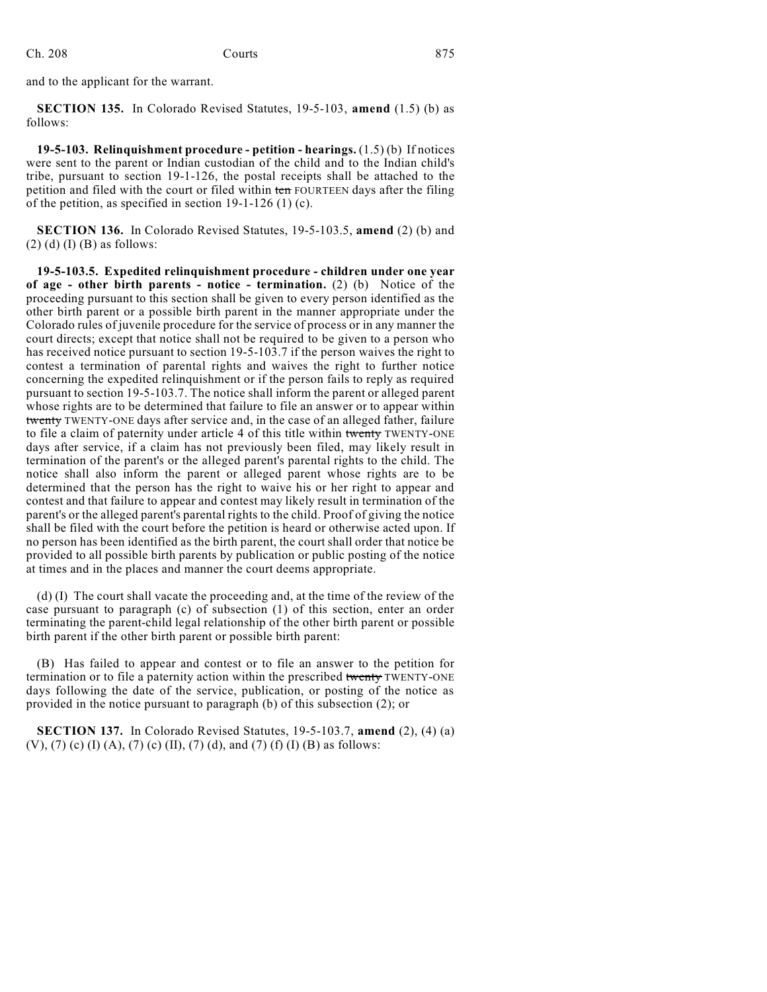and to the applicant for the warrant.

**SECTION 135.** In Colorado Revised Statutes, 19-5-103, **amend** (1.5) (b) as follows:

**19-5-103. Relinquishment procedure - petition - hearings.** (1.5) (b) If notices were sent to the parent or Indian custodian of the child and to the Indian child's tribe, pursuant to section 19-1-126, the postal receipts shall be attached to the petition and filed with the court or filed within ten FOURTEEN days after the filing of the petition, as specified in section 19-1-126 (1) (c).

**SECTION 136.** In Colorado Revised Statutes, 19-5-103.5, **amend** (2) (b) and  $(2)$  (d) (I) (B) as follows:

**19-5-103.5. Expedited relinquishment procedure - children under one year of age - other birth parents - notice - termination.** (2) (b) Notice of the proceeding pursuant to this section shall be given to every person identified as the other birth parent or a possible birth parent in the manner appropriate under the Colorado rules of juvenile procedure for the service of process or in any manner the court directs; except that notice shall not be required to be given to a person who has received notice pursuant to section 19-5-103.7 if the person waives the right to contest a termination of parental rights and waives the right to further notice concerning the expedited relinquishment or if the person fails to reply as required pursuant to section 19-5-103.7. The notice shall inform the parent or alleged parent whose rights are to be determined that failure to file an answer or to appear within twenty TWENTY-ONE days after service and, in the case of an alleged father, failure to file a claim of paternity under article 4 of this title within twenty TWENTY-ONE days after service, if a claim has not previously been filed, may likely result in termination of the parent's or the alleged parent's parental rights to the child. The notice shall also inform the parent or alleged parent whose rights are to be determined that the person has the right to waive his or her right to appear and contest and that failure to appear and contest may likely result in termination of the parent's or the alleged parent's parental rights to the child. Proof of giving the notice shall be filed with the court before the petition is heard or otherwise acted upon. If no person has been identified as the birth parent, the court shall order that notice be provided to all possible birth parents by publication or public posting of the notice at times and in the places and manner the court deems appropriate.

(d) (I) The court shall vacate the proceeding and, at the time of the review of the case pursuant to paragraph (c) of subsection (1) of this section, enter an order terminating the parent-child legal relationship of the other birth parent or possible birth parent if the other birth parent or possible birth parent:

(B) Has failed to appear and contest or to file an answer to the petition for termination or to file a paternity action within the prescribed twenty TWENTY-ONE days following the date of the service, publication, or posting of the notice as provided in the notice pursuant to paragraph (b) of this subsection (2); or

**SECTION 137.** In Colorado Revised Statutes, 19-5-103.7, **amend** (2), (4) (a) (V), (7) (c) (I) (A), (7) (c) (II), (7) (d), and (7) (f) (I) (B) as follows: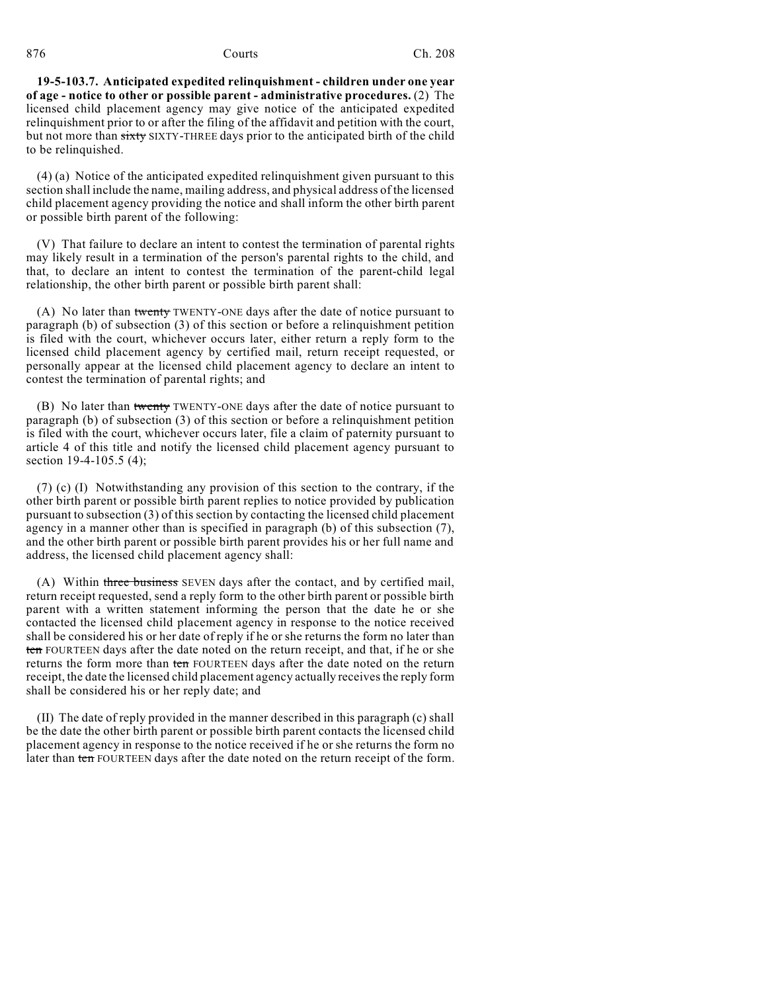**19-5-103.7. Anticipated expedited relinquishment - children under one year of age - notice to other or possible parent - administrative procedures.** (2) The licensed child placement agency may give notice of the anticipated expedited relinquishment prior to or after the filing of the affidavit and petition with the court, but not more than sixty SIXTY-THREE days prior to the anticipated birth of the child to be relinquished.

(4) (a) Notice of the anticipated expedited relinquishment given pursuant to this section shall include the name, mailing address, and physical address of the licensed child placement agency providing the notice and shall inform the other birth parent or possible birth parent of the following:

(V) That failure to declare an intent to contest the termination of parental rights may likely result in a termination of the person's parental rights to the child, and that, to declare an intent to contest the termination of the parent-child legal relationship, the other birth parent or possible birth parent shall:

(A) No later than twenty TWENTY-ONE days after the date of notice pursuant to paragraph (b) of subsection (3) of this section or before a relinquishment petition is filed with the court, whichever occurs later, either return a reply form to the licensed child placement agency by certified mail, return receipt requested, or personally appear at the licensed child placement agency to declare an intent to contest the termination of parental rights; and

(B) No later than twenty TWENTY-ONE days after the date of notice pursuant to paragraph (b) of subsection (3) of this section or before a relinquishment petition is filed with the court, whichever occurs later, file a claim of paternity pursuant to article 4 of this title and notify the licensed child placement agency pursuant to section 19-4-105.5 (4);

(7) (c) (I) Notwithstanding any provision of this section to the contrary, if the other birth parent or possible birth parent replies to notice provided by publication pursuant to subsection (3) of this section by contacting the licensed child placement agency in a manner other than is specified in paragraph (b) of this subsection (7), and the other birth parent or possible birth parent provides his or her full name and address, the licensed child placement agency shall:

(A) Within three business SEVEN days after the contact, and by certified mail, return receipt requested, send a reply form to the other birth parent or possible birth parent with a written statement informing the person that the date he or she contacted the licensed child placement agency in response to the notice received shall be considered his or her date of reply if he or she returns the form no later than ten FOURTEEN days after the date noted on the return receipt, and that, if he or she returns the form more than ten FOURTEEN days after the date noted on the return receipt, the date the licensed child placement agency actually receivesthe reply form shall be considered his or her reply date; and

(II) The date of reply provided in the manner described in this paragraph (c) shall be the date the other birth parent or possible birth parent contacts the licensed child placement agency in response to the notice received if he or she returns the form no later than ten FOURTEEN days after the date noted on the return receipt of the form.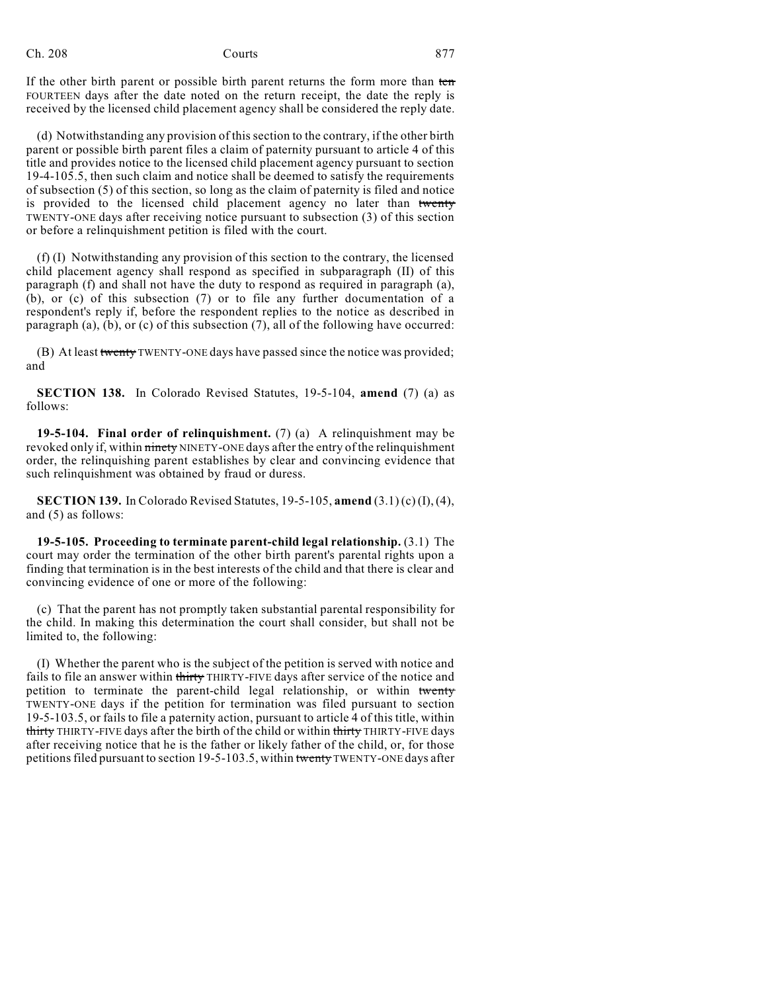## Ch. 208 Courts 877

If the other birth parent or possible birth parent returns the form more than ten FOURTEEN days after the date noted on the return receipt, the date the reply is received by the licensed child placement agency shall be considered the reply date.

(d) Notwithstanding any provision of this section to the contrary, if the other birth parent or possible birth parent files a claim of paternity pursuant to article 4 of this title and provides notice to the licensed child placement agency pursuant to section 19-4-105.5, then such claim and notice shall be deemed to satisfy the requirements of subsection (5) of this section, so long as the claim of paternity is filed and notice is provided to the licensed child placement agency no later than twenty TWENTY-ONE days after receiving notice pursuant to subsection (3) of this section or before a relinquishment petition is filed with the court.

(f) (I) Notwithstanding any provision of this section to the contrary, the licensed child placement agency shall respond as specified in subparagraph (II) of this paragraph (f) and shall not have the duty to respond as required in paragraph (a), (b), or (c) of this subsection (7) or to file any further documentation of a respondent's reply if, before the respondent replies to the notice as described in paragraph (a), (b), or (c) of this subsection (7), all of the following have occurred:

(B) At least twenty TWENTY-ONE days have passed since the notice was provided; and

**SECTION 138.** In Colorado Revised Statutes, 19-5-104, **amend** (7) (a) as follows:

**19-5-104. Final order of relinquishment.** (7) (a) A relinquishment may be revoked only if, within ninety NINETY-ONE days after the entry of the relinquishment order, the relinquishing parent establishes by clear and convincing evidence that such relinquishment was obtained by fraud or duress.

**SECTION 139.** In Colorado Revised Statutes, 19-5-105, **amend** (3.1) (c) (I),(4), and (5) as follows:

**19-5-105. Proceeding to terminate parent-child legal relationship.** (3.1) The court may order the termination of the other birth parent's parental rights upon a finding that termination is in the best interests of the child and that there is clear and convincing evidence of one or more of the following:

(c) That the parent has not promptly taken substantial parental responsibility for the child. In making this determination the court shall consider, but shall not be limited to, the following:

(I) Whether the parent who is the subject of the petition is served with notice and fails to file an answer within thirty THIRTY-FIVE days after service of the notice and petition to terminate the parent-child legal relationship, or within twenty TWENTY-ONE days if the petition for termination was filed pursuant to section 19-5-103.5, or fails to file a paternity action, pursuant to article 4 of this title, within thirty THIRTY-FIVE days after the birth of the child or within thirty THIRTY-FIVE days after receiving notice that he is the father or likely father of the child, or, for those petitions filed pursuant to section 19-5-103.5, within twenty TWENTY-ONE days after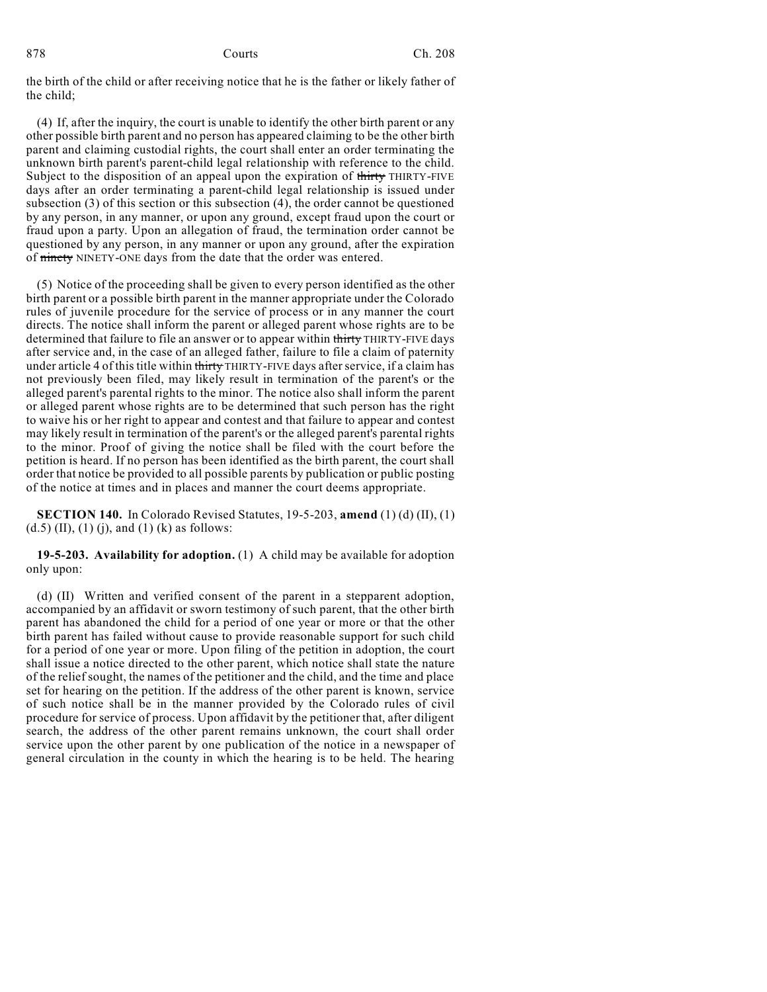the birth of the child or after receiving notice that he is the father or likely father of the child;

(4) If, after the inquiry, the court is unable to identify the other birth parent or any other possible birth parent and no person has appeared claiming to be the other birth parent and claiming custodial rights, the court shall enter an order terminating the unknown birth parent's parent-child legal relationship with reference to the child. Subject to the disposition of an appeal upon the expiration of thirty THIRTY-FIVE days after an order terminating a parent-child legal relationship is issued under subsection (3) of this section or this subsection (4), the order cannot be questioned by any person, in any manner, or upon any ground, except fraud upon the court or fraud upon a party. Upon an allegation of fraud, the termination order cannot be questioned by any person, in any manner or upon any ground, after the expiration of ninety NINETY-ONE days from the date that the order was entered.

(5) Notice of the proceeding shall be given to every person identified as the other birth parent or a possible birth parent in the manner appropriate under the Colorado rules of juvenile procedure for the service of process or in any manner the court directs. The notice shall inform the parent or alleged parent whose rights are to be determined that failure to file an answer or to appear within thirty THIRTY-FIVE days after service and, in the case of an alleged father, failure to file a claim of paternity under article 4 of this title within thirty THIRTY-FIVE days after service, if a claim has not previously been filed, may likely result in termination of the parent's or the alleged parent's parental rights to the minor. The notice also shall inform the parent or alleged parent whose rights are to be determined that such person has the right to waive his or her right to appear and contest and that failure to appear and contest may likely result in termination of the parent's or the alleged parent's parental rights to the minor. Proof of giving the notice shall be filed with the court before the petition is heard. If no person has been identified as the birth parent, the court shall order that notice be provided to all possible parents by publication or public posting of the notice at times and in places and manner the court deems appropriate.

**SECTION 140.** In Colorado Revised Statutes, 19-5-203, **amend** (1) (d) (II), (1)  $(d.5)$  (II), (1) (j), and (1) (k) as follows:

**19-5-203. Availability for adoption.** (1) A child may be available for adoption only upon:

(d) (II) Written and verified consent of the parent in a stepparent adoption, accompanied by an affidavit or sworn testimony of such parent, that the other birth parent has abandoned the child for a period of one year or more or that the other birth parent has failed without cause to provide reasonable support for such child for a period of one year or more. Upon filing of the petition in adoption, the court shall issue a notice directed to the other parent, which notice shall state the nature of the relief sought, the names of the petitioner and the child, and the time and place set for hearing on the petition. If the address of the other parent is known, service of such notice shall be in the manner provided by the Colorado rules of civil procedure for service of process. Upon affidavit by the petitioner that, after diligent search, the address of the other parent remains unknown, the court shall order service upon the other parent by one publication of the notice in a newspaper of general circulation in the county in which the hearing is to be held. The hearing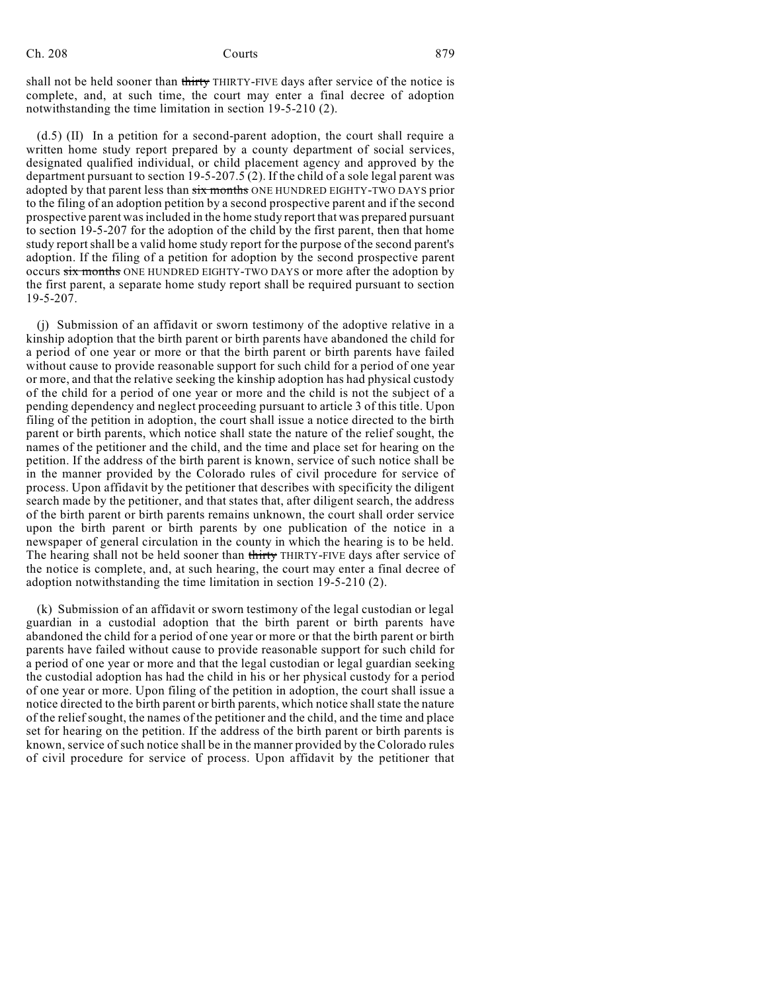shall not be held sooner than thirty THIRTY-FIVE days after service of the notice is complete, and, at such time, the court may enter a final decree of adoption notwithstanding the time limitation in section 19-5-210 (2).

(d.5) (II) In a petition for a second-parent adoption, the court shall require a written home study report prepared by a county department of social services, designated qualified individual, or child placement agency and approved by the department pursuant to section 19-5-207.5 (2). If the child of a sole legal parent was adopted by that parent less than six months ONE HUNDRED EIGHTY-TWO DAYS prior to the filing of an adoption petition by a second prospective parent and if the second prospective parent wasincluded in the home study report that was prepared pursuant to section 19-5-207 for the adoption of the child by the first parent, then that home study reportshall be a valid home study report for the purpose of the second parent's adoption. If the filing of a petition for adoption by the second prospective parent occurs six months ONE HUNDRED EIGHTY-TWO DAYS or more after the adoption by the first parent, a separate home study report shall be required pursuant to section  $19-5-207$ .

(j) Submission of an affidavit or sworn testimony of the adoptive relative in a kinship adoption that the birth parent or birth parents have abandoned the child for a period of one year or more or that the birth parent or birth parents have failed without cause to provide reasonable support for such child for a period of one year or more, and that the relative seeking the kinship adoption has had physical custody of the child for a period of one year or more and the child is not the subject of a pending dependency and neglect proceeding pursuant to article 3 of this title. Upon filing of the petition in adoption, the court shall issue a notice directed to the birth parent or birth parents, which notice shall state the nature of the relief sought, the names of the petitioner and the child, and the time and place set for hearing on the petition. If the address of the birth parent is known, service of such notice shall be in the manner provided by the Colorado rules of civil procedure for service of process. Upon affidavit by the petitioner that describes with specificity the diligent search made by the petitioner, and that states that, after diligent search, the address of the birth parent or birth parents remains unknown, the court shall order service upon the birth parent or birth parents by one publication of the notice in a newspaper of general circulation in the county in which the hearing is to be held. The hearing shall not be held sooner than thirty THIRTY-FIVE days after service of the notice is complete, and, at such hearing, the court may enter a final decree of adoption notwithstanding the time limitation in section 19-5-210 (2).

(k) Submission of an affidavit or sworn testimony of the legal custodian or legal guardian in a custodial adoption that the birth parent or birth parents have abandoned the child for a period of one year or more or that the birth parent or birth parents have failed without cause to provide reasonable support for such child for a period of one year or more and that the legal custodian or legal guardian seeking the custodial adoption has had the child in his or her physical custody for a period of one year or more. Upon filing of the petition in adoption, the court shall issue a notice directed to the birth parent or birth parents, which notice shall state the nature of the relief sought, the names of the petitioner and the child, and the time and place set for hearing on the petition. If the address of the birth parent or birth parents is known, service of such notice shall be in the manner provided by the Colorado rules of civil procedure for service of process. Upon affidavit by the petitioner that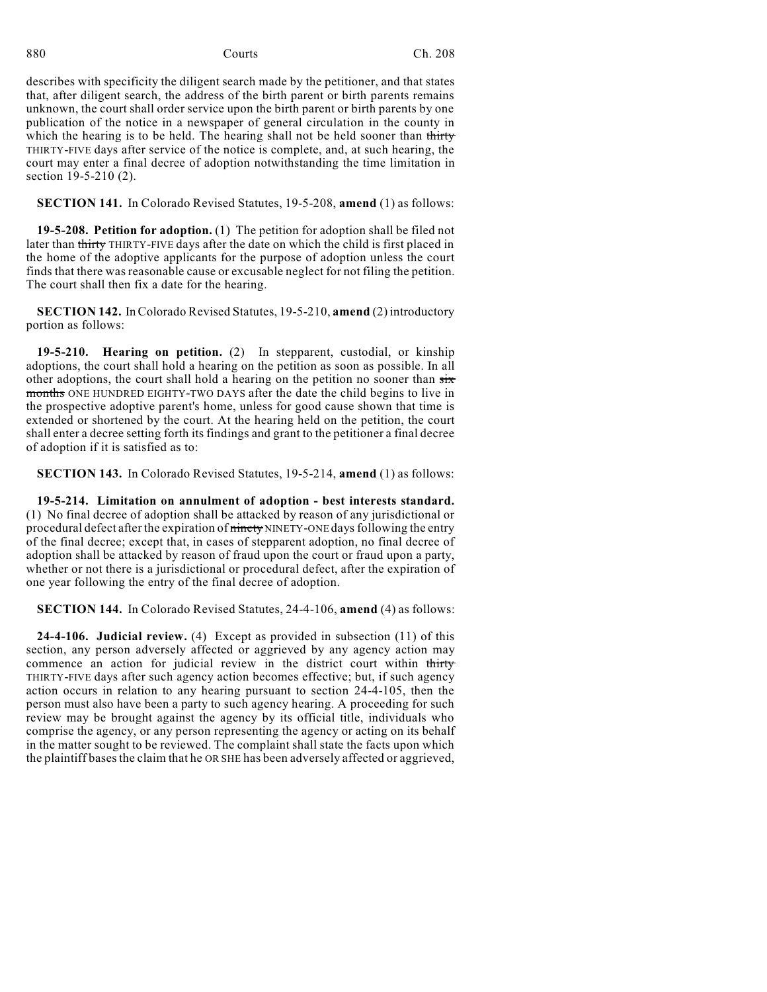describes with specificity the diligent search made by the petitioner, and that states that, after diligent search, the address of the birth parent or birth parents remains unknown, the court shall order service upon the birth parent or birth parents by one publication of the notice in a newspaper of general circulation in the county in which the hearing is to be held. The hearing shall not be held sooner than thirty THIRTY-FIVE days after service of the notice is complete, and, at such hearing, the court may enter a final decree of adoption notwithstanding the time limitation in section 19-5-210 (2).

**SECTION 141.** In Colorado Revised Statutes, 19-5-208, **amend** (1) as follows:

**19-5-208. Petition for adoption.** (1) The petition for adoption shall be filed not later than thirty THIRTY-FIVE days after the date on which the child is first placed in the home of the adoptive applicants for the purpose of adoption unless the court finds that there was reasonable cause or excusable neglect for not filing the petition. The court shall then fix a date for the hearing.

**SECTION 142.** In Colorado Revised Statutes, 19-5-210, **amend** (2) introductory portion as follows:

**19-5-210. Hearing on petition.** (2) In stepparent, custodial, or kinship adoptions, the court shall hold a hearing on the petition as soon as possible. In all other adoptions, the court shall hold a hearing on the petition no sooner than  $s\overline{tx}$ months ONE HUNDRED EIGHTY-TWO DAYS after the date the child begins to live in the prospective adoptive parent's home, unless for good cause shown that time is extended or shortened by the court. At the hearing held on the petition, the court shall enter a decree setting forth its findings and grant to the petitioner a final decree of adoption if it is satisfied as to:

**SECTION 143.** In Colorado Revised Statutes, 19-5-214, **amend** (1) as follows:

**19-5-214. Limitation on annulment of adoption - best interests standard.** (1) No final decree of adoption shall be attacked by reason of any jurisdictional or procedural defect after the expiration of ninety NINETY-ONE days following the entry of the final decree; except that, in cases of stepparent adoption, no final decree of adoption shall be attacked by reason of fraud upon the court or fraud upon a party, whether or not there is a jurisdictional or procedural defect, after the expiration of one year following the entry of the final decree of adoption.

**SECTION 144.** In Colorado Revised Statutes, 24-4-106, **amend** (4) as follows:

**24-4-106. Judicial review.** (4) Except as provided in subsection (11) of this section, any person adversely affected or aggrieved by any agency action may commence an action for judicial review in the district court within thirty THIRTY-FIVE days after such agency action becomes effective; but, if such agency action occurs in relation to any hearing pursuant to section 24-4-105, then the person must also have been a party to such agency hearing. A proceeding for such review may be brought against the agency by its official title, individuals who comprise the agency, or any person representing the agency or acting on its behalf in the matter sought to be reviewed. The complaint shall state the facts upon which the plaintiff bases the claim that he OR SHE has been adversely affected or aggrieved,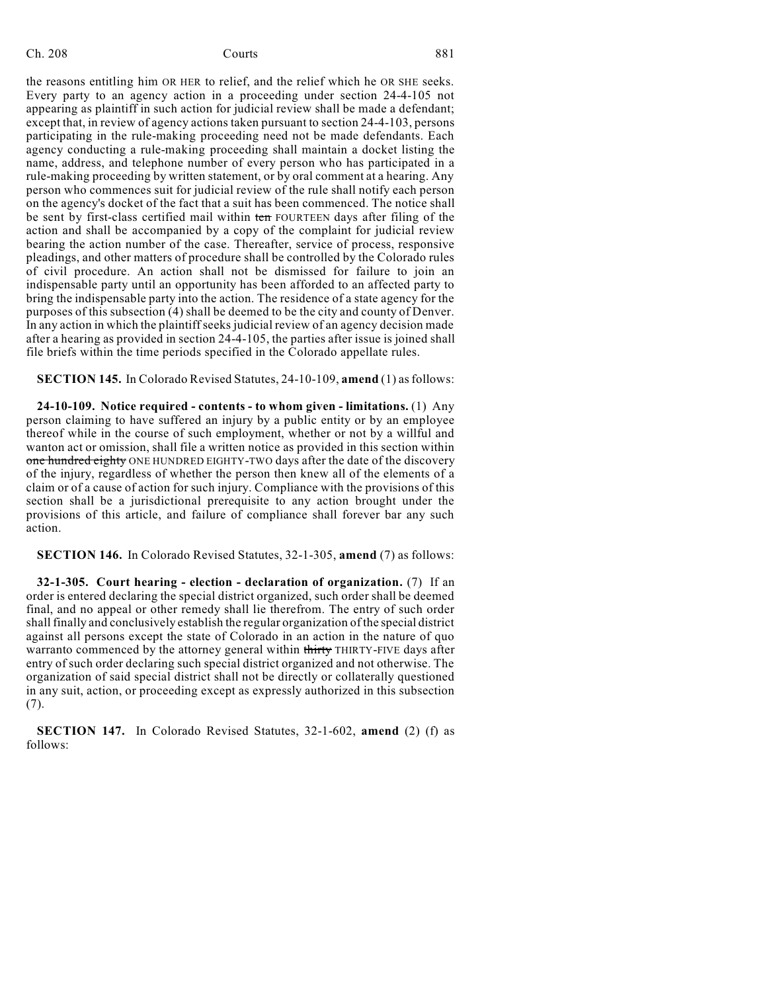## Ch. 208 Courts **Courts** 881

the reasons entitling him OR HER to relief, and the relief which he OR SHE seeks. Every party to an agency action in a proceeding under section 24-4-105 not appearing as plaintiff in such action for judicial review shall be made a defendant; except that, in review of agency actions taken pursuant to section 24-4-103, persons participating in the rule-making proceeding need not be made defendants. Each agency conducting a rule-making proceeding shall maintain a docket listing the name, address, and telephone number of every person who has participated in a rule-making proceeding by written statement, or by oral comment at a hearing. Any person who commences suit for judicial review of the rule shall notify each person on the agency's docket of the fact that a suit has been commenced. The notice shall be sent by first-class certified mail within ten FOURTEEN days after filing of the action and shall be accompanied by a copy of the complaint for judicial review bearing the action number of the case. Thereafter, service of process, responsive pleadings, and other matters of procedure shall be controlled by the Colorado rules of civil procedure. An action shall not be dismissed for failure to join an indispensable party until an opportunity has been afforded to an affected party to bring the indispensable party into the action. The residence of a state agency for the purposes of this subsection (4) shall be deemed to be the city and county of Denver. In any action in which the plaintiffseeks judicial review of an agency decision made after a hearing as provided in section 24-4-105, the parties after issue is joined shall file briefs within the time periods specified in the Colorado appellate rules.

**SECTION 145.** In Colorado Revised Statutes, 24-10-109, **amend** (1) as follows:

**24-10-109. Notice required - contents - to whom given - limitations.** (1) Any person claiming to have suffered an injury by a public entity or by an employee thereof while in the course of such employment, whether or not by a willful and wanton act or omission, shall file a written notice as provided in this section within one hundred eighty ONE HUNDRED EIGHTY-TWO days after the date of the discovery of the injury, regardless of whether the person then knew all of the elements of a claim or of a cause of action for such injury. Compliance with the provisions of this section shall be a jurisdictional prerequisite to any action brought under the provisions of this article, and failure of compliance shall forever bar any such action.

**SECTION 146.** In Colorado Revised Statutes, 32-1-305, **amend** (7) as follows:

**32-1-305. Court hearing - election - declaration of organization.** (7) If an order is entered declaring the special district organized, such order shall be deemed final, and no appeal or other remedy shall lie therefrom. The entry of such order shall finally and conclusively establish the regular organization of the special district against all persons except the state of Colorado in an action in the nature of quo warranto commenced by the attorney general within thirty THIRTY-FIVE days after entry of such order declaring such special district organized and not otherwise. The organization of said special district shall not be directly or collaterally questioned in any suit, action, or proceeding except as expressly authorized in this subsection (7).

**SECTION 147.** In Colorado Revised Statutes, 32-1-602, **amend** (2) (f) as follows: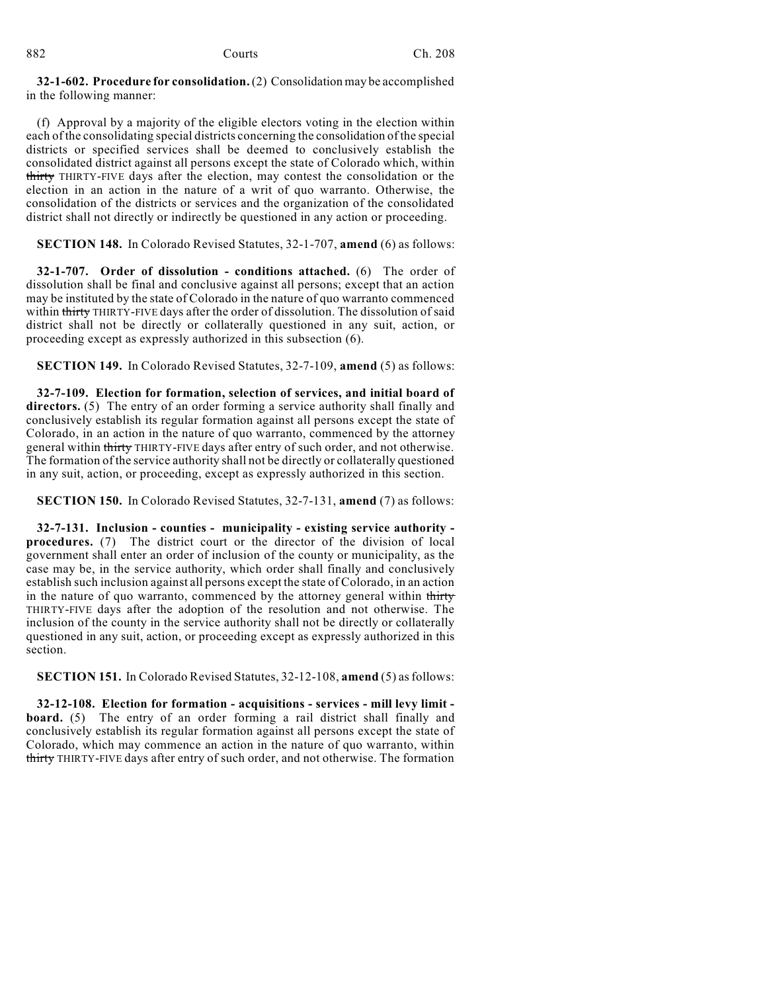**32-1-602. Procedure for consolidation.**(2) Consolidation may be accomplished in the following manner:

(f) Approval by a majority of the eligible electors voting in the election within each of the consolidating special districts concerning the consolidation of the special districts or specified services shall be deemed to conclusively establish the consolidated district against all persons except the state of Colorado which, within thirty THIRTY-FIVE days after the election, may contest the consolidation or the election in an action in the nature of a writ of quo warranto. Otherwise, the consolidation of the districts or services and the organization of the consolidated district shall not directly or indirectly be questioned in any action or proceeding.

**SECTION 148.** In Colorado Revised Statutes, 32-1-707, **amend** (6) as follows:

**32-1-707. Order of dissolution - conditions attached.** (6) The order of dissolution shall be final and conclusive against all persons; except that an action may be instituted by the state of Colorado in the nature of quo warranto commenced within thirty THIRTY-FIVE days after the order of dissolution. The dissolution of said district shall not be directly or collaterally questioned in any suit, action, or proceeding except as expressly authorized in this subsection (6).

**SECTION 149.** In Colorado Revised Statutes, 32-7-109, **amend** (5) as follows:

**32-7-109. Election for formation, selection of services, and initial board of directors.** (5) The entry of an order forming a service authority shall finally and conclusively establish its regular formation against all persons except the state of Colorado, in an action in the nature of quo warranto, commenced by the attorney general within thirty THIRTY-FIVE days after entry of such order, and not otherwise. The formation of the service authority shall not be directly or collaterally questioned in any suit, action, or proceeding, except as expressly authorized in this section.

**SECTION 150.** In Colorado Revised Statutes, 32-7-131, **amend** (7) as follows:

**32-7-131. Inclusion - counties - municipality - existing service authority procedures.** (7) The district court or the director of the division of local government shall enter an order of inclusion of the county or municipality, as the case may be, in the service authority, which order shall finally and conclusively establish such inclusion against all persons except the state of Colorado, in an action in the nature of quo warranto, commenced by the attorney general within thirty THIRTY-FIVE days after the adoption of the resolution and not otherwise. The inclusion of the county in the service authority shall not be directly or collaterally questioned in any suit, action, or proceeding except as expressly authorized in this section.

**SECTION 151.** In Colorado Revised Statutes, 32-12-108, **amend** (5) asfollows:

**32-12-108. Election for formation - acquisitions - services - mill levy limit board.** (5) The entry of an order forming a rail district shall finally and conclusively establish its regular formation against all persons except the state of Colorado, which may commence an action in the nature of quo warranto, within thirty THIRTY-FIVE days after entry of such order, and not otherwise. The formation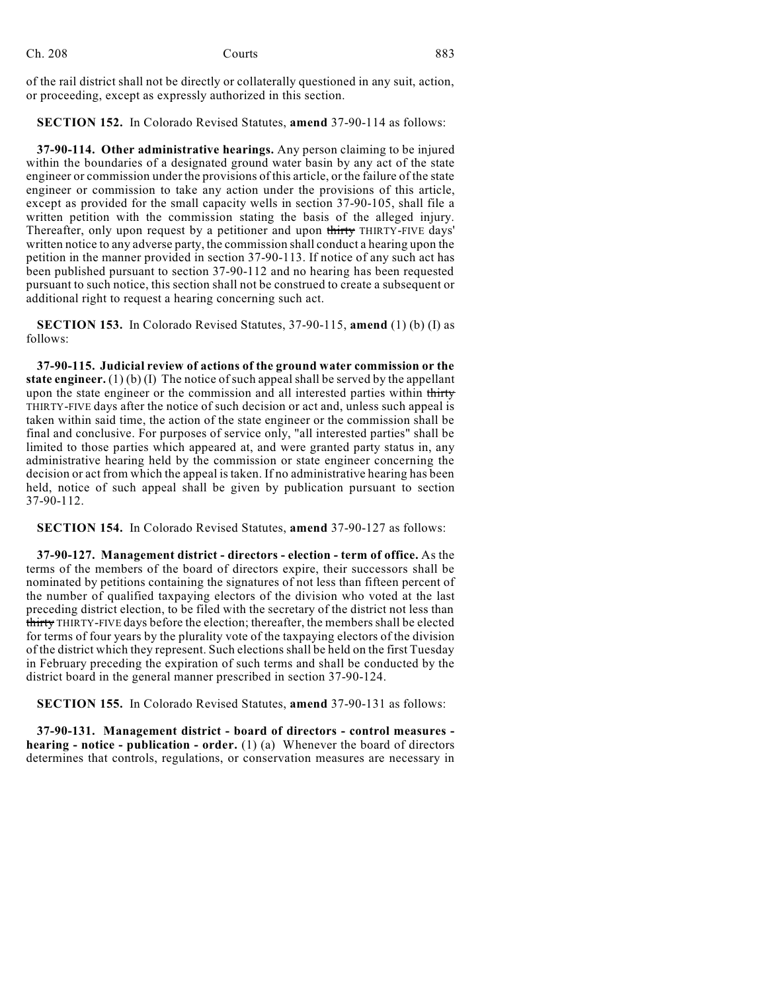| Ch. 208 | Courts | 883 |
|---------|--------|-----|
|         |        |     |

of the rail district shall not be directly or collaterally questioned in any suit, action, or proceeding, except as expressly authorized in this section.

**SECTION 152.** In Colorado Revised Statutes, **amend** 37-90-114 as follows:

**37-90-114. Other administrative hearings.** Any person claiming to be injured within the boundaries of a designated ground water basin by any act of the state engineer or commission under the provisions of this article, or the failure of the state engineer or commission to take any action under the provisions of this article, except as provided for the small capacity wells in section 37-90-105, shall file a written petition with the commission stating the basis of the alleged injury. Thereafter, only upon request by a petitioner and upon thirty THIRTY-FIVE days' written notice to any adverse party, the commission shall conduct a hearing upon the petition in the manner provided in section 37-90-113. If notice of any such act has been published pursuant to section 37-90-112 and no hearing has been requested pursuant to such notice, this section shall not be construed to create a subsequent or additional right to request a hearing concerning such act.

**SECTION 153.** In Colorado Revised Statutes, 37-90-115, **amend** (1) (b) (I) as follows:

**37-90-115. Judicial review of actions of the ground water commission or the state engineer.** (1) (b) (I) The notice of such appeal shall be served by the appellant upon the state engineer or the commission and all interested parties within thirty THIRTY-FIVE days after the notice of such decision or act and, unless such appeal is taken within said time, the action of the state engineer or the commission shall be final and conclusive. For purposes of service only, "all interested parties" shall be limited to those parties which appeared at, and were granted party status in, any administrative hearing held by the commission or state engineer concerning the decision or act from which the appeal is taken. If no administrative hearing has been held, notice of such appeal shall be given by publication pursuant to section 37-90-112.

**SECTION 154.** In Colorado Revised Statutes, **amend** 37-90-127 as follows:

**37-90-127. Management district - directors - election - term of office.** As the terms of the members of the board of directors expire, their successors shall be nominated by petitions containing the signatures of not less than fifteen percent of the number of qualified taxpaying electors of the division who voted at the last preceding district election, to be filed with the secretary of the district not less than thirty THIRTY-FIVE days before the election; thereafter, the members shall be elected for terms of four years by the plurality vote of the taxpaying electors of the division of the district which they represent. Such elections shall be held on the first Tuesday in February preceding the expiration of such terms and shall be conducted by the district board in the general manner prescribed in section 37-90-124.

**SECTION 155.** In Colorado Revised Statutes, **amend** 37-90-131 as follows:

**37-90-131. Management district - board of directors - control measures hearing - notice - publication - order.** (1) (a) Whenever the board of directors determines that controls, regulations, or conservation measures are necessary in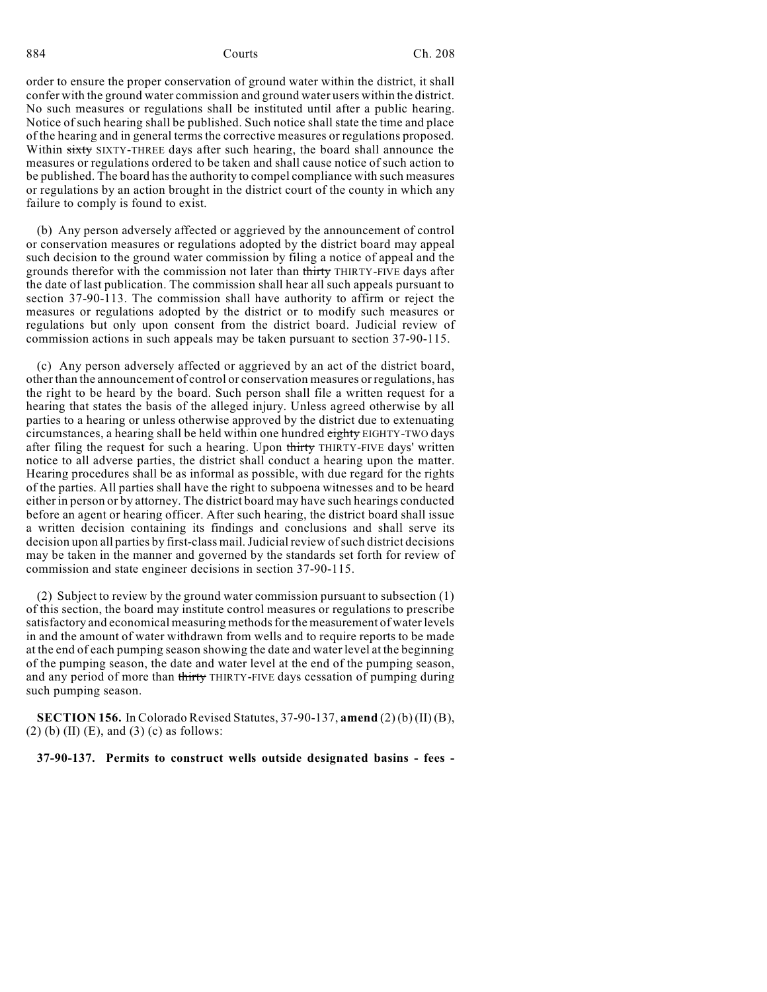order to ensure the proper conservation of ground water within the district, it shall confer with the ground water commission and ground water users within the district. No such measures or regulations shall be instituted until after a public hearing. Notice of such hearing shall be published. Such notice shall state the time and place of the hearing and in general terms the corrective measures or regulations proposed. Within sixty SIXTY-THREE days after such hearing, the board shall announce the measures or regulations ordered to be taken and shall cause notice of such action to be published. The board hasthe authority to compel compliance with such measures or regulations by an action brought in the district court of the county in which any failure to comply is found to exist.

(b) Any person adversely affected or aggrieved by the announcement of control or conservation measures or regulations adopted by the district board may appeal such decision to the ground water commission by filing a notice of appeal and the grounds therefor with the commission not later than thirty THIRTY-FIVE days after the date of last publication. The commission shall hear all such appeals pursuant to section 37-90-113. The commission shall have authority to affirm or reject the measures or regulations adopted by the district or to modify such measures or regulations but only upon consent from the district board. Judicial review of commission actions in such appeals may be taken pursuant to section 37-90-115.

(c) Any person adversely affected or aggrieved by an act of the district board, other than the announcement of control or conservation measures or regulations, has the right to be heard by the board. Such person shall file a written request for a hearing that states the basis of the alleged injury. Unless agreed otherwise by all parties to a hearing or unless otherwise approved by the district due to extenuating circumstances, a hearing shall be held within one hundred eighty EIGHTY-TWO days after filing the request for such a hearing. Upon thirty THIRTY-FIVE days' written notice to all adverse parties, the district shall conduct a hearing upon the matter. Hearing procedures shall be as informal as possible, with due regard for the rights of the parties. All parties shall have the right to subpoena witnesses and to be heard either in person or by attorney. The district board may have such hearings conducted before an agent or hearing officer. After such hearing, the district board shall issue a written decision containing its findings and conclusions and shall serve its decision upon all parties by first-class mail.Judicial review ofsuch district decisions may be taken in the manner and governed by the standards set forth for review of commission and state engineer decisions in section 37-90-115.

(2) Subject to review by the ground water commission pursuant to subsection (1) of this section, the board may institute control measures or regulations to prescribe satisfactory and economical measuring methods for the measurement of water levels in and the amount of water withdrawn from wells and to require reports to be made at the end of each pumping season showing the date and water level at the beginning of the pumping season, the date and water level at the end of the pumping season, and any period of more than thirty THIRTY-FIVE days cessation of pumping during such pumping season.

**SECTION 156.** In Colorado Revised Statutes, 37-90-137, **amend** (2) (b) (II) (B), (2) (b) (II) (E), and (3) (c) as follows:

**37-90-137. Permits to construct wells outside designated basins - fees -**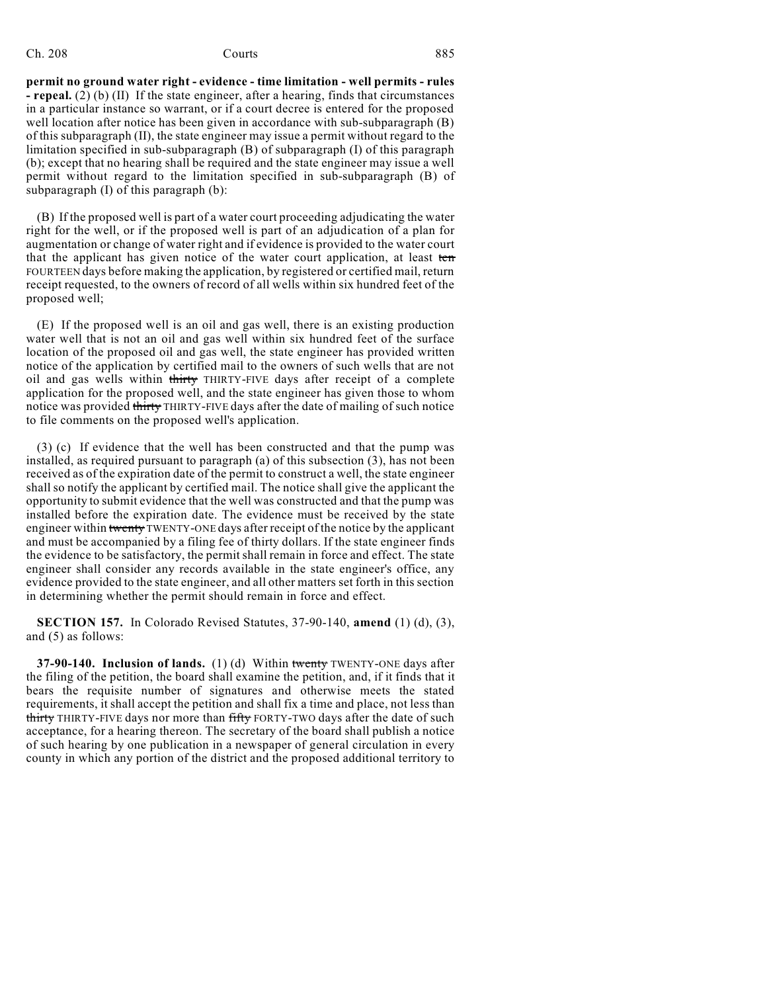# Ch. 208 Courts **Courts** 885

**permit no ground water right - evidence - time limitation - well permits - rules - repeal.** (2) (b) (II) If the state engineer, after a hearing, finds that circumstances in a particular instance so warrant, or if a court decree is entered for the proposed well location after notice has been given in accordance with sub-subparagraph (B) of this subparagraph (II), the state engineer may issue a permit without regard to the limitation specified in sub-subparagraph (B) of subparagraph (I) of this paragraph (b); except that no hearing shall be required and the state engineer may issue a well permit without regard to the limitation specified in sub-subparagraph (B) of subparagraph (I) of this paragraph (b):

(B) If the proposed well is part of a water court proceeding adjudicating the water right for the well, or if the proposed well is part of an adjudication of a plan for augmentation or change of water right and if evidence is provided to the water court that the applicant has given notice of the water court application, at least ten FOURTEEN days before making the application, by registered or certified mail, return receipt requested, to the owners of record of all wells within six hundred feet of the proposed well;

(E) If the proposed well is an oil and gas well, there is an existing production water well that is not an oil and gas well within six hundred feet of the surface location of the proposed oil and gas well, the state engineer has provided written notice of the application by certified mail to the owners of such wells that are not oil and gas wells within thirty THIRTY-FIVE days after receipt of a complete application for the proposed well, and the state engineer has given those to whom notice was provided thirty THIRTY-FIVE days after the date of mailing of such notice to file comments on the proposed well's application.

(3) (c) If evidence that the well has been constructed and that the pump was installed, as required pursuant to paragraph (a) of this subsection (3), has not been received as of the expiration date of the permit to construct a well, the state engineer shall so notify the applicant by certified mail. The notice shall give the applicant the opportunity to submit evidence that the well was constructed and that the pump was installed before the expiration date. The evidence must be received by the state engineer within twenty TWENTY-ONE days after receipt of the notice by the applicant and must be accompanied by a filing fee of thirty dollars. If the state engineer finds the evidence to be satisfactory, the permit shall remain in force and effect. The state engineer shall consider any records available in the state engineer's office, any evidence provided to the state engineer, and all other matters set forth in this section in determining whether the permit should remain in force and effect.

**SECTION 157.** In Colorado Revised Statutes, 37-90-140, **amend** (1) (d), (3), and (5) as follows:

**37-90-140. Inclusion of lands.** (1) (d) Within twenty TWENTY-ONE days after the filing of the petition, the board shall examine the petition, and, if it finds that it bears the requisite number of signatures and otherwise meets the stated requirements, it shall accept the petition and shall fix a time and place, not less than thirty THIRTY-FIVE days nor more than fifty FORTY-TWO days after the date of such acceptance, for a hearing thereon. The secretary of the board shall publish a notice of such hearing by one publication in a newspaper of general circulation in every county in which any portion of the district and the proposed additional territory to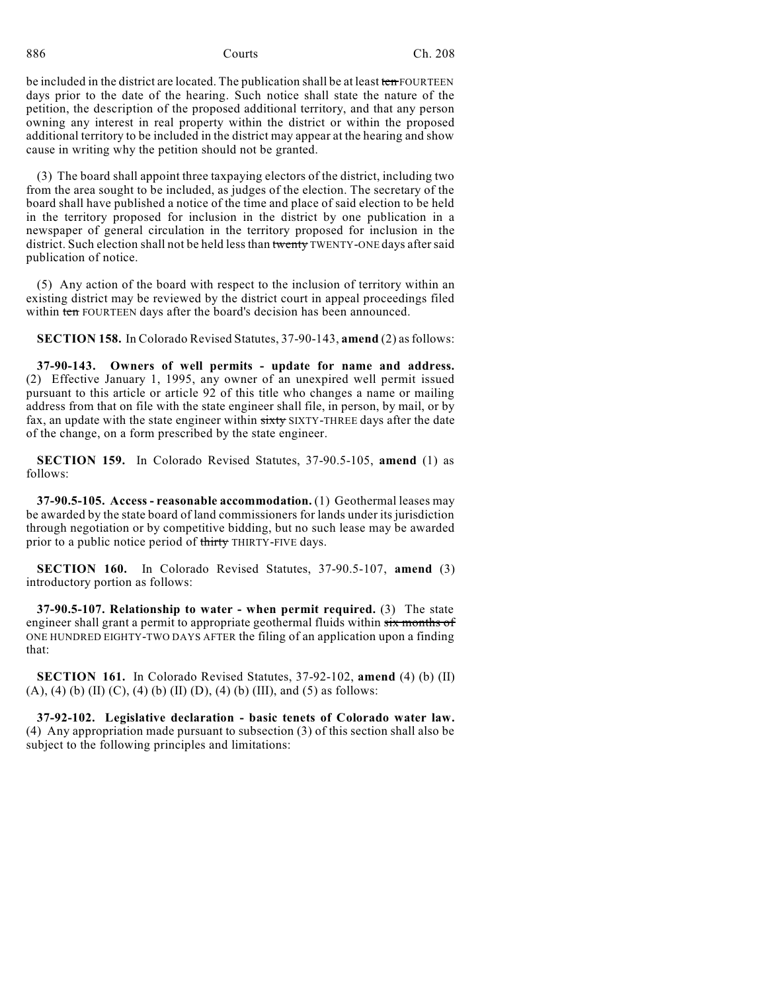be included in the district are located. The publication shall be at least ten FOURTEEN days prior to the date of the hearing. Such notice shall state the nature of the petition, the description of the proposed additional territory, and that any person owning any interest in real property within the district or within the proposed additional territory to be included in the district may appear at the hearing and show cause in writing why the petition should not be granted.

(3) The board shall appoint three taxpaying electors of the district, including two from the area sought to be included, as judges of the election. The secretary of the board shall have published a notice of the time and place of said election to be held in the territory proposed for inclusion in the district by one publication in a newspaper of general circulation in the territory proposed for inclusion in the district. Such election shall not be held less than twenty TWENTY-ONE days after said publication of notice.

(5) Any action of the board with respect to the inclusion of territory within an existing district may be reviewed by the district court in appeal proceedings filed within ten FOURTEEN days after the board's decision has been announced.

**SECTION 158.** In Colorado Revised Statutes, 37-90-143, **amend** (2) as follows:

**37-90-143. Owners of well permits - update for name and address.** (2) Effective January 1, 1995, any owner of an unexpired well permit issued pursuant to this article or article 92 of this title who changes a name or mailing address from that on file with the state engineer shall file, in person, by mail, or by fax, an update with the state engineer within sixty SIXTY-THREE days after the date of the change, on a form prescribed by the state engineer.

**SECTION 159.** In Colorado Revised Statutes, 37-90.5-105, **amend** (1) as follows:

**37-90.5-105. Access - reasonable accommodation.** (1) Geothermal leases may be awarded by the state board of land commissioners for lands under its jurisdiction through negotiation or by competitive bidding, but no such lease may be awarded prior to a public notice period of thirty THIRTY-FIVE days.

**SECTION 160.** In Colorado Revised Statutes, 37-90.5-107, **amend** (3) introductory portion as follows:

**37-90.5-107. Relationship to water - when permit required.** (3) The state engineer shall grant a permit to appropriate geothermal fluids within six months of ONE HUNDRED EIGHTY-TWO DAYS AFTER the filing of an application upon a finding that:

**SECTION 161.** In Colorado Revised Statutes, 37-92-102, **amend** (4) (b) (II)  $(A)$ ,  $(4)$   $(b)$   $(II)$   $(C)$ ,  $(4)$   $(b)$   $(II)$   $(D)$ ,  $(4)$   $(b)$   $(III)$ , and  $(5)$  as follows:

**37-92-102. Legislative declaration - basic tenets of Colorado water law.** (4) Any appropriation made pursuant to subsection (3) of this section shall also be subject to the following principles and limitations: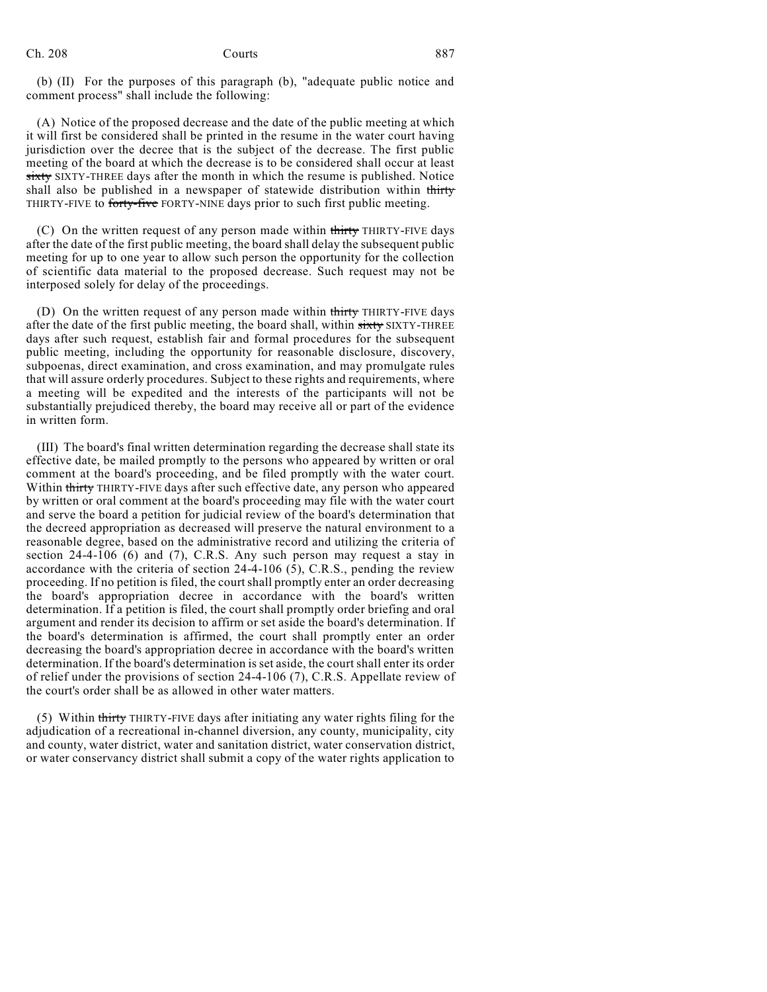(b) (II) For the purposes of this paragraph (b), "adequate public notice and comment process" shall include the following:

(A) Notice of the proposed decrease and the date of the public meeting at which it will first be considered shall be printed in the resume in the water court having jurisdiction over the decree that is the subject of the decrease. The first public meeting of the board at which the decrease is to be considered shall occur at least sixty SIXTY-THREE days after the month in which the resume is published. Notice shall also be published in a newspaper of statewide distribution within thirty THIRTY-FIVE to forty-five FORTY-NINE days prior to such first public meeting.

(C) On the written request of any person made within thirty THIRTY-FIVE days after the date of the first public meeting, the board shall delay the subsequent public meeting for up to one year to allow such person the opportunity for the collection of scientific data material to the proposed decrease. Such request may not be interposed solely for delay of the proceedings.

(D) On the written request of any person made within thirty THIRTY-FIVE days after the date of the first public meeting, the board shall, within sixty SIXTY-THREE days after such request, establish fair and formal procedures for the subsequent public meeting, including the opportunity for reasonable disclosure, discovery, subpoenas, direct examination, and cross examination, and may promulgate rules that will assure orderly procedures. Subject to these rights and requirements, where a meeting will be expedited and the interests of the participants will not be substantially prejudiced thereby, the board may receive all or part of the evidence in written form.

(III) The board's final written determination regarding the decrease shall state its effective date, be mailed promptly to the persons who appeared by written or oral comment at the board's proceeding, and be filed promptly with the water court. Within thirty THIRTY-FIVE days after such effective date, any person who appeared by written or oral comment at the board's proceeding may file with the water court and serve the board a petition for judicial review of the board's determination that the decreed appropriation as decreased will preserve the natural environment to a reasonable degree, based on the administrative record and utilizing the criteria of section 24-4-106 (6) and (7), C.R.S. Any such person may request a stay in accordance with the criteria of section 24-4-106 (5), C.R.S., pending the review proceeding. If no petition is filed, the courtshall promptly enter an order decreasing the board's appropriation decree in accordance with the board's written determination. If a petition is filed, the court shall promptly order briefing and oral argument and render its decision to affirm or set aside the board's determination. If the board's determination is affirmed, the court shall promptly enter an order decreasing the board's appropriation decree in accordance with the board's written determination. If the board's determination is set aside, the court shall enter its order of relief under the provisions of section 24-4-106 (7), C.R.S. Appellate review of the court's order shall be as allowed in other water matters.

(5) Within thirty THIRTY-FIVE days after initiating any water rights filing for the adjudication of a recreational in-channel diversion, any county, municipality, city and county, water district, water and sanitation district, water conservation district, or water conservancy district shall submit a copy of the water rights application to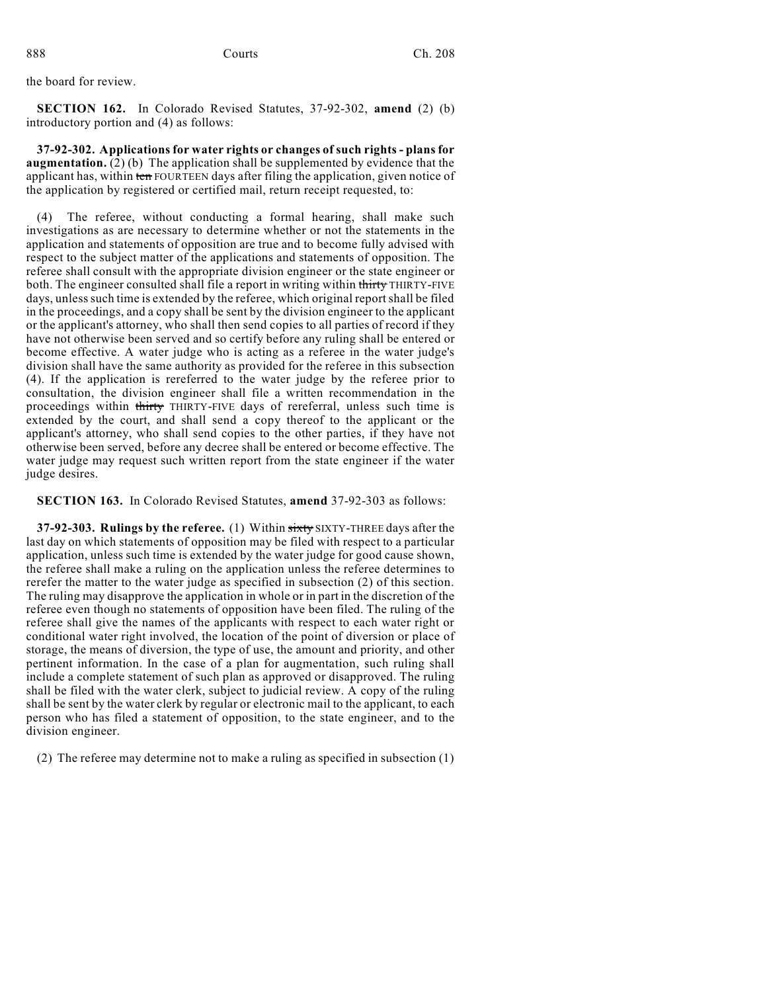the board for review.

**SECTION 162.** In Colorado Revised Statutes, 37-92-302, **amend** (2) (b) introductory portion and (4) as follows:

**37-92-302. Applicationsfor water rights or changes of such rights - plansfor augmentation.** (2) (b) The application shall be supplemented by evidence that the applicant has, within ten FOURTEEN days after filing the application, given notice of the application by registered or certified mail, return receipt requested, to:

(4) The referee, without conducting a formal hearing, shall make such investigations as are necessary to determine whether or not the statements in the application and statements of opposition are true and to become fully advised with respect to the subject matter of the applications and statements of opposition. The referee shall consult with the appropriate division engineer or the state engineer or both. The engineer consulted shall file a report in writing within thirty THIRTY-FIVE days, unless such time is extended by the referee, which original report shall be filed in the proceedings, and a copy shall be sent by the division engineer to the applicant or the applicant's attorney, who shall then send copies to all parties of record if they have not otherwise been served and so certify before any ruling shall be entered or become effective. A water judge who is acting as a referee in the water judge's division shall have the same authority as provided for the referee in this subsection (4). If the application is rereferred to the water judge by the referee prior to consultation, the division engineer shall file a written recommendation in the proceedings within thirty THIRTY-FIVE days of rereferral, unless such time is extended by the court, and shall send a copy thereof to the applicant or the applicant's attorney, who shall send copies to the other parties, if they have not otherwise been served, before any decree shall be entered or become effective. The water judge may request such written report from the state engineer if the water judge desires.

**SECTION 163.** In Colorado Revised Statutes, **amend** 37-92-303 as follows:

**37-92-303. Rulings by the referee.** (1) Within sixty SIXTY-THREE days after the last day on which statements of opposition may be filed with respect to a particular application, unless such time is extended by the water judge for good cause shown, the referee shall make a ruling on the application unless the referee determines to rerefer the matter to the water judge as specified in subsection (2) of this section. The ruling may disapprove the application in whole or in part in the discretion of the referee even though no statements of opposition have been filed. The ruling of the referee shall give the names of the applicants with respect to each water right or conditional water right involved, the location of the point of diversion or place of storage, the means of diversion, the type of use, the amount and priority, and other pertinent information. In the case of a plan for augmentation, such ruling shall include a complete statement of such plan as approved or disapproved. The ruling shall be filed with the water clerk, subject to judicial review. A copy of the ruling shall be sent by the water clerk by regular or electronic mail to the applicant, to each person who has filed a statement of opposition, to the state engineer, and to the division engineer.

(2) The referee may determine not to make a ruling as specified in subsection (1)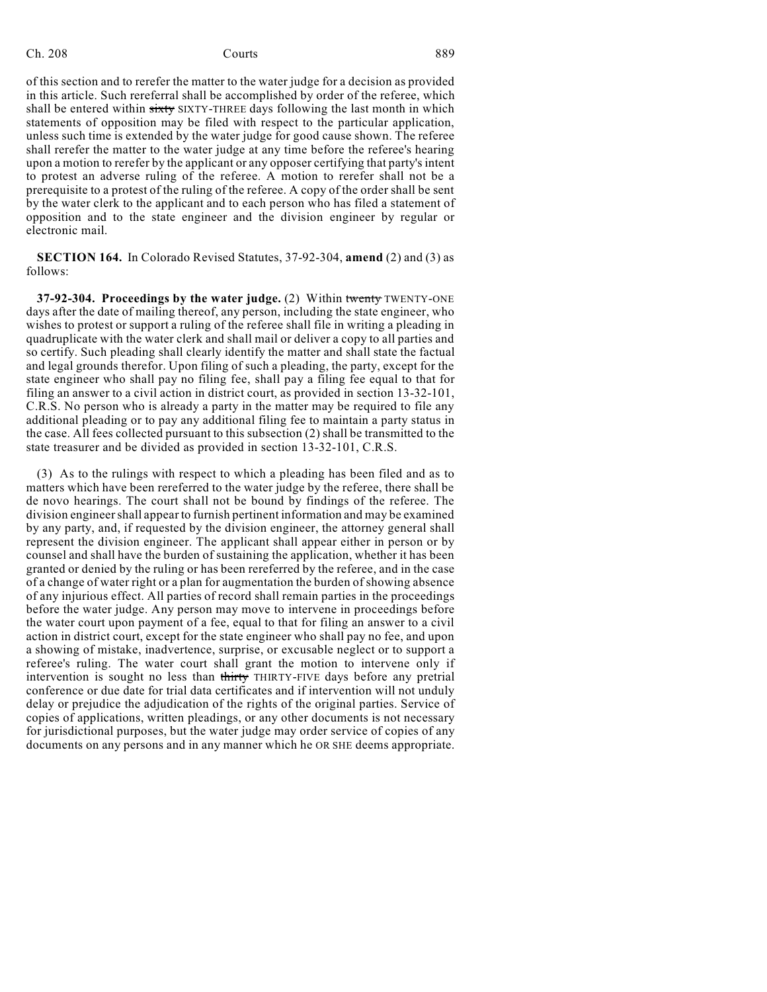of this section and to rerefer the matter to the water judge for a decision as provided in this article. Such rereferral shall be accomplished by order of the referee, which shall be entered within sixty SIXTY-THREE days following the last month in which statements of opposition may be filed with respect to the particular application, unless such time is extended by the water judge for good cause shown. The referee shall rerefer the matter to the water judge at any time before the referee's hearing upon a motion to rerefer by the applicant or any opposer certifying that party's intent to protest an adverse ruling of the referee. A motion to rerefer shall not be a prerequisite to a protest of the ruling of the referee. A copy of the order shall be sent by the water clerk to the applicant and to each person who has filed a statement of opposition and to the state engineer and the division engineer by regular or electronic mail.

**SECTION 164.** In Colorado Revised Statutes, 37-92-304, **amend** (2) and (3) as follows:

**37-92-304. Proceedings by the water judge.** (2) Within twenty TWENTY-ONE days after the date of mailing thereof, any person, including the state engineer, who wishes to protest or support a ruling of the referee shall file in writing a pleading in quadruplicate with the water clerk and shall mail or deliver a copy to all parties and so certify. Such pleading shall clearly identify the matter and shall state the factual and legal grounds therefor. Upon filing of such a pleading, the party, except for the state engineer who shall pay no filing fee, shall pay a filing fee equal to that for filing an answer to a civil action in district court, as provided in section 13-32-101, C.R.S. No person who is already a party in the matter may be required to file any additional pleading or to pay any additional filing fee to maintain a party status in the case. All fees collected pursuant to this subsection (2) shall be transmitted to the state treasurer and be divided as provided in section 13-32-101, C.R.S.

(3) As to the rulings with respect to which a pleading has been filed and as to matters which have been rereferred to the water judge by the referee, there shall be de novo hearings. The court shall not be bound by findings of the referee. The division engineershall appear to furnish pertinent information and may be examined by any party, and, if requested by the division engineer, the attorney general shall represent the division engineer. The applicant shall appear either in person or by counsel and shall have the burden of sustaining the application, whether it has been granted or denied by the ruling or has been rereferred by the referee, and in the case of a change of water right or a plan for augmentation the burden of showing absence of any injurious effect. All parties of record shall remain parties in the proceedings before the water judge. Any person may move to intervene in proceedings before the water court upon payment of a fee, equal to that for filing an answer to a civil action in district court, except for the state engineer who shall pay no fee, and upon a showing of mistake, inadvertence, surprise, or excusable neglect or to support a referee's ruling. The water court shall grant the motion to intervene only if intervention is sought no less than thirty THIRTY-FIVE days before any pretrial conference or due date for trial data certificates and if intervention will not unduly delay or prejudice the adjudication of the rights of the original parties. Service of copies of applications, written pleadings, or any other documents is not necessary for jurisdictional purposes, but the water judge may order service of copies of any documents on any persons and in any manner which he OR SHE deems appropriate.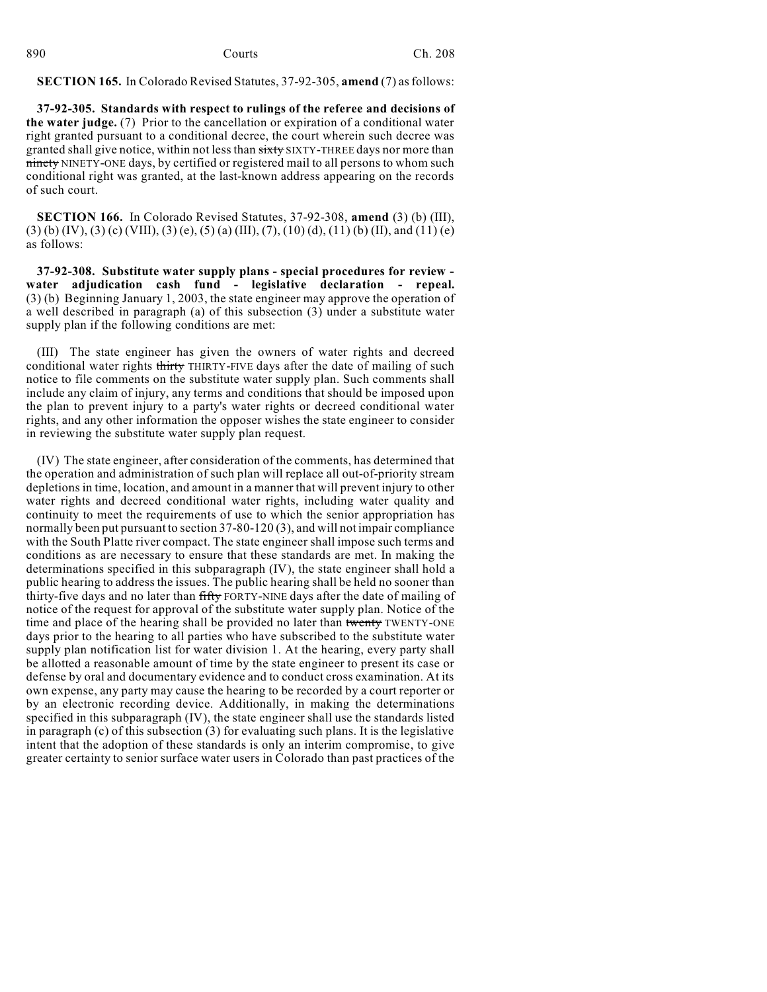| 890 | Courts | Ch. 208 |
|-----|--------|---------|
|     |        |         |

## **SECTION 165.** In Colorado Revised Statutes, 37-92-305, **amend** (7) asfollows:

**37-92-305. Standards with respect to rulings of the referee and decisions of the water judge.** (7) Prior to the cancellation or expiration of a conditional water right granted pursuant to a conditional decree, the court wherein such decree was granted shall give notice, within not less than sixty SIXTY-THREE days nor more than ninety NINETY-ONE days, by certified or registered mail to all persons to whom such conditional right was granted, at the last-known address appearing on the records of such court.

**SECTION 166.** In Colorado Revised Statutes, 37-92-308, **amend** (3) (b) (III),  $(3)$  (b) (IV), (3) (c) (VIII), (3) (e), (5) (a) (III), (7), (10) (d), (11) (b) (II), and (11) (e) as follows:

**37-92-308. Substitute water supply plans - special procedures for review water adjudication cash fund - legislative declaration - repeal.** (3) (b) Beginning January 1, 2003, the state engineer may approve the operation of a well described in paragraph (a) of this subsection (3) under a substitute water supply plan if the following conditions are met:

(III) The state engineer has given the owners of water rights and decreed conditional water rights thirty THIRTY-FIVE days after the date of mailing of such notice to file comments on the substitute water supply plan. Such comments shall include any claim of injury, any terms and conditions that should be imposed upon the plan to prevent injury to a party's water rights or decreed conditional water rights, and any other information the opposer wishes the state engineer to consider in reviewing the substitute water supply plan request.

(IV) The state engineer, after consideration of the comments, has determined that the operation and administration of such plan will replace all out-of-priority stream depletions in time, location, and amount in a manner that will prevent injury to other water rights and decreed conditional water rights, including water quality and continuity to meet the requirements of use to which the senior appropriation has normally been put pursuant to section 37-80-120 (3), and will not impair compliance with the South Platte river compact. The state engineer shall impose such terms and conditions as are necessary to ensure that these standards are met. In making the determinations specified in this subparagraph (IV), the state engineer shall hold a public hearing to address the issues. The public hearing shall be held no sooner than thirty-five days and no later than fifty FORTY-NINE days after the date of mailing of notice of the request for approval of the substitute water supply plan. Notice of the time and place of the hearing shall be provided no later than twenty TWENTY-ONE days prior to the hearing to all parties who have subscribed to the substitute water supply plan notification list for water division 1. At the hearing, every party shall be allotted a reasonable amount of time by the state engineer to present its case or defense by oral and documentary evidence and to conduct cross examination. At its own expense, any party may cause the hearing to be recorded by a court reporter or by an electronic recording device. Additionally, in making the determinations specified in this subparagraph (IV), the state engineer shall use the standards listed in paragraph  $(c)$  of this subsection  $(3)$  for evaluating such plans. It is the legislative intent that the adoption of these standards is only an interim compromise, to give greater certainty to senior surface water users in Colorado than past practices of the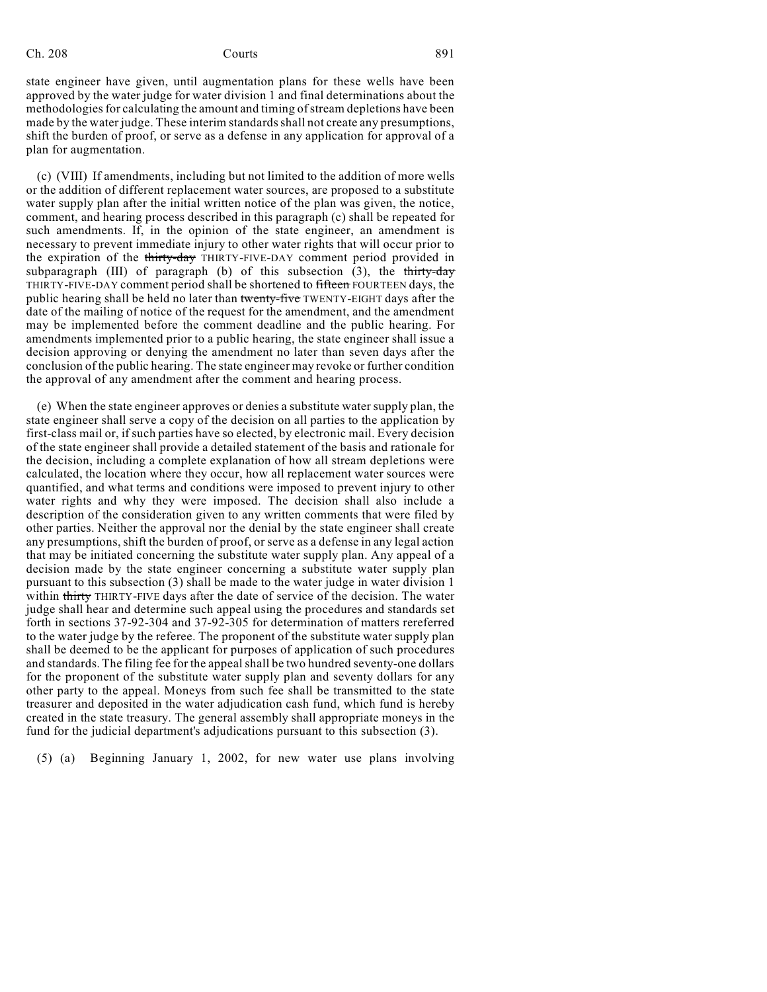state engineer have given, until augmentation plans for these wells have been approved by the water judge for water division 1 and final determinations about the methodologies for calculating the amount and timing of stream depletions have been made by the water judge. These interim standards shall not create any presumptions, shift the burden of proof, or serve as a defense in any application for approval of a plan for augmentation.

(c) (VIII) If amendments, including but not limited to the addition of more wells or the addition of different replacement water sources, are proposed to a substitute water supply plan after the initial written notice of the plan was given, the notice, comment, and hearing process described in this paragraph (c) shall be repeated for such amendments. If, in the opinion of the state engineer, an amendment is necessary to prevent immediate injury to other water rights that will occur prior to the expiration of the thirty-day THIRTY-FIVE-DAY comment period provided in subparagraph (III) of paragraph (b) of this subsection  $(3)$ , the thirty-day THIRTY-FIVE-DAY comment period shall be shortened to fifteen FOURTEEN days, the public hearing shall be held no later than twenty-five TWENTY-EIGHT days after the date of the mailing of notice of the request for the amendment, and the amendment may be implemented before the comment deadline and the public hearing. For amendments implemented prior to a public hearing, the state engineer shall issue a decision approving or denying the amendment no later than seven days after the conclusion of the public hearing. The state engineer may revoke or further condition the approval of any amendment after the comment and hearing process.

(e) When the state engineer approves or denies a substitute water supply plan, the state engineer shall serve a copy of the decision on all parties to the application by first-class mail or, if such parties have so elected, by electronic mail. Every decision of the state engineer shall provide a detailed statement of the basis and rationale for the decision, including a complete explanation of how all stream depletions were calculated, the location where they occur, how all replacement water sources were quantified, and what terms and conditions were imposed to prevent injury to other water rights and why they were imposed. The decision shall also include a description of the consideration given to any written comments that were filed by other parties. Neither the approval nor the denial by the state engineer shall create any presumptions, shift the burden of proof, or serve as a defense in any legal action that may be initiated concerning the substitute water supply plan. Any appeal of a decision made by the state engineer concerning a substitute water supply plan pursuant to this subsection (3) shall be made to the water judge in water division 1 within thirty THIRTY-FIVE days after the date of service of the decision. The water judge shall hear and determine such appeal using the procedures and standards set forth in sections 37-92-304 and 37-92-305 for determination of matters rereferred to the water judge by the referee. The proponent of the substitute water supply plan shall be deemed to be the applicant for purposes of application of such procedures and standards. The filing fee for the appeal shall be two hundred seventy-one dollars for the proponent of the substitute water supply plan and seventy dollars for any other party to the appeal. Moneys from such fee shall be transmitted to the state treasurer and deposited in the water adjudication cash fund, which fund is hereby created in the state treasury. The general assembly shall appropriate moneys in the fund for the judicial department's adjudications pursuant to this subsection (3).

(5) (a) Beginning January 1, 2002, for new water use plans involving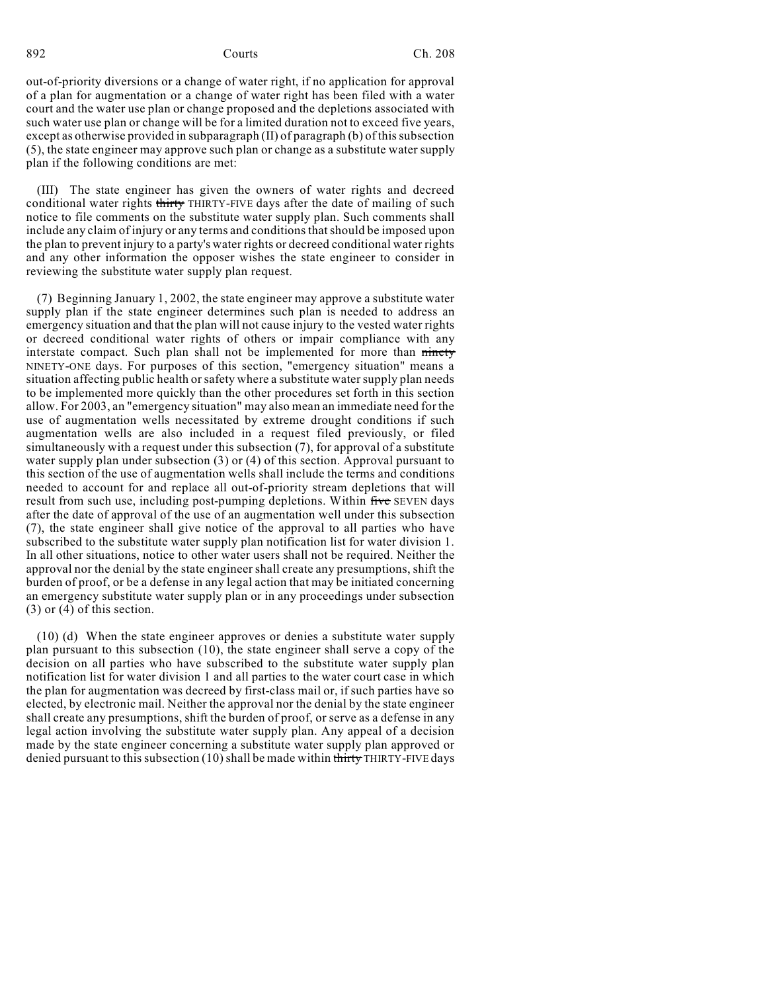out-of-priority diversions or a change of water right, if no application for approval of a plan for augmentation or a change of water right has been filed with a water court and the water use plan or change proposed and the depletions associated with such water use plan or change will be for a limited duration not to exceed five years, except as otherwise provided in subparagraph  $(II)$  of paragraph  $(b)$  of this subsection (5), the state engineer may approve such plan or change as a substitute water supply plan if the following conditions are met:

(III) The state engineer has given the owners of water rights and decreed conditional water rights thirty THIRTY-FIVE days after the date of mailing of such notice to file comments on the substitute water supply plan. Such comments shall include any claim of injury or any terms and conditionsthatshould be imposed upon the plan to prevent injury to a party's water rights or decreed conditional water rights and any other information the opposer wishes the state engineer to consider in reviewing the substitute water supply plan request.

(7) Beginning January 1, 2002, the state engineer may approve a substitute water supply plan if the state engineer determines such plan is needed to address an emergency situation and that the plan will not cause injury to the vested water rights or decreed conditional water rights of others or impair compliance with any interstate compact. Such plan shall not be implemented for more than ninety NINETY-ONE days. For purposes of this section, "emergency situation" means a situation affecting public health or safety where a substitute water supply plan needs to be implemented more quickly than the other procedures set forth in this section allow. For 2003, an "emergency situation" may also mean an immediate need for the use of augmentation wells necessitated by extreme drought conditions if such augmentation wells are also included in a request filed previously, or filed simultaneously with a request under this subsection (7), for approval of a substitute water supply plan under subsection (3) or (4) of this section. Approval pursuant to this section of the use of augmentation wells shall include the terms and conditions needed to account for and replace all out-of-priority stream depletions that will result from such use, including post-pumping depletions. Within five SEVEN days after the date of approval of the use of an augmentation well under this subsection (7), the state engineer shall give notice of the approval to all parties who have subscribed to the substitute water supply plan notification list for water division 1. In all other situations, notice to other water users shall not be required. Neither the approval nor the denial by the state engineer shall create any presumptions, shift the burden of proof, or be a defense in any legal action that may be initiated concerning an emergency substitute water supply plan or in any proceedings under subsection (3) or (4) of this section.

(10) (d) When the state engineer approves or denies a substitute water supply plan pursuant to this subsection (10), the state engineer shall serve a copy of the decision on all parties who have subscribed to the substitute water supply plan notification list for water division 1 and all parties to the water court case in which the plan for augmentation was decreed by first-class mail or, if such parties have so elected, by electronic mail. Neither the approval nor the denial by the state engineer shall create any presumptions, shift the burden of proof, or serve as a defense in any legal action involving the substitute water supply plan. Any appeal of a decision made by the state engineer concerning a substitute water supply plan approved or denied pursuant to this subsection (10) shall be made within thirty THIRTY-FIVE days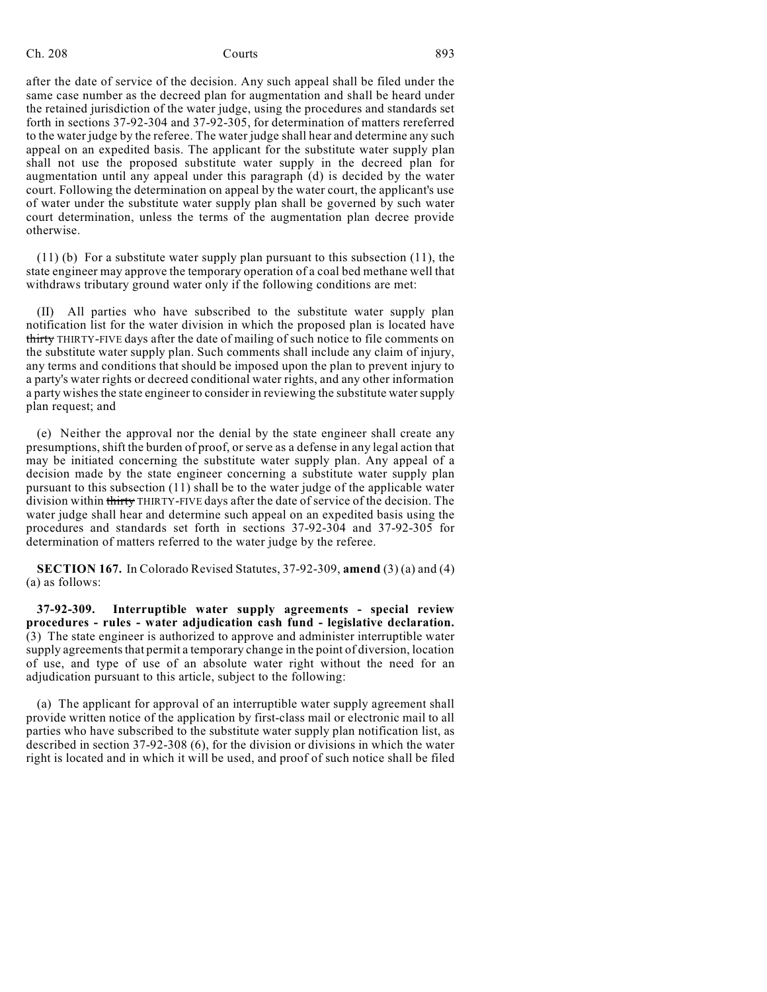Ch. 208 Courts **693** 

after the date of service of the decision. Any such appeal shall be filed under the same case number as the decreed plan for augmentation and shall be heard under the retained jurisdiction of the water judge, using the procedures and standards set forth in sections 37-92-304 and 37-92-305, for determination of matters rereferred to the water judge by the referee. The water judge shall hear and determine any such appeal on an expedited basis. The applicant for the substitute water supply plan shall not use the proposed substitute water supply in the decreed plan for augmentation until any appeal under this paragraph (d) is decided by the water court. Following the determination on appeal by the water court, the applicant's use of water under the substitute water supply plan shall be governed by such water court determination, unless the terms of the augmentation plan decree provide otherwise.

(11) (b) For a substitute water supply plan pursuant to this subsection (11), the state engineer may approve the temporary operation of a coal bed methane well that withdraws tributary ground water only if the following conditions are met:

(II) All parties who have subscribed to the substitute water supply plan notification list for the water division in which the proposed plan is located have thirty THIRTY-FIVE days after the date of mailing of such notice to file comments on the substitute water supply plan. Such comments shall include any claim of injury, any terms and conditions that should be imposed upon the plan to prevent injury to a party's water rights or decreed conditional water rights, and any other information a party wishes the state engineer to consider in reviewing the substitute water supply plan request; and

(e) Neither the approval nor the denial by the state engineer shall create any presumptions,shift the burden of proof, or serve as a defense in any legal action that may be initiated concerning the substitute water supply plan. Any appeal of a decision made by the state engineer concerning a substitute water supply plan pursuant to this subsection (11) shall be to the water judge of the applicable water division within thirty THIRTY-FIVE days after the date of service of the decision. The water judge shall hear and determine such appeal on an expedited basis using the procedures and standards set forth in sections 37-92-304 and 37-92-305 for determination of matters referred to the water judge by the referee.

**SECTION 167.** In Colorado Revised Statutes, 37-92-309, **amend** (3) (a) and (4) (a) as follows:

**37-92-309. Interruptible water supply agreements - special review procedures - rules - water adjudication cash fund - legislative declaration.** (3) The state engineer is authorized to approve and administer interruptible water supply agreements that permit a temporary change in the point of diversion, location of use, and type of use of an absolute water right without the need for an adjudication pursuant to this article, subject to the following:

(a) The applicant for approval of an interruptible water supply agreement shall provide written notice of the application by first-class mail or electronic mail to all parties who have subscribed to the substitute water supply plan notification list, as described in section 37-92-308 (6), for the division or divisions in which the water right is located and in which it will be used, and proof of such notice shall be filed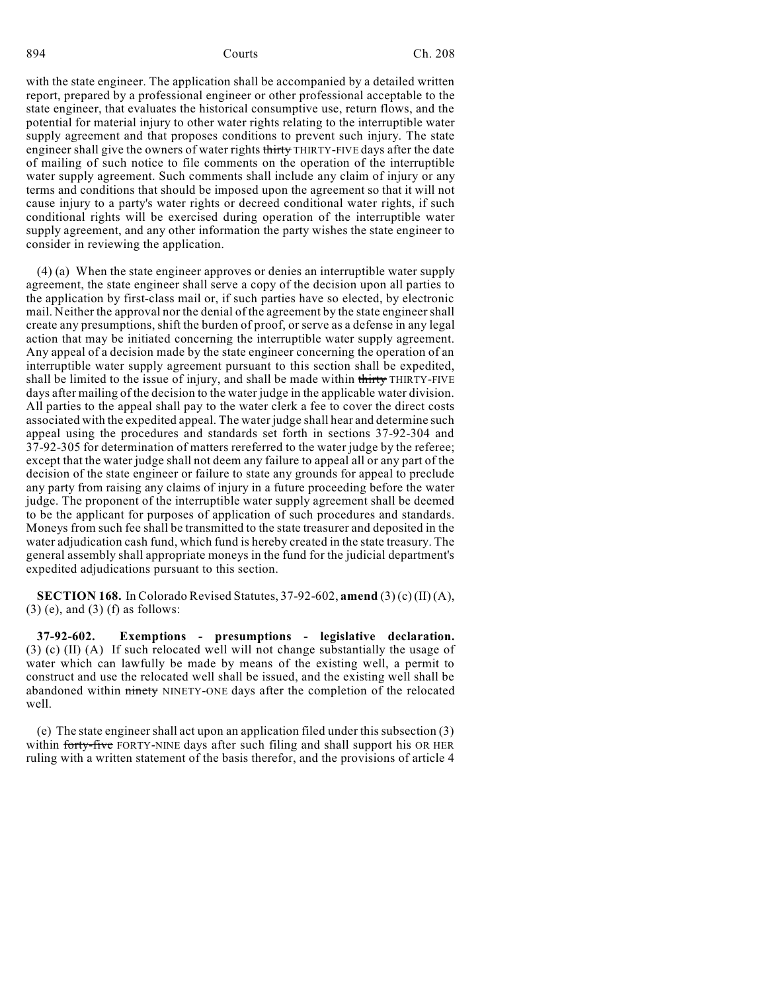with the state engineer. The application shall be accompanied by a detailed written report, prepared by a professional engineer or other professional acceptable to the state engineer, that evaluates the historical consumptive use, return flows, and the potential for material injury to other water rights relating to the interruptible water supply agreement and that proposes conditions to prevent such injury. The state engineer shall give the owners of water rights thirty THIRTY-FIVE days after the date of mailing of such notice to file comments on the operation of the interruptible water supply agreement. Such comments shall include any claim of injury or any terms and conditions that should be imposed upon the agreement so that it will not cause injury to a party's water rights or decreed conditional water rights, if such conditional rights will be exercised during operation of the interruptible water supply agreement, and any other information the party wishes the state engineer to consider in reviewing the application.

(4) (a) When the state engineer approves or denies an interruptible water supply agreement, the state engineer shall serve a copy of the decision upon all parties to the application by first-class mail or, if such parties have so elected, by electronic mail. Neither the approval nor the denial of the agreement by the state engineer shall create any presumptions, shift the burden of proof, or serve as a defense in any legal action that may be initiated concerning the interruptible water supply agreement. Any appeal of a decision made by the state engineer concerning the operation of an interruptible water supply agreement pursuant to this section shall be expedited, shall be limited to the issue of injury, and shall be made within thirty THIRTY-FIVE days after mailing of the decision to the water judge in the applicable water division. All parties to the appeal shall pay to the water clerk a fee to cover the direct costs associated with the expedited appeal. The water judge shall hear and determine such appeal using the procedures and standards set forth in sections 37-92-304 and 37-92-305 for determination of matters rereferred to the water judge by the referee; except that the water judge shall not deem any failure to appeal all or any part of the decision of the state engineer or failure to state any grounds for appeal to preclude any party from raising any claims of injury in a future proceeding before the water judge. The proponent of the interruptible water supply agreement shall be deemed to be the applicant for purposes of application of such procedures and standards. Moneys from such fee shall be transmitted to the state treasurer and deposited in the water adjudication cash fund, which fund is hereby created in the state treasury. The general assembly shall appropriate moneys in the fund for the judicial department's expedited adjudications pursuant to this section.

**SECTION 168.** In Colorado Revised Statutes, 37-92-602, **amend** (3) (c) (II) (A),  $(3)$  (e), and  $(3)$  (f) as follows:

**37-92-602. Exemptions - presumptions - legislative declaration.** (3) (c) (II) (A) If such relocated well will not change substantially the usage of water which can lawfully be made by means of the existing well, a permit to construct and use the relocated well shall be issued, and the existing well shall be abandoned within ninety NINETY-ONE days after the completion of the relocated well.

(e) The state engineershall act upon an application filed under this subsection (3) within forty-five FORTY-NINE days after such filing and shall support his OR HER ruling with a written statement of the basis therefor, and the provisions of article 4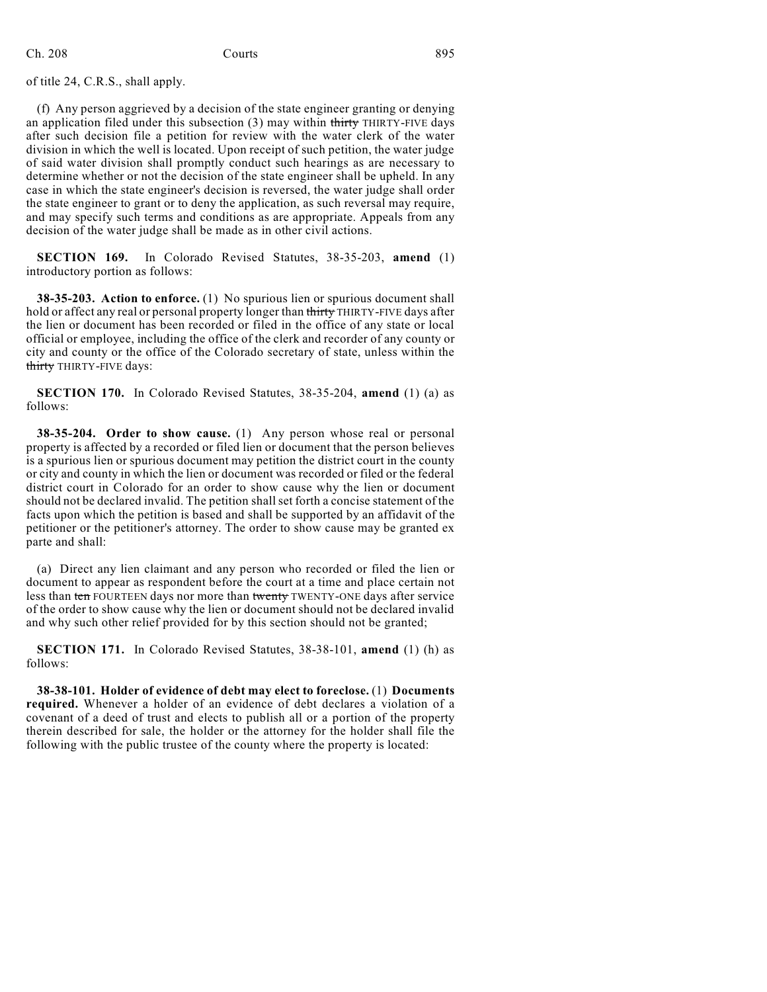of title 24, C.R.S., shall apply.

(f) Any person aggrieved by a decision of the state engineer granting or denying an application filed under this subsection  $(3)$  may within thirty THIRTY-FIVE days after such decision file a petition for review with the water clerk of the water division in which the well is located. Upon receipt of such petition, the water judge of said water division shall promptly conduct such hearings as are necessary to determine whether or not the decision of the state engineer shall be upheld. In any case in which the state engineer's decision is reversed, the water judge shall order the state engineer to grant or to deny the application, as such reversal may require, and may specify such terms and conditions as are appropriate. Appeals from any decision of the water judge shall be made as in other civil actions.

**SECTION 169.** In Colorado Revised Statutes, 38-35-203, **amend** (1) introductory portion as follows:

**38-35-203. Action to enforce.** (1) No spurious lien or spurious document shall hold or affect any real or personal property longer than thirty THIRTY-FIVE days after the lien or document has been recorded or filed in the office of any state or local official or employee, including the office of the clerk and recorder of any county or city and county or the office of the Colorado secretary of state, unless within the thirty THIRTY-FIVE days:

**SECTION 170.** In Colorado Revised Statutes, 38-35-204, **amend** (1) (a) as follows:

**38-35-204. Order to show cause.** (1) Any person whose real or personal property is affected by a recorded or filed lien or document that the person believes is a spurious lien or spurious document may petition the district court in the county or city and county in which the lien or document was recorded or filed or the federal district court in Colorado for an order to show cause why the lien or document should not be declared invalid. The petition shallset forth a concise statement of the facts upon which the petition is based and shall be supported by an affidavit of the petitioner or the petitioner's attorney. The order to show cause may be granted ex parte and shall:

(a) Direct any lien claimant and any person who recorded or filed the lien or document to appear as respondent before the court at a time and place certain not less than ten FOURTEEN days nor more than twenty TWENTY-ONE days after service of the order to show cause why the lien or document should not be declared invalid and why such other relief provided for by this section should not be granted;

**SECTION 171.** In Colorado Revised Statutes, 38-38-101, **amend** (1) (h) as follows:

**38-38-101. Holder of evidence of debt may elect to foreclose.** (1) **Documents required.** Whenever a holder of an evidence of debt declares a violation of a covenant of a deed of trust and elects to publish all or a portion of the property therein described for sale, the holder or the attorney for the holder shall file the following with the public trustee of the county where the property is located: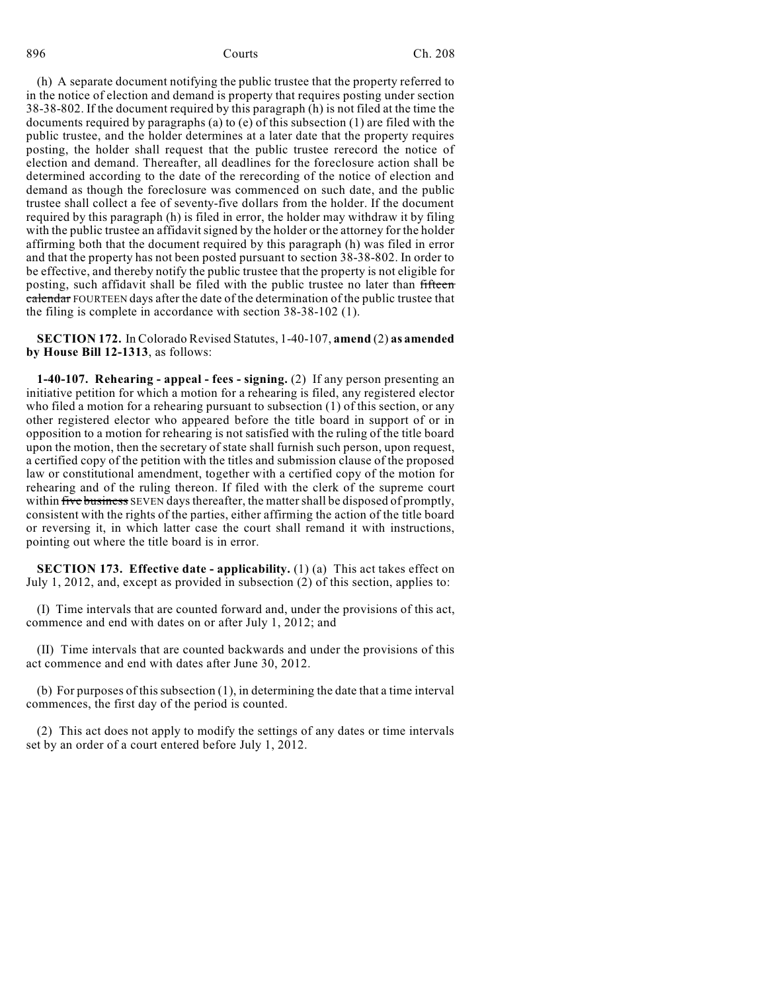(h) A separate document notifying the public trustee that the property referred to in the notice of election and demand is property that requires posting under section 38-38-802. If the document required by this paragraph (h) is not filed at the time the documents required by paragraphs (a) to (e) of this subsection (1) are filed with the public trustee, and the holder determines at a later date that the property requires posting, the holder shall request that the public trustee rerecord the notice of election and demand. Thereafter, all deadlines for the foreclosure action shall be determined according to the date of the rerecording of the notice of election and demand as though the foreclosure was commenced on such date, and the public trustee shall collect a fee of seventy-five dollars from the holder. If the document required by this paragraph (h) is filed in error, the holder may withdraw it by filing with the public trustee an affidavit signed by the holder or the attorney for the holder affirming both that the document required by this paragraph (h) was filed in error and that the property has not been posted pursuant to section 38-38-802. In order to be effective, and thereby notify the public trustee that the property is not eligible for posting, such affidavit shall be filed with the public trustee no later than fifteen calendar FOURTEEN days after the date of the determination of the public trustee that the filing is complete in accordance with section 38-38-102 (1).

**SECTION 172.** In Colorado Revised Statutes, 1-40-107, **amend** (2) **as amended by House Bill 12-1313**, as follows:

**1-40-107. Rehearing - appeal - fees - signing.** (2) If any person presenting an initiative petition for which a motion for a rehearing is filed, any registered elector who filed a motion for a rehearing pursuant to subsection (1) of this section, or any other registered elector who appeared before the title board in support of or in opposition to a motion for rehearing is not satisfied with the ruling of the title board upon the motion, then the secretary of state shall furnish such person, upon request, a certified copy of the petition with the titles and submission clause of the proposed law or constitutional amendment, together with a certified copy of the motion for rehearing and of the ruling thereon. If filed with the clerk of the supreme court within five business SEVEN days thereafter, the matter shall be disposed of promptly, consistent with the rights of the parties, either affirming the action of the title board or reversing it, in which latter case the court shall remand it with instructions, pointing out where the title board is in error.

**SECTION 173. Effective date - applicability.** (1) (a) This act takes effect on July 1, 2012, and, except as provided in subsection (2) of this section, applies to:

(I) Time intervals that are counted forward and, under the provisions of this act, commence and end with dates on or after July 1, 2012; and

(II) Time intervals that are counted backwards and under the provisions of this act commence and end with dates after June 30, 2012.

(b) For purposes of this subsection (1), in determining the date that a time interval commences, the first day of the period is counted.

(2) This act does not apply to modify the settings of any dates or time intervals set by an order of a court entered before July 1, 2012.